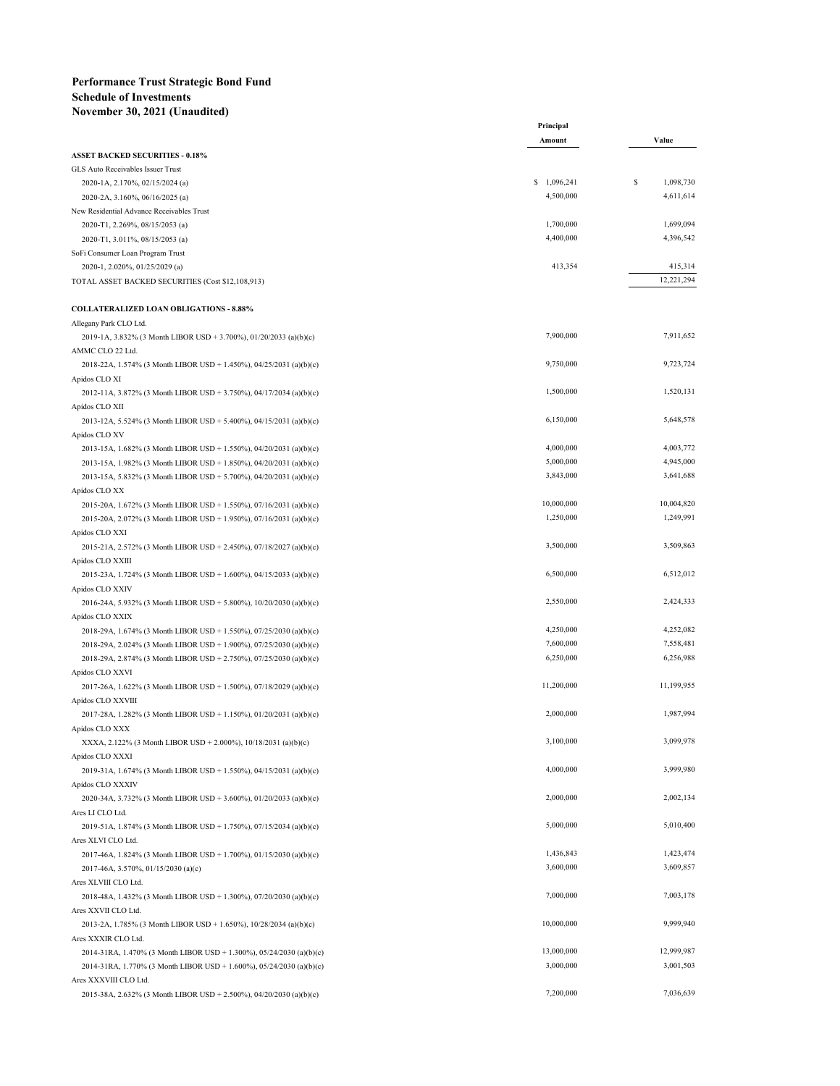## **Performance Trust Strategic Bond Fund Schedule of Investments November 30, 2021 (Unaudited)**

|                                                                       | Principal   |                |
|-----------------------------------------------------------------------|-------------|----------------|
|                                                                       | Amount      | Value          |
| <b>ASSET BACKED SECURITIES - 0.18%</b>                                |             |                |
| GLS Auto Receivables Issuer Trust                                     |             |                |
| 2020-1A, 2.170%, 02/15/2024 (a)                                       | \$1,096,241 | S<br>1,098,730 |
| 2020-2A, 3.160%, 06/16/2025 (a)                                       | 4,500,000   | 4,611,614      |
| New Residential Advance Receivables Trust                             |             |                |
| 2020-T1, 2.269%, 08/15/2053 (a)                                       | 1,700,000   | 1,699,094      |
| 2020-T1, 3.011%, 08/15/2053 (a)                                       | 4,400,000   | 4,396,542      |
| SoFi Consumer Loan Program Trust                                      |             |                |
| 2020-1, 2.020%, 01/25/2029 (a)                                        | 413,354     | 415,314        |
| TOTAL ASSET BACKED SECURITIES (Cost \$12,108,913)                     |             | 12,221,294     |
| <b>COLLATERALIZED LOAN OBLIGATIONS - 8.88%</b>                        |             |                |
| Allegany Park CLO Ltd.                                                |             |                |
| 2019-1A, 3.832% (3 Month LIBOR USD + 3.700%), 01/20/2033 (a)(b)(c)    | 7,900,000   | 7,911,652      |
| AMMC CLO 22 Ltd.                                                      |             |                |
| 2018-22A, 1.574% (3 Month LIBOR USD + 1.450%), 04/25/2031 (a)(b)(c)   | 9,750,000   | 9,723,724      |
| Apidos CLO XI                                                         |             |                |
| 2012-11A, 3.872% (3 Month LIBOR USD + 3.750%), 04/17/2034 (a)(b)(c)   | 1,500,000   | 1,520,131      |
| Apidos CLO XII                                                        |             |                |
| 2013-12A, 5.524% (3 Month LIBOR USD + 5.400%), 04/15/2031 (a)(b)(c)   | 6,150,000   | 5,648,578      |
| Apidos CLO XV                                                         |             |                |
| 2013-15A, 1.682% (3 Month LIBOR USD + 1.550%), 04/20/2031 (a)(b)(c)   | 4,000,000   | 4,003,772      |
| 2013-15A, 1.982% (3 Month LIBOR USD + 1.850%), 04/20/2031 (a)(b)(c)   | 5,000,000   | 4,945,000      |
| 2013-15A, 5.832% (3 Month LIBOR USD + 5.700%), 04/20/2031 (a)(b)(c)   | 3,843,000   | 3,641,688      |
| Apidos CLO XX                                                         |             |                |
| 2015-20A, 1.672% (3 Month LIBOR USD + 1.550%), 07/16/2031 (a)(b)(c)   | 10,000,000  | 10,004,820     |
| 2015-20A, 2.072% (3 Month LIBOR USD + 1.950%), 07/16/2031 (a)(b)(c)   | 1,250,000   | 1,249,991      |
| Apidos CLO XXI                                                        |             |                |
| 2015-21A, 2.572% (3 Month LIBOR USD + 2.450%), 07/18/2027 (a)(b)(c)   | 3,500,000   | 3,509,863      |
| Apidos CLO XXIII                                                      |             |                |
| 2015-23A, 1.724% (3 Month LIBOR USD + 1.600%), 04/15/2033 (a)(b)(c)   | 6,500,000   | 6,512,012      |
| Apidos CLO XXIV                                                       |             |                |
| 2016-24A, 5.932% (3 Month LIBOR USD + 5.800%), $10/20/2030$ (a)(b)(c) | 2,550,000   | 2,424,333      |
| Apidos CLO XXIX                                                       |             |                |
| 2018-29A, 1.674% (3 Month LIBOR USD + 1.550%), 07/25/2030 (a)(b)(c)   | 4,250,000   | 4,252,082      |
| 2018-29A, 2.024% (3 Month LIBOR USD + 1.900%), 07/25/2030 (a)(b)(c)   | 7,600,000   | 7,558,481      |
| 2018-29A, 2.874% (3 Month LIBOR USD + 2.750%), 07/25/2030 (a)(b)(c)   | 6,250,000   | 6,256,988      |
| Apidos CLO XXVI                                                       |             |                |
| 2017-26A, 1.622% (3 Month LIBOR USD + 1.500%), 07/18/2029 (a)(b)(c)   | 11,200,000  | 11,199,955     |
| Apidos CLO XXVIII                                                     |             |                |
| 2017-28A, 1.282% (3 Month LIBOR USD + 1.150%), 01/20/2031 (a)(b)(c)   | 2,000,000   | 1,987,994      |
| Apidos CLO XXX                                                        |             |                |
| XXXA, 2.122% (3 Month LIBOR USD + 2.000%), 10/18/2031 (a)(b)(c)       | 3,100,000   | 3,099,978      |
| Apidos CLO XXXI                                                       |             |                |
| 2019-31A, 1.674% (3 Month LIBOR USD + 1.550%), 04/15/2031 (a)(b)(c)   | 4,000,000   | 3,999,980      |
| Apidos CLO XXXIV                                                      |             |                |
| 2020-34A, 3.732% (3 Month LIBOR USD + 3.600%), 01/20/2033 (a)(b)(c)   | 2,000,000   | 2,002,134      |
| Ares LI CLO Ltd.                                                      |             |                |
| 2019-51A, 1.874% (3 Month LIBOR USD + 1.750%), 07/15/2034 (a)(b)(c)   | 5,000,000   | 5,010,400      |
| Ares XLVI CLO Ltd.                                                    |             |                |
| 2017-46A, 1.824% (3 Month LIBOR USD + 1.700%), 01/15/2030 (a)(b)(c)   | 1,436,843   | 1,423,474      |
| 2017-46A, 3.570%, 01/15/2030 (a)(c)                                   | 3,600,000   | 3,609,857      |
| Ares XLVIII CLO Ltd.                                                  |             |                |
| 2018-48A, 1.432% (3 Month LIBOR USD + 1.300%), 07/20/2030 (a)(b)(c)   | 7,000,000   | 7,003,178      |
| Ares XXVII CLO Ltd.                                                   |             |                |
| 2013-2A, 1.785% (3 Month LIBOR USD + 1.650%), $10/28/2034$ (a)(b)(c)  | 10,000,000  | 9,999,940      |
| Ares XXXIR CLO Ltd.                                                   |             |                |
| 2014-31RA, 1.470% (3 Month LIBOR USD + 1.300%), 05/24/2030 (a)(b)(c)  | 13,000,000  | 12,999,987     |
| 2014-31RA, 1.770% (3 Month LIBOR USD + 1.600%), 05/24/2030 (a)(b)(c)  | 3,000,000   | 3,001,503      |
| Ares XXXVIII CLO Ltd.                                                 |             |                |
| 2015-38A, 2.632% (3 Month LIBOR USD + 2.500%), 04/20/2030 (a)(b)(c)   | 7,200,000   | 7,036,639      |
|                                                                       |             |                |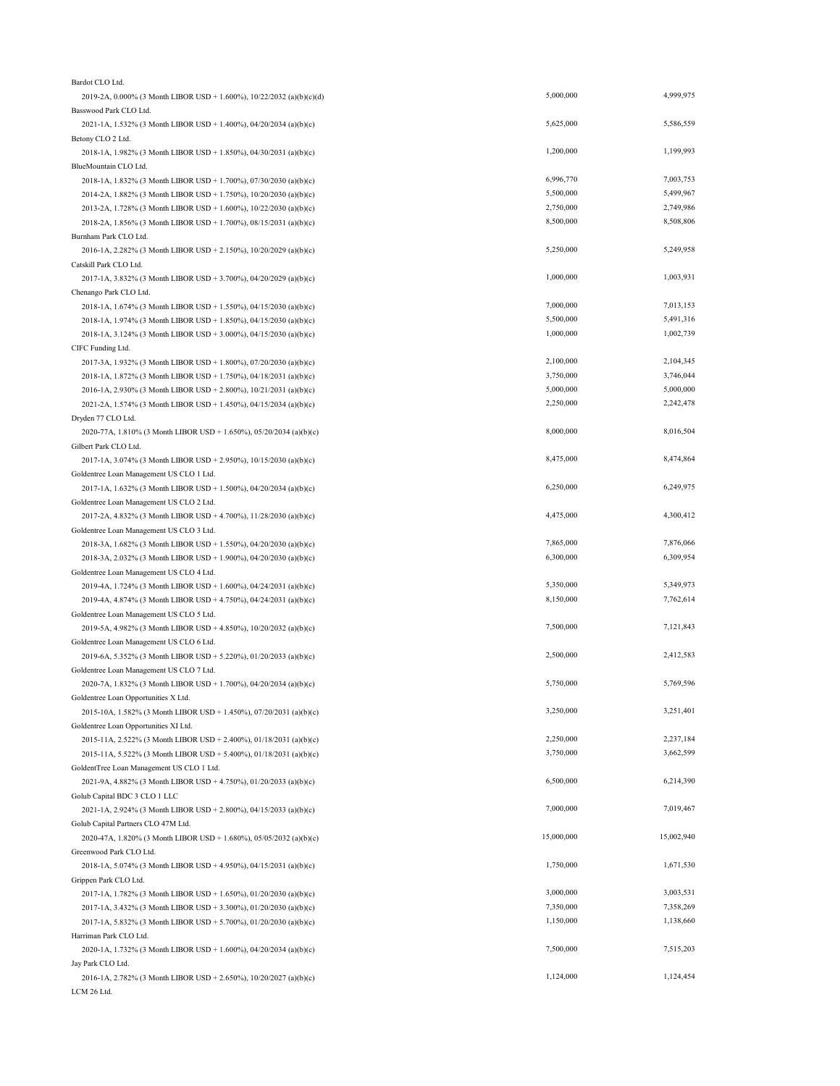| Bardot CLO Ltd.                                                         |            |            |
|-------------------------------------------------------------------------|------------|------------|
| 2019-2A, 0.000% (3 Month LIBOR USD + 1.600%), $10/22/2032$ (a)(b)(c)(d) | 5,000,000  | 4,999,975  |
| Basswood Park CLO Ltd.                                                  |            |            |
| 2021-1A, 1.532% (3 Month LIBOR USD + 1.400%), 04/20/2034 (a)(b)(c)      | 5,625,000  | 5,586,559  |
| Betony CLO 2 Ltd.                                                       |            |            |
| 2018-1A, 1.982% (3 Month LIBOR USD + 1.850%), 04/30/2031 (a)(b)(c)      | 1,200,000  | 1,199,993  |
| BlueMountain CLO Ltd.                                                   |            |            |
| 2018-1A, 1.832% (3 Month LIBOR USD + 1.700%), 07/30/2030 (a)(b)(c)      | 6,996,770  | 7,003,753  |
| 2014-2A, 1.882% (3 Month LIBOR USD + 1.750%), $10/20/2030$ (a)(b)(c)    | 5,500,000  | 5,499,967  |
| 2013-2A, 1.728% (3 Month LIBOR USD + 1.600%), 10/22/2030 (a)(b)(c)      | 2,750,000  | 2,749,986  |
| 2018-2A, 1.856% (3 Month LIBOR USD + 1.700%), 08/15/2031 (a)(b)(c)      | 8,500,000  | 8,508,806  |
| Burnham Park CLO Ltd.                                                   |            |            |
| 2016-1A, 2.282% (3 Month LIBOR USD + 2.150%), 10/20/2029 (a)(b)(c)      | 5,250,000  | 5,249,958  |
| Catskill Park CLO Ltd.                                                  |            |            |
| 2017-1A, 3.832% (3 Month LIBOR USD + 3.700%), 04/20/2029 (a)(b)(c)      | 1,000,000  | 1,003,931  |
| Chenango Park CLO Ltd.                                                  |            |            |
| 2018-1A, 1.674% (3 Month LIBOR USD + 1.550%), 04/15/2030 (a)(b)(c)      | 7,000,000  | 7,013,153  |
| 2018-1A, 1.974% (3 Month LIBOR USD + 1.850%), 04/15/2030 (a)(b)(c)      | 5,500,000  | 5,491,316  |
| 2018-1A, 3.124% (3 Month LIBOR USD + 3.000%), 04/15/2030 (a)(b)(c)      | 1,000,000  | 1,002,739  |
| CIFC Funding Ltd.                                                       |            |            |
| 2017-3A, 1.932% (3 Month LIBOR USD + 1.800%), 07/20/2030 (a)(b)(c)      | 2,100,000  | 2,104,345  |
| 2018-1A, 1.872% (3 Month LIBOR USD + 1.750%), 04/18/2031 (a)(b)(c)      | 3,750,000  | 3,746,044  |
| 2016-1A, 2.930% (3 Month LIBOR USD + 2.800%), 10/21/2031 (a)(b)(c)      | 5,000,000  | 5,000,000  |
| 2021-2A, 1.574% (3 Month LIBOR USD + 1.450%), 04/15/2034 (a)(b)(c)      | 2,250,000  | 2,242,478  |
| Dryden 77 CLO Ltd.                                                      |            |            |
| 2020-77A, 1.810% (3 Month LIBOR USD + 1.650%), 05/20/2034 (a)(b)(c)     | 8,000,000  | 8,016,504  |
| Gilbert Park CLO Ltd.                                                   |            |            |
| 2017-1A, 3.074% (3 Month LIBOR USD + 2.950%), 10/15/2030 (a)(b)(c)      | 8,475,000  | 8,474,864  |
| Goldentree Loan Management US CLO 1 Ltd.                                |            |            |
| 2017-1A, 1.632% (3 Month LIBOR USD + 1.500%), 04/20/2034 (a)(b)(c)      | 6,250,000  | 6,249,975  |
| Goldentree Loan Management US CLO 2 Ltd.                                |            |            |
| 2017-2A, 4.832% (3 Month LIBOR USD + 4.700%), 11/28/2030 (a)(b)(c)      | 4,475,000  | 4,300,412  |
| Goldentree Loan Management US CLO 3 Ltd.                                |            |            |
| 2018-3A, 1.682% (3 Month LIBOR USD + 1.550%), 04/20/2030 (a)(b)(c)      | 7,865,000  | 7,876,066  |
|                                                                         | 6,300,000  | 6,309,954  |
| 2018-3A, 2.032% (3 Month LIBOR USD + 1.900%), 04/20/2030 (a)(b)(c)      |            |            |
| Goldentree Loan Management US CLO 4 Ltd.                                | 5,350,000  | 5,349,973  |
| 2019-4A, 1.724% (3 Month LIBOR USD + 1.600%), 04/24/2031 (a)(b)(c)      | 8,150,000  | 7,762,614  |
| 2019-4A, 4.874% (3 Month LIBOR USD + 4.750%), 04/24/2031 (a)(b)(c)      |            |            |
| Goldentree Loan Management US CLO 5 Ltd.                                | 7,500,000  | 7,121,843  |
| 2019-5A, 4.982% (3 Month LIBOR USD + 4.850%), 10/20/2032 (a)(b)(c)      |            |            |
| Goldentree Loan Management US CLO 6 Ltd.                                | 2,500,000  | 2,412,583  |
| 2019-6A, 5.352% (3 Month LIBOR USD + 5.220%), 01/20/2033 (a)(b)(c)      |            |            |
| Goldentree Loan Management US CLO 7 Ltd.                                |            |            |
| 2020-7A, 1.832% (3 Month LIBOR USD + 1.700%), 04/20/2034 (a)(b)(c)      | 5,750,000  | 5,769,596  |
| Goldentree Loan Opportunities X Ltd.                                    |            |            |
| 2015-10A, 1.582% (3 Month LIBOR USD + 1.450%), 07/20/2031 (a)(b)(c)     | 3,250,000  | 3,251,401  |
| Goldentree Loan Opportunities XI Ltd.                                   |            |            |
| 2015-11A, 2.522% (3 Month LIBOR USD + 2.400%), 01/18/2031 (a)(b)(c)     | 2,250,000  | 2,237,184  |
| 2015-11A, 5.522% (3 Month LIBOR USD + 5.400%), 01/18/2031 (a)(b)(c)     | 3,750,000  | 3,662,599  |
| GoldentTree Loan Management US CLO 1 Ltd.                               |            |            |
| 2021-9A, 4.882% (3 Month LIBOR USD + 4.750%), 01/20/2033 (a)(b)(c)      | 6,500,000  | 6,214,390  |
| Golub Capital BDC 3 CLO 1 LLC                                           |            |            |
| 2021-1A, 2.924% (3 Month LIBOR USD + 2.800%), 04/15/2033 (a)(b)(c)      | 7,000,000  | 7,019,467  |
| Golub Capital Partners CLO 47M Ltd.                                     |            |            |
| 2020-47A, 1.820% (3 Month LIBOR USD + 1.680%), 05/05/2032 (a)(b)(c)     | 15,000,000 | 15,002,940 |
| Greenwood Park CLO Ltd.                                                 |            |            |
| 2018-1A, 5.074% (3 Month LIBOR USD + 4.950%), 04/15/2031 (a)(b)(c)      | 1,750,000  | 1,671,530  |
| Grippen Park CLO Ltd.                                                   |            |            |
| 2017-1A, 1.782% (3 Month LIBOR USD + 1.650%), 01/20/2030 (a)(b)(c)      | 3,000,000  | 3,003,531  |
| 2017-1A, 3.432% (3 Month LIBOR USD + 3.300%), 01/20/2030 (a)(b)(c)      | 7,350,000  | 7,358,269  |
| 2017-1A, 5.832% (3 Month LIBOR USD + 5.700%), 01/20/2030 (a)(b)(c)      | 1,150,000  | 1,138,660  |
| Harriman Park CLO Ltd.                                                  |            |            |
| 2020-1A, 1.732% (3 Month LIBOR USD + 1.600%), 04/20/2034 (a)(b)(c)      | 7,500,000  | 7,515,203  |
| Jay Park CLO Ltd.                                                       |            |            |
| 2016-1A, 2.782% (3 Month LIBOR USD + 2.650%), 10/20/2027 (a)(b)(c)      | 1,124,000  | 1,124,454  |
| LCM 26 Ltd.                                                             |            |            |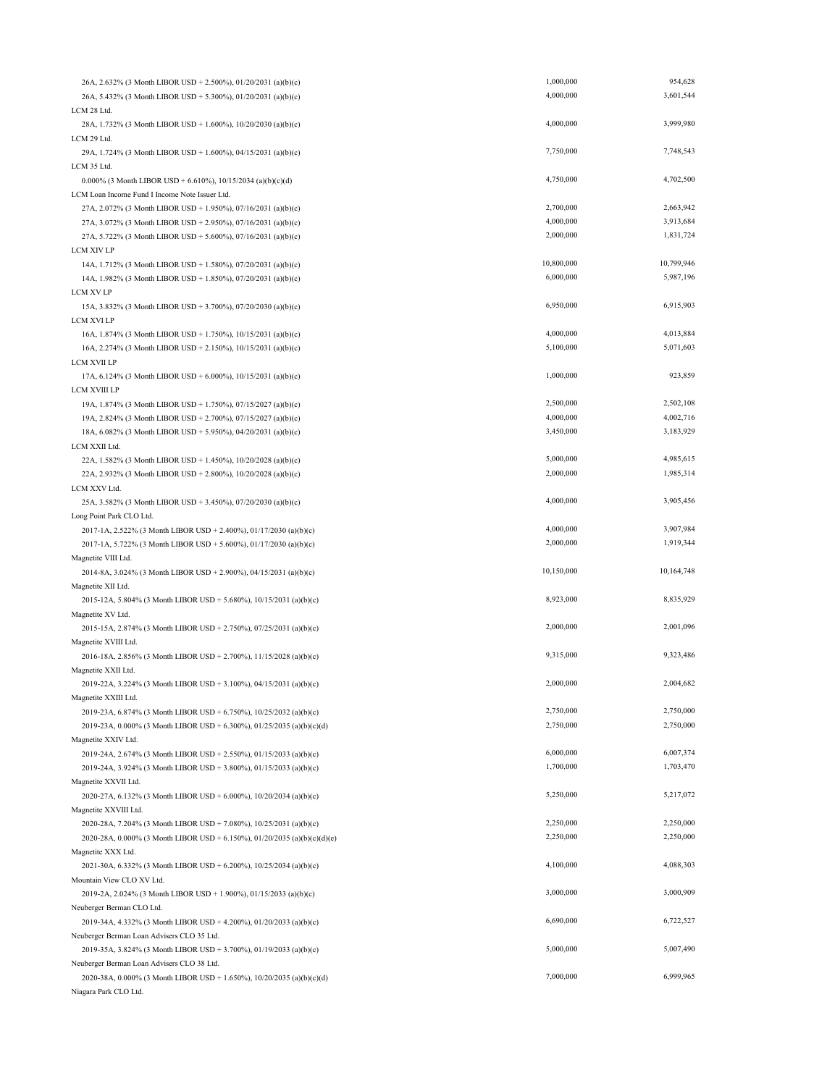| 26A, 2.632% (3 Month LIBOR USD + 2.500%), 01/20/2031 (a)(b)(c)                                                                   | 1,000,000  | 954,628    |
|----------------------------------------------------------------------------------------------------------------------------------|------------|------------|
| 26A, 5.432% (3 Month LIBOR USD + 5.300%), 01/20/2031 (a)(b)(c)                                                                   | 4,000,000  | 3,601,544  |
| LCM 28 Ltd.                                                                                                                      |            |            |
| 28A, 1.732% (3 Month LIBOR USD + 1.600%), 10/20/2030 (a)(b)(c)                                                                   | 4,000,000  | 3,999,980  |
| LCM 29 Ltd.                                                                                                                      |            |            |
| 29A, 1.724% (3 Month LIBOR USD + 1.600%), 04/15/2031 (a)(b)(c)                                                                   | 7,750,000  | 7,748,543  |
| LCM 35 Ltd.                                                                                                                      |            |            |
| 0.000% (3 Month LIBOR USD + 6.610%), 10/15/2034 (a)(b)(c)(d)                                                                     | 4,750,000  | 4,702,500  |
| LCM Loan Income Fund I Income Note Issuer Ltd.                                                                                   |            |            |
| 27A, 2.072% (3 Month LIBOR USD + 1.950%), 07/16/2031 (a)(b)(c)                                                                   | 2,700,000  | 2,663,942  |
| 27A, 3.072% (3 Month LIBOR USD + 2.950%), 07/16/2031 (a)(b)(c)                                                                   | 4,000,000  | 3,913,684  |
| 27A, 5.722% (3 Month LIBOR USD + 5.600%), 07/16/2031 (a)(b)(c)                                                                   | 2,000,000  | 1,831,724  |
| LCM XIV LP                                                                                                                       |            |            |
| 14A, 1.712% (3 Month LIBOR USD + 1.580%), 07/20/2031 (a)(b)(c)                                                                   | 10,800,000 | 10,799,946 |
| 14A, 1.982% (3 Month LIBOR USD + 1.850%), 07/20/2031 (a)(b)(c)                                                                   | 6,000,000  | 5,987,196  |
| LCM XV LP                                                                                                                        | 6,950,000  | 6,915,903  |
| 15A, 3.832% (3 Month LIBOR USD + 3.700%), 07/20/2030 (a)(b)(c)                                                                   |            |            |
| LCM XVI LP                                                                                                                       | 4,000,000  | 4,013,884  |
| 16A, 1.874% (3 Month LIBOR USD + 1.750%), 10/15/2031 (a)(b)(c)                                                                   | 5,100,000  | 5,071,603  |
| 16A, 2.274% (3 Month LIBOR USD + 2.150%), 10/15/2031 (a)(b)(c)<br>LCM XVII LP                                                    |            |            |
|                                                                                                                                  | 1,000,000  | 923,859    |
| 17A, 6.124% (3 Month LIBOR USD + 6.000%), 10/15/2031 (a)(b)(c)<br>LCM XVIII LP                                                   |            |            |
|                                                                                                                                  | 2,500,000  | 2,502,108  |
| 19A, 1.874% (3 Month LIBOR USD + 1.750%), 07/15/2027 (a)(b)(c)<br>19A, 2.824% (3 Month LIBOR USD + 2.700%), 07/15/2027 (a)(b)(c) | 4,000,000  | 4,002,716  |
| 18A, 6.082% (3 Month LIBOR USD + 5.950%), 04/20/2031 (a)(b)(c)                                                                   | 3,450,000  | 3,183,929  |
| LCM XXII Ltd.                                                                                                                    |            |            |
| 22A, 1.582% (3 Month LIBOR USD + 1.450%), 10/20/2028 (a)(b)(c)                                                                   | 5,000,000  | 4,985,615  |
| 22A, 2.932% (3 Month LIBOR USD + 2.800%), 10/20/2028 (a)(b)(c)                                                                   | 2,000,000  | 1,985,314  |
| LCM XXV Ltd.                                                                                                                     |            |            |
| 25A, 3.582% (3 Month LIBOR USD + 3.450%), 07/20/2030 (a)(b)(c)                                                                   | 4,000,000  | 3,905,456  |
| Long Point Park CLO Ltd.                                                                                                         |            |            |
| 2017-1A, 2.522% (3 Month LIBOR USD + 2.400%), 01/17/2030 (a)(b)(c)                                                               | 4,000,000  | 3,907,984  |
| 2017-1A, 5.722% (3 Month LIBOR USD + 5.600%), 01/17/2030 (a)(b)(c)                                                               | 2,000,000  | 1,919,344  |
| Magnetite VIII Ltd.                                                                                                              |            |            |
| 2014-8A, 3.024% (3 Month LIBOR USD + 2.900%), 04/15/2031 (a)(b)(c)                                                               | 10,150,000 | 10,164,748 |
| Magnetite XII Ltd.                                                                                                               |            |            |
| 2015-12A, 5.804% (3 Month LIBOR USD + 5.680%), 10/15/2031 (a)(b)(c)                                                              | 8,923,000  | 8,835,929  |
| Magnetite XV Ltd.                                                                                                                |            |            |
| 2015-15A, 2.874% (3 Month LIBOR USD + 2.750%), 07/25/2031 (a)(b)(c)                                                              | 2,000,000  | 2,001,096  |
| Magnetite XVIII Ltd.                                                                                                             |            |            |
| 2016-18A, 2.856% (3 Month LIBOR USD + 2.700%), 11/15/2028 (a)(b)(c)                                                              | 9,315,000  | 9,323,486  |
| Magnetite XXII Ltd.                                                                                                              |            |            |
| 2019-22A, 3.224% (3 Month LIBOR USD + 3.100%), 04/15/2031 (a)(b)(c)                                                              | 2,000,000  | 2,004,682  |
| Magnetite XXIII Ltd.                                                                                                             |            |            |
| 2019-23A, 6.874% (3 Month LIBOR USD + 6.750%), 10/25/2032 (a)(b)(c)                                                              | 2,750,000  | 2,750,000  |
| 2019-23A, 0.000% (3 Month LIBOR USD + 6.300%), 01/25/2035 (a)(b)(c)(d)                                                           | 2,750,000  | 2,750,000  |
| Magnetite XXIV Ltd.                                                                                                              |            |            |
| 2019-24A, 2.674% (3 Month LIBOR USD + 2.550%), 01/15/2033 (a)(b)(c)                                                              | 6,000,000  | 6,007,374  |
| 2019-24A, 3.924% (3 Month LIBOR USD + 3.800%), 01/15/2033 (a)(b)(c)                                                              | 1,700,000  | 1,703,470  |
| Magnetite XXVII Ltd.                                                                                                             |            |            |
| 2020-27A, 6.132% (3 Month LIBOR USD + 6.000%), 10/20/2034 (a)(b)(c)                                                              | 5,250,000  | 5,217,072  |
| Magnetite XXVIII Ltd.                                                                                                            | 2,250,000  | 2,250,000  |
| 2020-28A, 7.204% (3 Month LIBOR USD + 7.080%), 10/25/2031 (a)(b)(c)                                                              | 2,250,000  | 2,250,000  |
| 2020-28A, 0.000% (3 Month LIBOR USD + 6.150%), 01/20/2035 (a)(b)(c)(d)(e)                                                        |            |            |
| Magnetite XXX Ltd.<br>2021-30A, 6.332% (3 Month LIBOR USD + 6.200%), 10/25/2034 (a)(b)(c)                                        | 4,100,000  | 4,088,303  |
| Mountain View CLO XV Ltd.                                                                                                        |            |            |
| 2019-2A, 2.024% (3 Month LIBOR USD + 1.900%), 01/15/2033 (a)(b)(c)                                                               | 3,000,000  | 3,000,909  |
| Neuberger Berman CLO Ltd.                                                                                                        |            |            |
| 2019-34A, 4.332% (3 Month LIBOR USD + 4.200%), 01/20/2033 (a)(b)(c)                                                              | 6,690,000  | 6,722,527  |
| Neuberger Berman Loan Advisers CLO 35 Ltd.                                                                                       |            |            |
| 2019-35A, 3.824% (3 Month LIBOR USD + 3.700%), 01/19/2033 (a)(b)(c)                                                              | 5,000,000  | 5,007,490  |
| Neuberger Berman Loan Advisers CLO 38 Ltd.                                                                                       |            |            |
| 2020-38A, 0.000% (3 Month LIBOR USD + 1.650%), 10/20/2035 (a)(b)(c)(d)                                                           | 7,000,000  | 6,999,965  |
|                                                                                                                                  |            |            |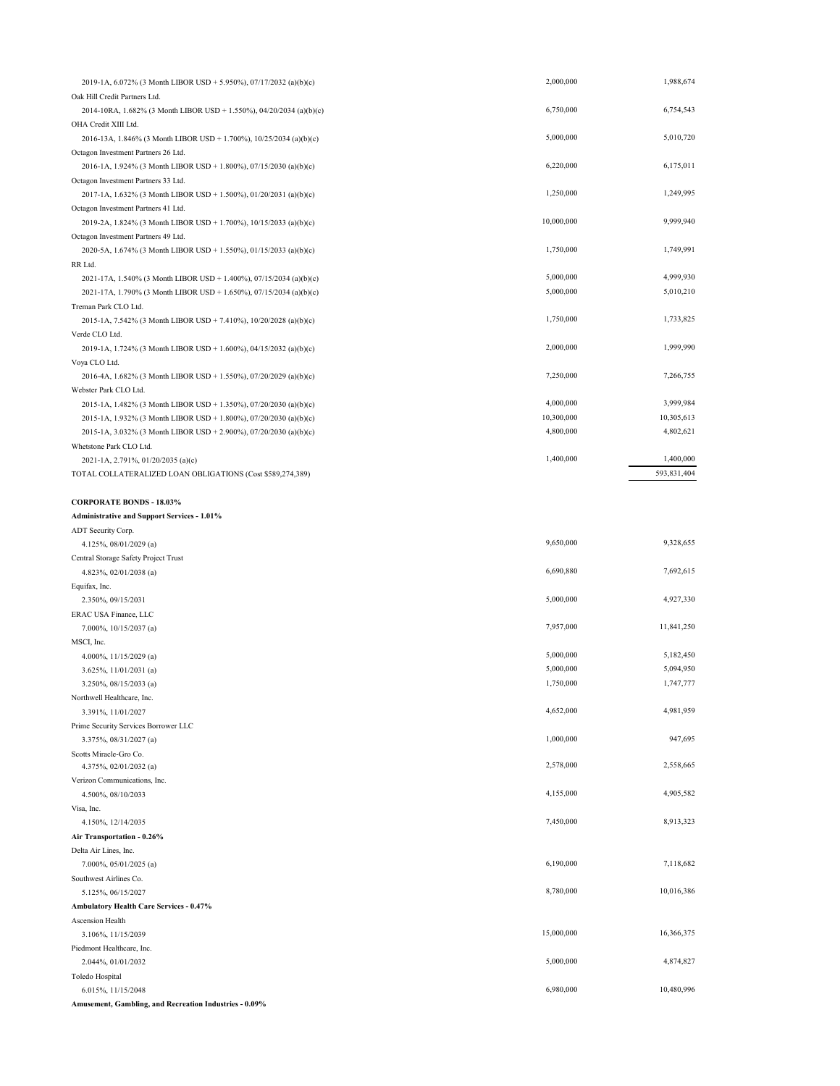| 2019-1A, 6.072% (3 Month LIBOR USD + 5.950%), 07/17/2032 (a)(b)(c)   | 2,000,000  | 1,988,674   |
|----------------------------------------------------------------------|------------|-------------|
| Oak Hill Credit Partners Ltd.                                        |            |             |
| 2014-10RA, 1.682% (3 Month LIBOR USD + 1.550%), 04/20/2034 (a)(b)(c) | 6,750,000  | 6,754,543   |
| OHA Credit XIII Ltd.                                                 |            |             |
| 2016-13A, 1.846% (3 Month LIBOR USD + 1.700%), 10/25/2034 (a)(b)(c)  | 5,000,000  | 5,010,720   |
| Octagon Investment Partners 26 Ltd.                                  |            |             |
| 2016-1A, 1.924% (3 Month LIBOR USD + 1.800%), 07/15/2030 (a)(b)(c)   | 6,220,000  | 6,175,011   |
| Octagon Investment Partners 33 Ltd.                                  |            |             |
| 2017-1A, 1.632% (3 Month LIBOR USD + 1.500%), 01/20/2031 (a)(b)(c)   | 1,250,000  | 1,249,995   |
| Octagon Investment Partners 41 Ltd.                                  |            |             |
| 2019-2A, 1.824% (3 Month LIBOR USD + 1.700%), 10/15/2033 (a)(b)(c)   | 10,000,000 | 9,999,940   |
| Octagon Investment Partners 49 Ltd.                                  |            |             |
| 2020-5A, 1.674% (3 Month LIBOR USD + 1.550%), 01/15/2033 (a)(b)(c)   | 1,750,000  | 1,749,991   |
| RR Ltd.                                                              |            |             |
| 2021-17A, 1.540% (3 Month LIBOR USD + 1.400%), 07/15/2034 (a)(b)(c)  | 5,000,000  | 4,999,930   |
| 2021-17A, 1.790% (3 Month LIBOR USD + 1.650%), 07/15/2034 (a)(b)(c)  | 5,000,000  | 5,010,210   |
| Treman Park CLO Ltd.                                                 |            |             |
| 2015-1A, 7.542% (3 Month LIBOR USD + 7.410%), 10/20/2028 (a)(b)(c)   | 1,750,000  | 1,733,825   |
| Verde CLO Ltd.                                                       |            |             |
| 2019-1A, 1.724% (3 Month LIBOR USD + 1.600%), 04/15/2032 (a)(b)(c)   | 2,000,000  | 1,999,990   |
| Voya CLO Ltd.                                                        |            |             |
| 2016-4A, 1.682% (3 Month LIBOR USD + 1.550%), 07/20/2029 (a)(b)(c)   | 7,250,000  | 7,266,755   |
| Webster Park CLO Ltd.                                                |            |             |
|                                                                      | 4,000,000  | 3,999,984   |
| 2015-1A, 1.482% (3 Month LIBOR USD + 1.350%), 07/20/2030 (a)(b)(c)   | 10,300,000 |             |
| 2015-1A, 1.932% (3 Month LIBOR USD + 1.800%), 07/20/2030 (a)(b)(c)   |            | 10,305,613  |
| 2015-1A, 3.032% (3 Month LIBOR USD + 2.900%), 07/20/2030 (a)(b)(c)   | 4,800,000  | 4,802,621   |
| Whetstone Park CLO Ltd.                                              |            |             |
| 2021-1A, 2.791%, 01/20/2035 (a)(c)                                   | 1,400,000  | 1,400,000   |
| TOTAL COLLATERALIZED LOAN OBLIGATIONS (Cost \$589,274,389)           |            | 593,831,404 |
|                                                                      |            |             |
| <b>CORPORATE BONDS - 18.03%</b>                                      |            |             |
| <b>Administrative and Support Services - 1.01%</b>                   |            |             |
| ADT Security Corp.                                                   |            |             |
| 4.125%, 08/01/2029 (a)                                               | 9,650,000  | 9,328,655   |
| Central Storage Safety Project Trust                                 |            |             |
| 4.823%, 02/01/2038 (a)                                               | 6,690,880  | 7,692,615   |
| Equifax, Inc.                                                        |            |             |
| 2.350%, 09/15/2031                                                   | 5,000,000  | 4,927,330   |
| ERAC USA Finance, LLC                                                |            |             |
| 7.000%, 10/15/2037 (a)                                               | 7,957,000  | 11,841,250  |
| MSCI, Inc.                                                           |            |             |
| 4.000%, 11/15/2029 (a)                                               | 5,000,000  | 5,182,450   |
| 3.625%, 11/01/2031 (a)                                               | 5,000,000  | 5,094,950   |
| 3.250%, 08/15/2033 (a)                                               | 1,750,000  | 1,747,777   |
| Northwell Healthcare, Inc.                                           |            |             |
| 3.391%, 11/01/2027                                                   | 4,652,000  | 4,981,959   |
| Prime Security Services Borrower LLC                                 |            |             |
| 3.375%, 08/31/2027 (a)                                               | 1,000,000  | 947,695     |
| Scotts Miracle-Gro Co.                                               |            |             |
| 4.375%, 02/01/2032 (a)                                               | 2,578,000  | 2,558,665   |
| Verizon Communications, Inc.                                         |            |             |
| 4.500%, 08/10/2033                                                   | 4,155,000  | 4,905,582   |
| Visa, Inc.                                                           |            |             |
| 4.150%, 12/14/2035                                                   | 7,450,000  | 8,913,323   |
| Air Transportation - 0.26%                                           |            |             |
| Delta Air Lines, Inc.                                                |            |             |
| 7.000%, 05/01/2025 (a)                                               | 6,190,000  | 7,118,682   |
|                                                                      |            |             |
| Southwest Airlines Co.                                               | 8,780,000  | 10,016,386  |
| 5.125%, 06/15/2027                                                   |            |             |
| Ambulatory Health Care Services - 0.47%                              |            |             |
| Ascension Health                                                     |            |             |
| 3.106%, 11/15/2039                                                   | 15,000,000 | 16,366,375  |
| Piedmont Healthcare, Inc.                                            |            |             |
| 2.044%, 01/01/2032                                                   | 5,000,000  | 4,874,827   |
| Toledo Hospital                                                      |            |             |
| 6.015%, 11/15/2048                                                   | 6,980,000  | 10,480,996  |
| Amusement, Gambling, and Recreation Industries - 0.09%               |            |             |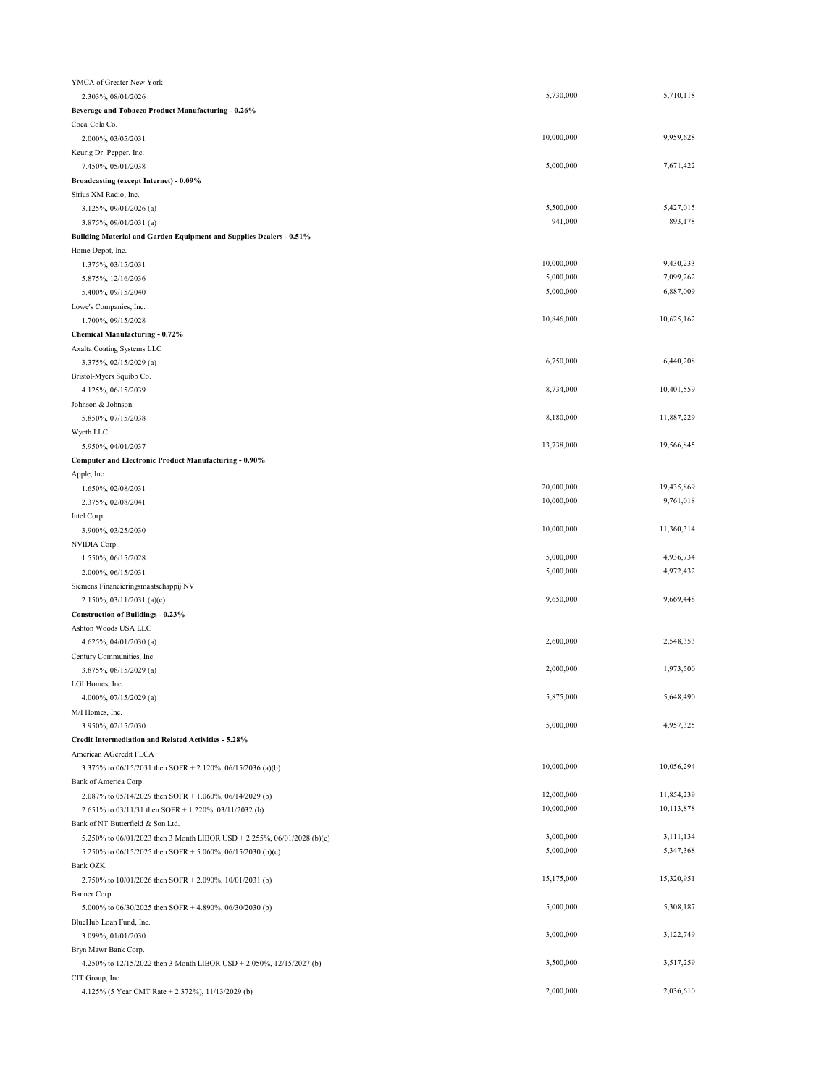| YMCA of Greater New York                                                |            |            |
|-------------------------------------------------------------------------|------------|------------|
| 2.303%, 08/01/2026                                                      | 5,730,000  | 5,710,118  |
| Beverage and Tobacco Product Manufacturing - 0.26%                      |            |            |
| Coca-Cola Co.                                                           |            |            |
| 2.000%, 03/05/2031                                                      | 10,000,000 | 9,959,628  |
| Keurig Dr. Pepper, Inc.                                                 |            |            |
| 7.450%, 05/01/2038                                                      | 5,000,000  | 7,671,422  |
| Broadcasting (except Internet) - 0.09%                                  |            |            |
| Sirius XM Radio, Inc.                                                   |            |            |
| 3.125%, 09/01/2026 (a)                                                  | 5,500,000  | 5,427,015  |
| 3.875%, 09/01/2031 (a)                                                  | 941,000    | 893,178    |
| Building Material and Garden Equipment and Supplies Dealers - 0.51%     |            |            |
| Home Depot, Inc.                                                        |            |            |
| 1.375%, 03/15/2031                                                      | 10,000,000 | 9,430,233  |
| 5.875%, 12/16/2036                                                      | 5,000,000  | 7,099,262  |
| 5.400%, 09/15/2040                                                      | 5,000,000  | 6,887,009  |
| Lowe's Companies, Inc.                                                  |            |            |
| 1.700%, 09/15/2028                                                      | 10,846,000 | 10,625,162 |
| Chemical Manufacturing - 0.72%                                          |            |            |
| Axalta Coating Systems LLC                                              |            | 6,440,208  |
| 3.375%, 02/15/2029 (a)                                                  | 6,750,000  |            |
| Bristol-Myers Squibb Co.                                                | 8,734,000  | 10,401,559 |
| 4.125%, 06/15/2039                                                      |            |            |
| Johnson & Johnson                                                       | 8,180,000  | 11,887,229 |
| 5.850%, 07/15/2038                                                      |            |            |
| Wyeth LLC<br>5.950%, 04/01/2037                                         | 13,738,000 | 19,566,845 |
|                                                                         |            |            |
| Computer and Electronic Product Manufacturing - 0.90%<br>Apple, Inc.    |            |            |
| 1.650%, 02/08/2031                                                      | 20,000,000 | 19,435,869 |
| 2.375%, 02/08/2041                                                      | 10,000,000 | 9,761,018  |
| Intel Corp.                                                             |            |            |
| 3.900%, 03/25/2030                                                      | 10,000,000 | 11,360,314 |
| NVIDIA Corp.                                                            |            |            |
| 1.550%, 06/15/2028                                                      | 5,000,000  | 4,936,734  |
| 2.000%, 06/15/2031                                                      | 5,000,000  | 4,972,432  |
| Siemens Financieringsmaatschappij NV                                    |            |            |
| $2.150\%, 03/11/2031$ (a)(c)                                            | 9,650,000  | 9,669,448  |
| <b>Construction of Buildings - 0.23%</b>                                |            |            |
| Ashton Woods USA LLC                                                    |            |            |
| 4.625%, 04/01/2030 (a)                                                  | 2,600,000  | 2,548,353  |
| Century Communities, Inc.                                               |            |            |
| 3.875%, 08/15/2029 (a)                                                  | 2,000,000  | 1,973,500  |
| LGI Homes, Inc.                                                         |            |            |
| 4.000%, 07/15/2029 (a)                                                  | 5,875,000  | 5,648,490  |
| M/I Homes, Inc.                                                         |            |            |
| 3.950%, 02/15/2030                                                      | 5,000,000  | 4,957,325  |
| Credit Intermediation and Related Activities - 5.28%                    |            |            |
| American AGcredit FLCA                                                  |            |            |
| 3.375% to 06/15/2031 then SOFR + 2.120%, 06/15/2036 (a)(b)              | 10,000,000 | 10,056,294 |
| Bank of America Corp.                                                   |            |            |
| 2.087% to 05/14/2029 then SOFR + 1.060%, 06/14/2029 (b)                 | 12,000,000 | 11,854,239 |
| 2.651% to 03/11/31 then SOFR + 1.220%, 03/11/2032 (b)                   | 10,000,000 | 10,113,878 |
| Bank of NT Butterfield & Son Ltd.                                       |            |            |
| 5.250% to 06/01/2023 then 3 Month LIBOR USD + 2.255%, 06/01/2028 (b)(c) | 3,000,000  | 3,111,134  |
| 5.250% to 06/15/2025 then SOFR + 5.060%, 06/15/2030 (b)(c)              | 5,000,000  | 5,347,368  |
| <b>Bank OZK</b>                                                         |            |            |
| 2.750% to 10/01/2026 then SOFR + 2.090%, 10/01/2031 (b)                 | 15,175,000 | 15,320,951 |
| Banner Corp.                                                            |            |            |
| 5.000% to 06/30/2025 then SOFR + 4.890%, 06/30/2030 (b)                 | 5,000,000  | 5,308,187  |
| BlueHub Loan Fund, Inc.                                                 |            |            |
| 3.099%, 01/01/2030                                                      | 3,000,000  | 3,122,749  |
| Bryn Mawr Bank Corp.                                                    |            |            |
| 4.250% to 12/15/2022 then 3 Month LIBOR USD + 2.050%, 12/15/2027 (b)    | 3,500,000  | 3,517,259  |
| CIT Group, Inc.                                                         |            |            |
| 4.125% (5 Year CMT Rate + 2.372%), 11/13/2029 (b)                       | 2,000,000  | 2,036,610  |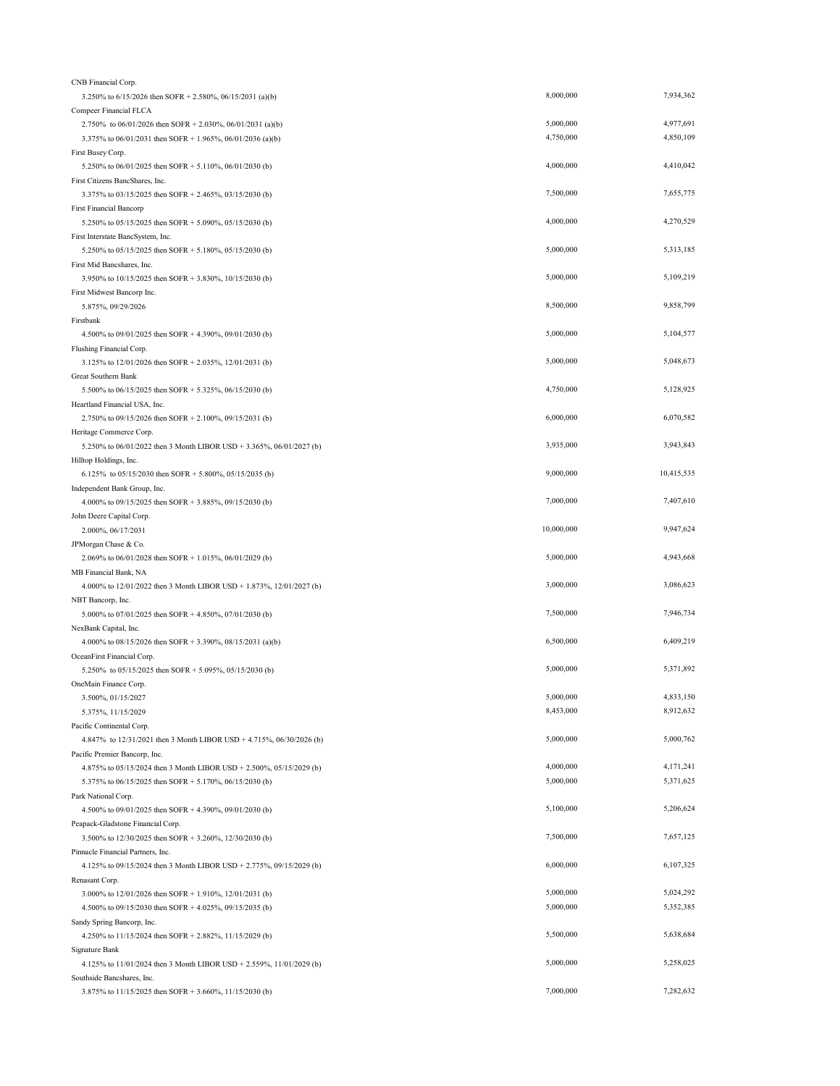| CNB Financial Corp.                                                                 |            |            |
|-------------------------------------------------------------------------------------|------------|------------|
| 3.250% to 6/15/2026 then SOFR + 2.580%, 06/15/2031 (a)(b)                           | 8,000,000  | 7,934,362  |
| Compeer Financial FLCA                                                              |            |            |
| 2.750% to 06/01/2026 then SOFR + 2.030%, 06/01/2031 (a)(b)                          | 5,000,000  | 4,977,691  |
| 3.375% to 06/01/2031 then SOFR + 1.965%, 06/01/2036 (a)(b)                          | 4,750,000  | 4,850,109  |
| First Busey Corp.                                                                   |            |            |
| 5.250% to 06/01/2025 then SOFR + 5.110%, 06/01/2030 (b)                             | 4,000,000  | 4,410,042  |
| First Citizens BancShares, Inc.                                                     |            |            |
| 3.375% to 03/15/2025 then SOFR + 2.465%, 03/15/2030 (b)                             | 7,500,000  | 7,655,775  |
| <b>First Financial Bancorp</b>                                                      |            |            |
| 5.250% to 05/15/2025 then SOFR + 5.090%, 05/15/2030 (b)                             | 4,000,000  | 4,270,529  |
| First Interstate BancSystem, Inc.                                                   |            |            |
| 5.250% to 05/15/2025 then SOFR + 5.180%, 05/15/2030 (b)                             | 5,000,000  | 5,313,185  |
| First Mid Bancshares, Inc.                                                          |            |            |
| 3.950% to 10/15/2025 then SOFR + 3.830%, 10/15/2030 (b)                             | 5,000,000  | 5,109,219  |
| First Midwest Bancorp Inc.                                                          |            |            |
| 5.875%, 09/29/2026                                                                  | 8,500,000  | 9,858,799  |
| Firstbank                                                                           |            |            |
|                                                                                     | 5,000,000  | 5,104,577  |
| 4.500% to 09/01/2025 then SOFR + 4.390%, 09/01/2030 (b)<br>Flushing Financial Corp. |            |            |
|                                                                                     | 5,000,000  | 5,048,673  |
| 3.125% to 12/01/2026 then SOFR + 2.035%, 12/01/2031 (b)                             |            |            |
| Great Southern Bank                                                                 |            | 5,128,925  |
| 5.500% to 06/15/2025 then SOFR + 5.325%, 06/15/2030 (b)                             | 4,750,000  |            |
| Heartland Financial USA, Inc.                                                       |            |            |
| 2.750% to 09/15/2026 then SOFR + 2.100%, 09/15/2031 (b)                             | 6,000,000  | 6,070,582  |
| Heritage Commerce Corp.                                                             |            |            |
| 5.250% to 06/01/2022 then 3 Month LIBOR USD + 3.365%, 06/01/2027 (b)                | 3,935,000  | 3,943,843  |
| Hilltop Holdings, Inc.                                                              |            |            |
| 6.125% to 05/15/2030 then SOFR + 5.800%, 05/15/2035 (b)                             | 9,000,000  | 10,415,535 |
| Independent Bank Group, Inc.                                                        |            |            |
| 4.000% to 09/15/2025 then SOFR + 3.885%, 09/15/2030 (b)                             | 7,000,000  | 7,407,610  |
| John Deere Capital Corp.                                                            |            |            |
| 2.000%, 06/17/2031                                                                  | 10,000,000 | 9,947,624  |
| JPMorgan Chase & Co.                                                                |            |            |
| 2.069% to 06/01/2028 then SOFR + 1.015%, 06/01/2029 (b)                             | 5,000,000  | 4,943,668  |
| MB Financial Bank, NA                                                               |            |            |
| 4.000% to 12/01/2022 then 3 Month LIBOR USD + 1.873%, 12/01/2027 (b)                | 3,000,000  | 3,086,623  |
| NBT Bancorp, Inc.                                                                   |            |            |
| 5.000% to 07/01/2025 then SOFR + 4.850%, 07/01/2030 (b)                             | 7,500,000  | 7,946,734  |
| NexBank Capital, Inc.                                                               |            |            |
| 4.000% to 08/15/2026 then SOFR + 3.390%, 08/15/2031 (a)(b)                          | 6,500,000  | 6,409,219  |
| OceanFirst Financial Corp.                                                          |            |            |
|                                                                                     |            |            |
| 5.250% to 05/15/2025 then SOFR + 5.095%, 05/15/2030 (b)                             | 5,000,000  | 5,371,892  |
|                                                                                     |            |            |
| OneMain Finance Corp.                                                               | 5,000,000  | 4,833,150  |
| 3.500%, 01/15/2027                                                                  |            |            |
| 5.375%, 11/15/2029                                                                  | 8,453,000  | 8,912,632  |
| Pacific Continental Corp.                                                           |            | 5,000,762  |
| 4.847% to 12/31/2021 then 3 Month LIBOR USD + 4.715%, 06/30/2026 (b)                | 5,000,000  |            |
| Pacific Premier Bancorp, Inc.                                                       |            |            |
| 4.875% to 05/15/2024 then 3 Month LIBOR USD + 2.500%, 05/15/2029 (b)                | 4,000,000  | 4,171,241  |
| 5.375% to 06/15/2025 then SOFR + 5.170%, 06/15/2030 (b)                             | 5,000,000  | 5,371,625  |
| Park National Corp.                                                                 |            |            |
| 4.500% to 09/01/2025 then SOFR + 4.390%, 09/01/2030 (b)                             | 5,100,000  | 5,206,624  |
| Peapack-Gladstone Financial Corp.                                                   |            |            |
| 3.500% to 12/30/2025 then SOFR + 3.260%, 12/30/2030 (b)                             | 7,500,000  | 7,657,125  |
| Pinnacle Financial Partners, Inc.                                                   |            |            |
| 4.125% to 09/15/2024 then 3 Month LIBOR USD + 2.775%, 09/15/2029 (b)                | 6,000,000  | 6,107,325  |
| Renasant Corp.                                                                      |            |            |
| 3.000% to 12/01/2026 then SOFR + 1.910%, 12/01/2031 (b)                             | 5,000,000  | 5,024,292  |
| 4.500% to 09/15/2030 then SOFR + 4.025%, 09/15/2035 (b)                             | 5,000,000  | 5,352,385  |
| Sandy Spring Bancorp, Inc.                                                          |            |            |
| 4.250% to 11/15/2024 then SOFR + 2.882%, 11/15/2029 (b)                             | 5,500,000  | 5,638,684  |
| Signature Bank                                                                      |            |            |
| 4.125% to 11/01/2024 then 3 Month LIBOR USD + 2.559%, 11/01/2029 (b)                | 5,000,000  | 5,258,025  |
| Southside Bancshares, Inc.                                                          |            |            |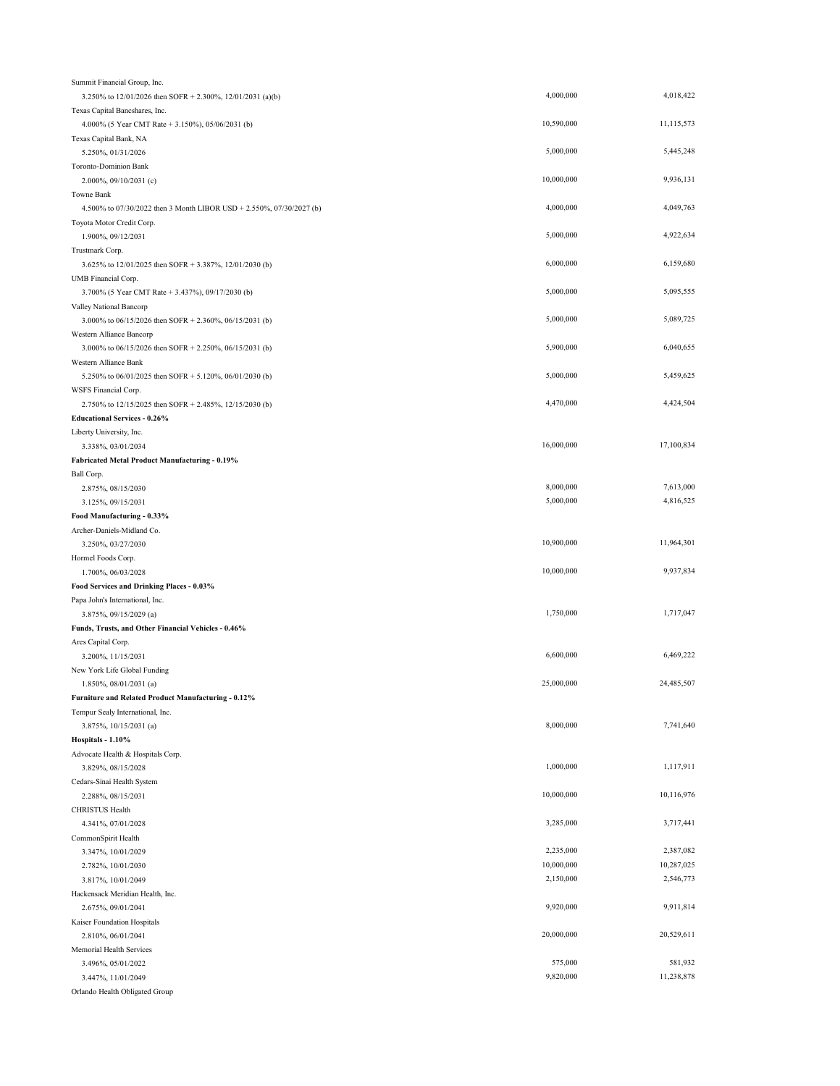| Summit Financial Group, Inc.                                         |            |            |
|----------------------------------------------------------------------|------------|------------|
| 3.250% to 12/01/2026 then SOFR + 2.300%, 12/01/2031 (a)(b)           | 4,000,000  | 4,018,422  |
| Texas Capital Bancshares, Inc.                                       |            |            |
| 4.000% (5 Year CMT Rate + 3.150%), 05/06/2031 (b)                    | 10,590,000 | 11,115,573 |
| Texas Capital Bank, NA                                               |            |            |
| 5.250%, 01/31/2026                                                   | 5,000,000  | 5,445,248  |
| Toronto-Dominion Bank                                                |            |            |
| 2.000%, 09/10/2031 (c)                                               | 10,000,000 | 9,936,131  |
| Towne Bank                                                           |            |            |
| 4.500% to 07/30/2022 then 3 Month LIBOR USD + 2.550%, 07/30/2027 (b) | 4,000,000  | 4,049,763  |
| Toyota Motor Credit Corp.                                            |            |            |
| 1.900%, 09/12/2031                                                   | 5,000,000  | 4,922,634  |
| Trustmark Corp.                                                      |            |            |
| 3.625% to 12/01/2025 then SOFR + 3.387%, 12/01/2030 (b)              | 6,000,000  | 6,159,680  |
| UMB Financial Corp.                                                  |            |            |
| 3.700% (5 Year CMT Rate + 3.437%), 09/17/2030 (b)                    | 5,000,000  | 5,095,555  |
| Valley National Bancorp                                              |            |            |
| 3.000% to 06/15/2026 then SOFR + 2.360%, 06/15/2031 (b)              | 5,000,000  | 5,089,725  |
| Western Alliance Bancorp                                             |            |            |
| 3.000% to 06/15/2026 then SOFR + 2.250%, 06/15/2031 (b)              | 5,900,000  | 6,040,655  |
|                                                                      |            |            |
| Western Alliance Bank                                                | 5,000,000  | 5,459,625  |
| 5.250% to 06/01/2025 then SOFR + 5.120%, 06/01/2030 (b)              |            |            |
| WSFS Financial Corp.                                                 |            |            |
| 2.750% to 12/15/2025 then SOFR + 2.485%, 12/15/2030 (b)              | 4,470,000  | 4,424,504  |
| <b>Educational Services - 0.26%</b>                                  |            |            |
| Liberty University, Inc.                                             |            |            |
| 3.338%, 03/01/2034                                                   | 16,000,000 | 17,100,834 |
| Fabricated Metal Product Manufacturing - 0.19%                       |            |            |
| Ball Corp.                                                           |            |            |
| 2.875%, 08/15/2030                                                   | 8,000,000  | 7,613,000  |
| 3.125%, 09/15/2031                                                   | 5,000,000  | 4,816,525  |
| Food Manufacturing - 0.33%                                           |            |            |
| Archer-Daniels-Midland Co.                                           |            |            |
| 3.250%, 03/27/2030                                                   | 10,900,000 | 11,964,301 |
| Hormel Foods Corp.                                                   |            |            |
| 1.700%, 06/03/2028                                                   | 10,000,000 | 9,937,834  |
| Food Services and Drinking Places - 0.03%                            |            |            |
| Papa John's International, Inc.                                      |            |            |
| 3.875%, 09/15/2029 (a)                                               | 1,750,000  | 1,717,047  |
| Funds, Trusts, and Other Financial Vehicles - 0.46%                  |            |            |
| Ares Capital Corp.                                                   |            |            |
| 3.200%, 11/15/2031                                                   | 6,600,000  | 6,469,222  |
|                                                                      |            |            |
| New York Life Global Funding                                         | 25,000,000 | 24,485,507 |
| 1.850%, 08/01/2031 (a)                                               |            |            |
| Furniture and Related Product Manufacturing - 0.12%                  |            |            |
| Tempur Sealy International, Inc.                                     |            |            |
| 3.875%, 10/15/2031 (a)                                               | 8,000,000  | 7,741,640  |
| Hospitals - 1.10%                                                    |            |            |
| Advocate Health & Hospitals Corp.                                    |            |            |
| 3.829%, 08/15/2028                                                   | 1,000,000  | 1,117,911  |
| Cedars-Sinai Health System                                           |            |            |
| 2.288%, 08/15/2031                                                   | 10,000,000 | 10,116,976 |
| CHRISTUS Health                                                      |            |            |
| 4.341%, 07/01/2028                                                   | 3,285,000  | 3,717,441  |
| CommonSpirit Health                                                  |            |            |
| 3.347%, 10/01/2029                                                   | 2,235,000  | 2,387,082  |
| 2.782%, 10/01/2030                                                   | 10,000,000 | 10,287,025 |
| 3.817%, 10/01/2049                                                   | 2,150,000  | 2,546,773  |
| Hackensack Meridian Health, Inc.                                     |            |            |
| 2.675%, 09/01/2041                                                   | 9,920,000  | 9,911,814  |
| Kaiser Foundation Hospitals                                          |            |            |
|                                                                      | 20,000,000 | 20,529,611 |
| 2.810%, 06/01/2041                                                   |            |            |
| Memorial Health Services                                             |            |            |
| 3.496%, 05/01/2022                                                   | 575,000    | 581,932    |
| 3.447%, 11/01/2049                                                   | 9,820,000  | 11,238,878 |
| Orlando Health Obligated Group                                       |            |            |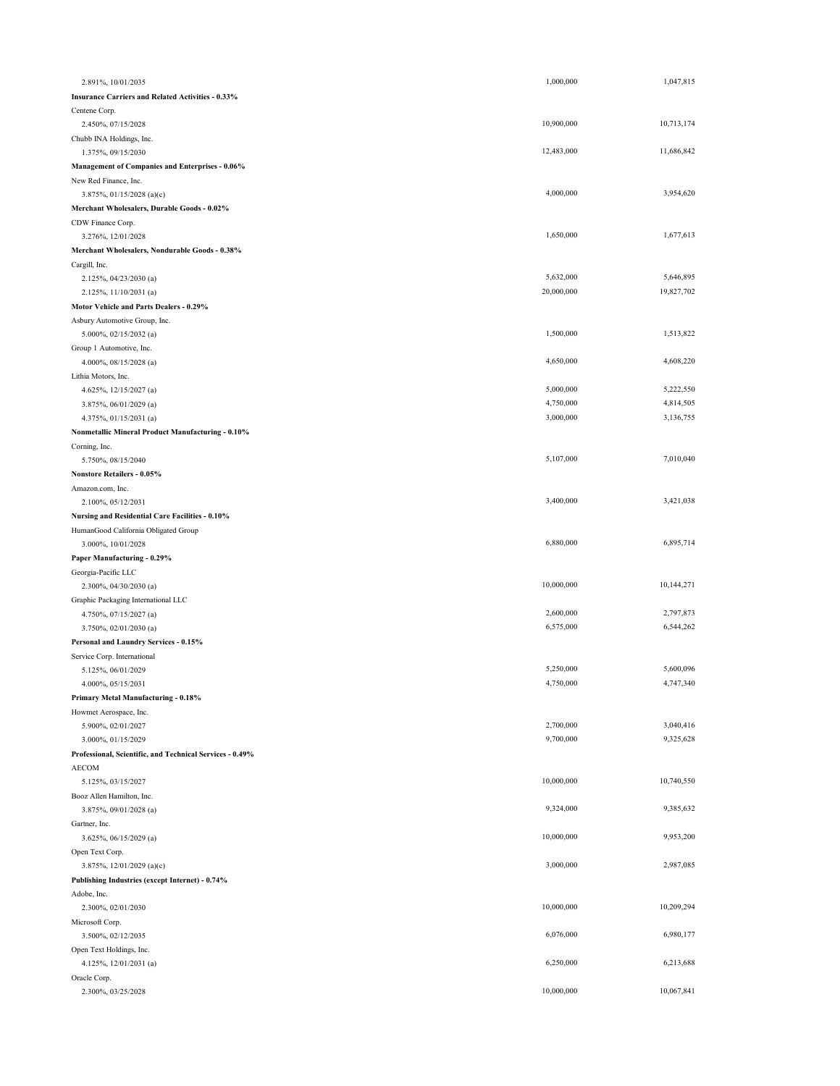| 2.891%, 10/01/2035                                         | 1,000,000  | 1,047,815  |
|------------------------------------------------------------|------------|------------|
| <b>Insurance Carriers and Related Activities - 0.33%</b>   |            |            |
| Centene Corp.                                              |            |            |
| 2.450%, 07/15/2028                                         | 10,900,000 | 10,713,174 |
| Chubb INA Holdings, Inc.                                   |            |            |
| 1.375%, 09/15/2030                                         | 12,483,000 | 11,686,842 |
| Management of Companies and Enterprises - 0.06%            |            |            |
| New Red Finance, Inc.                                      |            |            |
| 3.875%, $01/15/2028$ (a)(c)                                | 4,000,000  | 3,954,620  |
| Merchant Wholesalers, Durable Goods - 0.02%                |            |            |
| CDW Finance Corp.                                          |            |            |
| 3.276%, 12/01/2028                                         | 1,650,000  | 1,677,613  |
| Merchant Wholesalers, Nondurable Goods - 0.38%             |            |            |
| Cargill, Inc.                                              |            |            |
| 2.125%, 04/23/2030 (a)                                     | 5,632,000  | 5,646,895  |
| 2.125%, 11/10/2031 (a)                                     | 20,000,000 | 19,827,702 |
| <b>Motor Vehicle and Parts Dealers - 0.29%</b>             |            |            |
| Asbury Automotive Group, Inc.                              |            |            |
| 5.000%, 02/15/2032 (a)                                     | 1,500,000  | 1,513,822  |
| Group 1 Automotive, Inc.                                   |            |            |
| 4.000%, 08/15/2028 (a)                                     | 4,650,000  | 4,608,220  |
| Lithia Motors, Inc.                                        |            |            |
| 4.625%, 12/15/2027 (a)                                     | 5,000,000  | 5,222,550  |
| 3.875%, 06/01/2029 (a)                                     | 4,750,000  | 4,814,505  |
| 4.375%, 01/15/2031 (a)                                     | 3,000,000  | 3,136,755  |
| Nonmetallic Mineral Product Manufacturing - 0.10%          |            |            |
| Corning, Inc.                                              |            |            |
| 5.750%, 08/15/2040                                         | 5,107,000  | 7,010,040  |
| <b>Nonstore Retailers - 0.05%</b>                          |            |            |
| Amazon.com, Inc.                                           | 3,400,000  | 3,421,038  |
| 2.100%, 05/12/2031                                         |            |            |
| Nursing and Residential Care Facilities - 0.10%            |            |            |
| HumanGood California Obligated Group<br>3.000%, 10/01/2028 | 6,880,000  | 6,895,714  |
| Paper Manufacturing - 0.29%                                |            |            |
| Georgia-Pacific LLC                                        |            |            |
| 2.300%, 04/30/2030 (a)                                     | 10,000,000 | 10,144,271 |
| Graphic Packaging International LLC                        |            |            |
| 4.750%, 07/15/2027 (a)                                     | 2,600,000  | 2,797,873  |
| 3.750%, 02/01/2030 (a)                                     | 6,575,000  | 6,544,262  |
| Personal and Laundry Services - 0.15%                      |            |            |
| Service Corp. International                                |            |            |
| 5.125%, 06/01/2029                                         | 5,250,000  | 5,600,096  |
| 4.000%, 05/15/2031                                         | 4,750,000  | 4,747,340  |
| Primary Metal Manufacturing - 0.18%                        |            |            |
| Howmet Aerospace, Inc.                                     |            |            |
| 5.900%, 02/01/2027                                         | 2,700,000  | 3,040,416  |
| 3.000%, 01/15/2029                                         | 9,700,000  | 9,325,628  |
| Professional, Scientific, and Technical Services - 0.49%   |            |            |
| AECOM                                                      |            |            |
| 5.125%, 03/15/2027                                         | 10,000,000 | 10,740,550 |
| Booz Allen Hamilton, Inc.                                  |            |            |
| 3.875%, 09/01/2028 (a)                                     | 9,324,000  | 9,385,632  |
| Gartner, Inc.                                              |            |            |
| 3.625%, 06/15/2029 (a)                                     | 10,000,000 | 9,953,200  |
| Open Text Corp.                                            |            |            |
| 3.875%, 12/01/2029 (a)(c)                                  | 3,000,000  | 2,987,085  |
| Publishing Industries (except Internet) - 0.74%            |            |            |
| Adobe, Inc.                                                |            |            |
| 2.300%, 02/01/2030                                         | 10,000,000 | 10,209,294 |
| Microsoft Corp.                                            |            |            |
| 3.500%, 02/12/2035                                         | 6,076,000  | 6,980,177  |
| Open Text Holdings, Inc.                                   |            |            |
| 4.125%, 12/01/2031 (a)                                     | 6,250,000  | 6,213,688  |
| Oracle Corp.                                               |            |            |
| 2.300%, 03/25/2028                                         | 10,000,000 | 10,067,841 |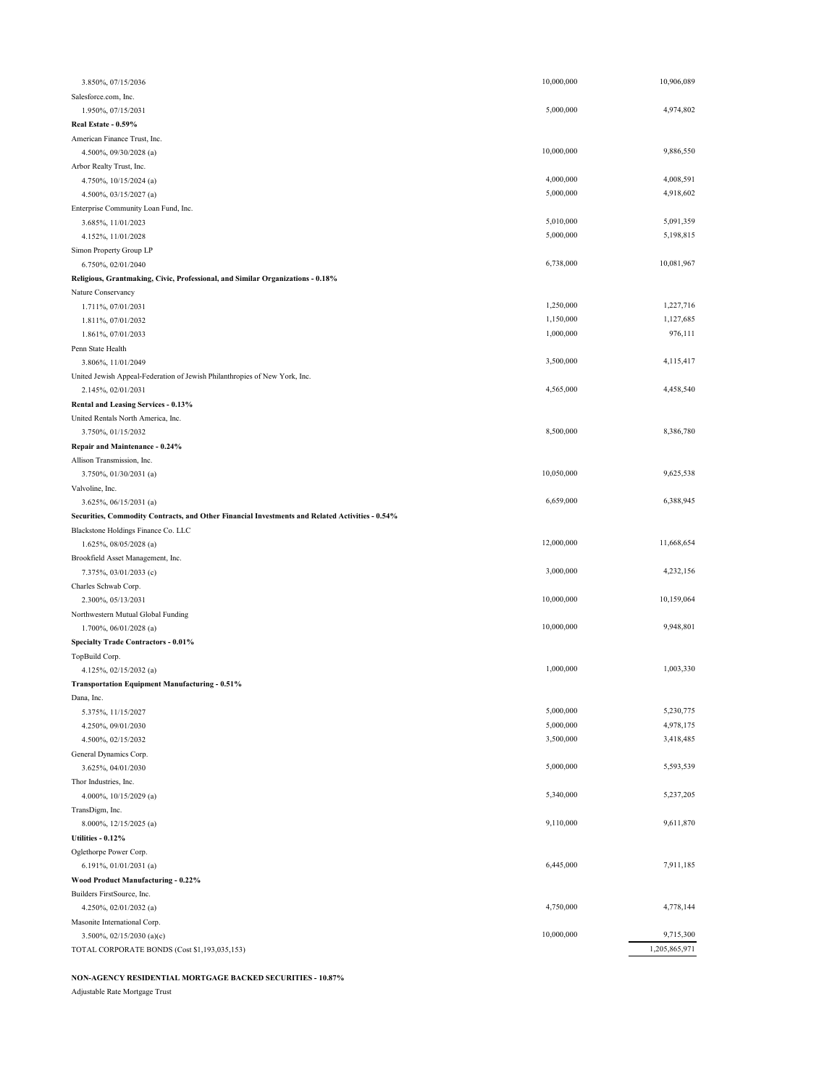| 3.850%, 07/15/2036                                                                              | 10,000,000 | 10,906,089    |
|-------------------------------------------------------------------------------------------------|------------|---------------|
| Salesforce.com, Inc.                                                                            |            |               |
| 1.950%, 07/15/2031                                                                              | 5,000,000  | 4,974,802     |
| Real Estate - 0.59%                                                                             |            |               |
| American Finance Trust, Inc.                                                                    |            |               |
| 4.500%, 09/30/2028 (a)                                                                          | 10,000,000 | 9,886,550     |
| Arbor Realty Trust, Inc.                                                                        |            |               |
| 4.750%, 10/15/2024 (a)                                                                          | 4,000,000  | 4,008,591     |
| 4.500%, 03/15/2027 (a)                                                                          | 5,000,000  | 4,918,602     |
| Enterprise Community Loan Fund, Inc.                                                            |            |               |
| 3.685%, 11/01/2023                                                                              | 5,010,000  | 5,091,359     |
| 4.152%, 11/01/2028                                                                              | 5,000,000  | 5,198,815     |
| Simon Property Group LP                                                                         |            |               |
| 6.750%, 02/01/2040                                                                              | 6,738,000  | 10,081,967    |
| Religious, Grantmaking, Civic, Professional, and Similar Organizations - 0.18%                  |            |               |
| Nature Conservancy                                                                              |            |               |
| 1.711%, 07/01/2031                                                                              | 1,250,000  | 1,227,716     |
| 1.811%, 07/01/2032                                                                              | 1,150,000  | 1,127,685     |
| 1.861%, 07/01/2033                                                                              | 1,000,000  | 976,111       |
| Penn State Health                                                                               |            |               |
| 3.806%, 11/01/2049                                                                              | 3,500,000  | 4,115,417     |
| United Jewish Appeal-Federation of Jewish Philanthropies of New York, Inc.                      |            |               |
| 2.145%, 02/01/2031                                                                              | 4,565,000  | 4,458,540     |
| Rental and Leasing Services - 0.13%                                                             |            |               |
| United Rentals North America, Inc.                                                              |            |               |
| 3.750%, 01/15/2032                                                                              | 8,500,000  | 8,386,780     |
| Repair and Maintenance - 0.24%                                                                  |            |               |
| Allison Transmission, Inc.                                                                      |            |               |
| 3.750%, 01/30/2031 (a)                                                                          | 10,050,000 | 9,625,538     |
| Valvoline, Inc.                                                                                 |            |               |
| 3.625%, 06/15/2031 (a)                                                                          | 6,659,000  | 6,388,945     |
| Securities, Commodity Contracts, and Other Financial Investments and Related Activities - 0.54% |            |               |
| Blackstone Holdings Finance Co. LLC                                                             |            |               |
| 1.625%, 08/05/2028 (a)                                                                          | 12,000,000 | 11,668,654    |
| Brookfield Asset Management, Inc.                                                               |            |               |
| 7.375%, 03/01/2033 (c)                                                                          | 3,000,000  | 4,232,156     |
| Charles Schwab Corp.                                                                            |            |               |
| 2.300%, 05/13/2031                                                                              | 10,000,000 | 10,159,064    |
| Northwestern Mutual Global Funding                                                              |            |               |
| 1.700%, 06/01/2028 (a)                                                                          | 10,000,000 | 9,948,801     |
| <b>Specialty Trade Contractors - 0.01%</b>                                                      |            |               |
| TopBuild Corp.                                                                                  |            |               |
| 4.125%, 02/15/2032 (a)                                                                          | 1,000,000  | 1,003,330     |
| Transportation Equipment Manufacturing - 0.51%                                                  |            |               |
| Dana, Inc.                                                                                      |            |               |
| 5.375%, 11/15/2027                                                                              | 5,000,000  | 5,230,775     |
| 4.250%, 09/01/2030                                                                              | 5,000,000  | 4,978,175     |
| 4.500%, 02/15/2032                                                                              | 3,500,000  | 3,418,485     |
| General Dynamics Corp.                                                                          |            |               |
| 3.625%, 04/01/2030                                                                              | 5,000,000  | 5,593,539     |
| Thor Industries, Inc.                                                                           |            |               |
| 4.000%, 10/15/2029 (a)                                                                          | 5,340,000  | 5,237,205     |
|                                                                                                 |            |               |
| TransDigm, Inc.                                                                                 | 9,110,000  | 9,611,870     |
| 8.000%, 12/15/2025 (a)                                                                          |            |               |
| <b>Utilities - 0.12%</b>                                                                        |            |               |
| Oglethorpe Power Corp.                                                                          |            | 7,911,185     |
| 6.191%, 01/01/2031 (a)                                                                          | 6,445,000  |               |
| Wood Product Manufacturing - 0.22%                                                              |            |               |
| Builders FirstSource, Inc.                                                                      |            |               |
| 4.250%, 02/01/2032 (a)                                                                          | 4,750,000  | 4,778,144     |
| Masonite International Corp.                                                                    |            |               |
| 3.500%, 02/15/2030 (a)(c)                                                                       | 10,000,000 | 9,715,300     |
| TOTAL CORPORATE BONDS (Cost \$1,193,035,153)                                                    |            | 1,205,865,971 |

**NON-AGENCY RESIDENTIAL MORTGAGE BACKED SECURITIES - 10.87%**

Adjustable Rate Mortgage Trust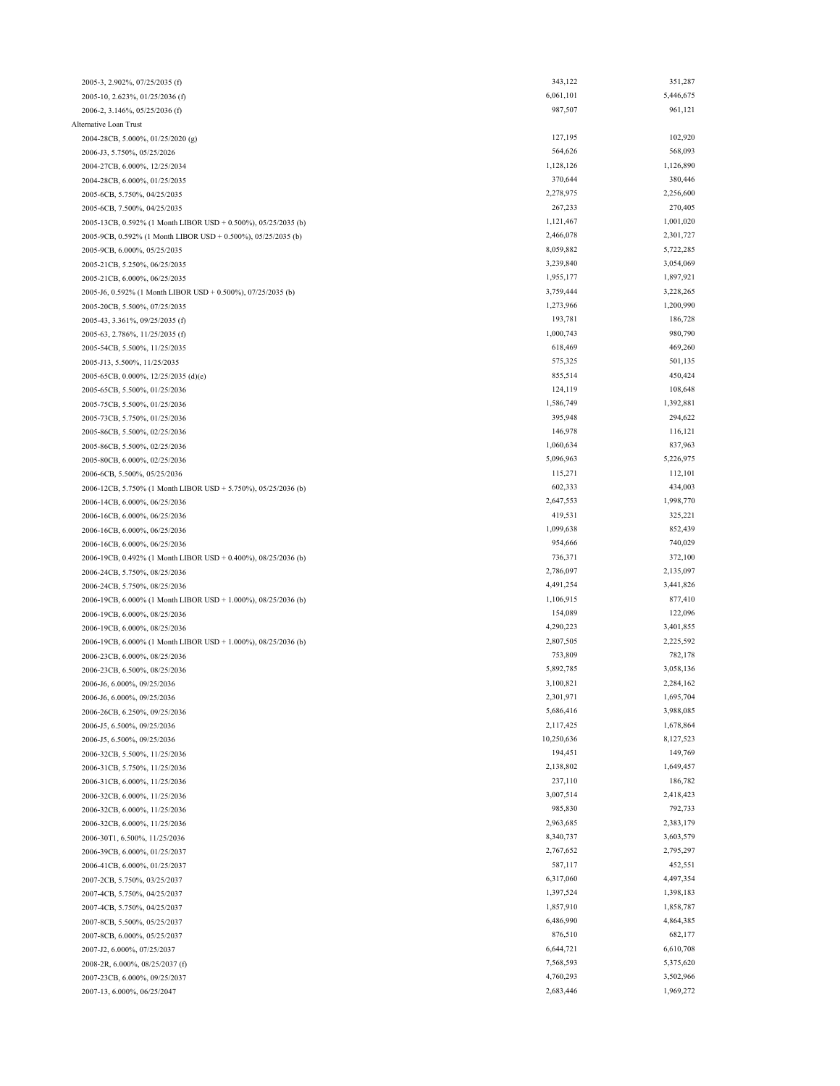| 2005-3, 2.902%, 07/25/2035 (f)                                 | 343,122    | 351,287   |
|----------------------------------------------------------------|------------|-----------|
| 2005-10, 2.623%, 01/25/2036 (f)                                | 6,061,101  | 5,446,675 |
| 2006-2, 3.146%, 05/25/2036 (f)                                 | 987,507    | 961,121   |
| Alternative Loan Trust                                         |            |           |
| 2004-28CB, 5.000%, 01/25/2020 (g)                              | 127,195    | 102,920   |
|                                                                | 564,626    | 568,093   |
| 2006-J3, 5.750%, 05/25/2026                                    | 1,128,126  | 1,126,890 |
| 2004-27CB, 6.000%, 12/25/2034                                  |            |           |
| 2004-28CB, 6.000%, 01/25/2035                                  | 370,644    | 380,446   |
| 2005-6CB, 5.750%, 04/25/2035                                   | 2,278,975  | 2,256,600 |
| 2005-6CB, 7.500%, 04/25/2035                                   | 267,233    | 270,405   |
| 2005-13CB, 0.592% (1 Month LIBOR USD + 0.500%), 05/25/2035 (b) | 1,121,467  | 1,001,020 |
| 2005-9CB, 0.592% (1 Month LIBOR USD + 0.500%), 05/25/2035 (b)  | 2,466,078  | 2,301,727 |
| 2005-9CB, 6.000%, 05/25/2035                                   | 8,059,882  | 5,722,285 |
| 2005-21CB, 5.250%, 06/25/2035                                  | 3,239,840  | 3,054,069 |
| 2005-21CB, 6.000%, 06/25/2035                                  | 1,955,177  | 1,897,921 |
| 2005-J6, 0.592% (1 Month LIBOR USD + 0.500%), 07/25/2035 (b)   | 3,759,444  | 3,228,265 |
| 2005-20CB, 5.500%, 07/25/2035                                  | 1,273,966  | 1,200,990 |
| 2005-43, 3.361%, 09/25/2035 (f)                                | 193,781    | 186,728   |
| 2005-63, 2.786%, 11/25/2035 (f)                                | 1,000,743  | 980,790   |
| 2005-54CB, 5.500%, 11/25/2035                                  | 618,469    | 469,260   |
| 2005-J13, 5.500%, 11/25/2035                                   | 575,325    | 501,135   |
|                                                                |            |           |
| 2005-65CB, 0.000%, 12/25/2035 (d)(e)                           | 855,514    | 450,424   |
| 2005-65CB, 5.500%, 01/25/2036                                  | 124,119    | 108,648   |
| 2005-75CB, 5.500%, 01/25/2036                                  | 1,586,749  | 1,392,881 |
| 2005-73CB, 5.750%, 01/25/2036                                  | 395,948    | 294,622   |
| 2005-86CB, 5.500%, 02/25/2036                                  | 146,978    | 116,121   |
| 2005-86CB, 5.500%, 02/25/2036                                  | 1,060,634  | 837,963   |
| 2005-80CB, 6.000%, 02/25/2036                                  | 5,096,963  | 5,226,975 |
| 2006-6CB, 5.500%, 05/25/2036                                   | 115,271    | 112,101   |
| 2006-12CB, 5.750% (1 Month LIBOR USD + 5.750%), 05/25/2036 (b) | 602,333    | 434,003   |
| 2006-14CB, 6.000%, 06/25/2036                                  | 2,647,553  | 1,998,770 |
| 2006-16CB, 6.000%, 06/25/2036                                  | 419,531    | 325,221   |
| 2006-16CB, 6.000%, 06/25/2036                                  | 1,099,638  | 852,439   |
| 2006-16CB, 6.000%, 06/25/2036                                  | 954,666    | 740,029   |
| 2006-19CB, 0.492% (1 Month LIBOR USD + 0.400%), 08/25/2036 (b) | 736,371    | 372,100   |
|                                                                | 2,786,097  | 2,135,097 |
| 2006-24CB, 5.750%, 08/25/2036                                  | 4,491,254  | 3,441,826 |
| 2006-24CB, 5.750%, 08/25/2036                                  |            |           |
| 2006-19CB, 6.000% (1 Month LIBOR USD + 1.000%), 08/25/2036 (b) | 1,106,915  | 877,410   |
| 2006-19CB, 6.000%, 08/25/2036                                  | 154,089    | 122,096   |
| 2006-19CB, 6.000%, 08/25/2036                                  | 4,290,223  | 3,401,855 |
| 2006-19CB, 6.000% (1 Month LIBOR USD + 1.000%), 08/25/2036 (b) | 2,807,505  | 2,225,592 |
| 2006-23CB, 6.000%, 08/25/2036                                  | 753,809    | 782,178   |
| 2006-23CB, 6.500%, 08/25/2036                                  | 5,892,785  | 3,058,136 |
| 2006-J6, 6.000%, 09/25/2036                                    | 3,100,821  | 2,284,162 |
| 2006-J6, 6.000%, 09/25/2036                                    | 2,301,971  | 1,695,704 |
| 2006-26CB, 6.250%, 09/25/2036                                  | 5,686,416  | 3,988,085 |
| 2006-J5, 6.500%, 09/25/2036                                    | 2,117,425  | 1,678,864 |
| 2006-J5, 6.500%, 09/25/2036                                    | 10,250,636 | 8,127,523 |
| 2006-32CB, 5.500%, 11/25/2036                                  | 194,451    | 149,769   |
| 2006-31CB, 5.750%, 11/25/2036                                  | 2,138,802  | 1,649,457 |
| 2006-31CB, 6.000%, 11/25/2036                                  | 237,110    | 186,782   |
|                                                                | 3,007,514  | 2,418,423 |
| 2006-32CB, 6.000%, 11/25/2036                                  |            |           |
| 2006-32CB, 6.000%, 11/25/2036                                  | 985,830    | 792,733   |
| 2006-32CB, 6.000%, 11/25/2036                                  | 2,963,685  | 2,383,179 |
| 2006-30T1, 6.500%, 11/25/2036                                  | 8,340,737  | 3,603,579 |
| 2006-39CB, 6.000%, 01/25/2037                                  | 2,767,652  | 2,795,297 |
| 2006-41CB, 6.000%, 01/25/2037                                  | 587,117    | 452,551   |
| 2007-2CB, 5.750%, 03/25/2037                                   | 6,317,060  | 4,497,354 |
| 2007-4CB, 5.750%, 04/25/2037                                   | 1,397,524  | 1,398,183 |
| 2007-4CB, 5.750%, 04/25/2037                                   | 1,857,910  | 1,858,787 |
| 2007-8CB, 5.500%, 05/25/2037                                   | 6,486,990  | 4,864,385 |
| 2007-8CB, 6.000%, 05/25/2037                                   | 876,510    | 682,177   |
| 2007-J2, 6.000%, 07/25/2037                                    | 6,644,721  | 6,610,708 |
| 2008-2R, 6.000%, 08/25/2037 (f)                                | 7,568,593  | 5,375,620 |
| 2007-23CB, 6.000%, 09/25/2037                                  | 4,760,293  | 3,502,966 |
| 2007-13, 6.000%, 06/25/2047                                    | 2,683,446  | 1,969,272 |
|                                                                |            |           |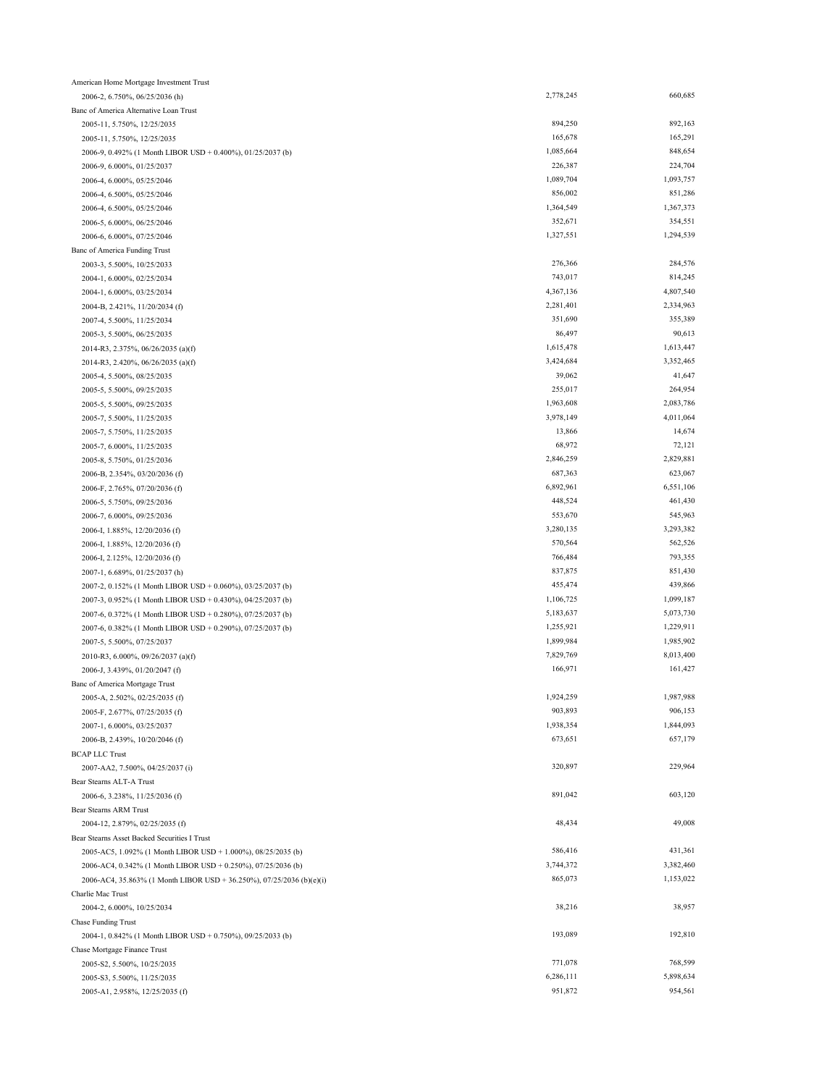| American Home Mortgage Investment Trust                                                                                    |           |           |
|----------------------------------------------------------------------------------------------------------------------------|-----------|-----------|
| 2006-2, 6.750%, 06/25/2036 (h)                                                                                             | 2,778,245 | 660,685   |
| Banc of America Alternative Loan Trust                                                                                     |           |           |
| 2005-11, 5.750%, 12/25/2035                                                                                                | 894,250   | 892,163   |
| 2005-11, 5.750%, 12/25/2035                                                                                                | 165,678   | 165,291   |
| 2006-9, 0.492% (1 Month LIBOR USD + 0.400%), 01/25/2037 (b)                                                                | 1,085,664 | 848,654   |
| 2006-9, 6.000%, 01/25/2037                                                                                                 | 226,387   | 224,704   |
| 2006-4, 6.000%, 05/25/2046                                                                                                 | 1,089,704 | 1,093,757 |
| 2006-4, 6.500%, 05/25/2046                                                                                                 | 856,002   | 851,286   |
| 2006-4, 6.500%, 05/25/2046                                                                                                 | 1,364,549 | 1,367,373 |
| 2006-5, 6.000%, 06/25/2046                                                                                                 | 352,671   | 354,551   |
| 2006-6, 6.000%, 07/25/2046                                                                                                 | 1,327,551 | 1,294,539 |
| Banc of America Funding Trust                                                                                              |           |           |
| 2003-3, 5.500%, 10/25/2033                                                                                                 | 276,366   | 284,576   |
| 2004-1, 6.000%, 02/25/2034                                                                                                 | 743,017   | 814,245   |
| 2004-1, 6.000%, 03/25/2034                                                                                                 | 4,367,136 | 4,807,540 |
| 2004-B, 2.421%, 11/20/2034 (f)                                                                                             | 2,281,401 | 2,334,963 |
| 2007-4, 5.500%, 11/25/2034                                                                                                 | 351,690   | 355,389   |
| 2005-3, 5.500%, 06/25/2035                                                                                                 | 86,497    | 90,613    |
| 2014-R3, 2.375%, 06/26/2035 (a)(f)                                                                                         | 1,615,478 | 1,613,447 |
| 2014-R3, 2.420%, 06/26/2035 (a)(f)                                                                                         | 3,424,684 | 3,352,465 |
| 2005-4, 5.500%, 08/25/2035                                                                                                 | 39,062    | 41,647    |
| 2005-5, 5.500%, 09/25/2035                                                                                                 | 255,017   | 264,954   |
| 2005-5, 5.500%, 09/25/2035                                                                                                 | 1,963,608 | 2,083,786 |
| 2005-7, 5.500%, 11/25/2035                                                                                                 | 3,978,149 | 4,011,064 |
| 2005-7, 5.750%, 11/25/2035                                                                                                 | 13,866    | 14,674    |
| 2005-7, 6.000%, 11/25/2035                                                                                                 | 68,972    | 72,121    |
| 2005-8, 5.750%, 01/25/2036                                                                                                 | 2,846,259 | 2,829,881 |
| 2006-B, 2.354%, 03/20/2036 (f)                                                                                             | 687,363   | 623,067   |
| 2006-F, 2.765%, 07/20/2036 (f)                                                                                             | 6,892,961 | 6,551,106 |
| 2006-5, 5.750%, 09/25/2036                                                                                                 | 448,524   | 461,430   |
| 2006-7, 6.000%, 09/25/2036                                                                                                 | 553,670   | 545,963   |
| 2006-I, 1.885%, 12/20/2036 (f)                                                                                             | 3,280,135 | 3,293,382 |
| 2006-I, 1.885%, 12/20/2036 (f)                                                                                             | 570,564   | 562,526   |
| 2006-I, 2.125%, 12/20/2036 (f)                                                                                             | 766,484   | 793,355   |
| 2007-1, 6.689%, 01/25/2037 (h)                                                                                             | 837,875   | 851,430   |
|                                                                                                                            | 455,474   | 439,866   |
| 2007-2, 0.152% (1 Month LIBOR USD + 0.060%), 03/25/2037 (b)                                                                | 1,106,725 | 1,099,187 |
| 2007-3, 0.952% (1 Month LIBOR USD + 0.430%), 04/25/2037 (b)<br>2007-6, 0.372% (1 Month LIBOR USD + 0.280%), 07/25/2037 (b) | 5,183,637 | 5,073,730 |
|                                                                                                                            | 1,255,921 | 1,229,911 |
| 2007-6, 0.382% (1 Month LIBOR USD + 0.290%), 07/25/2037 (b)                                                                | 1,899,984 | 1,985,902 |
| 2007-5, 5.500%, 07/25/2037                                                                                                 | 7,829,769 | 8,013,400 |
| 2010-R3, 6.000%, 09/26/2037 (a)(f)                                                                                         | 166,971   | 161,427   |
| 2006-J, 3.439%, 01/20/2047 (f)                                                                                             |           |           |
| Banc of America Mortgage Trust                                                                                             |           |           |
| 2005-A, 2.502%, 02/25/2035 (f)                                                                                             | 1,924,259 | 1,987,988 |
| 2005-F, 2.677%, 07/25/2035 (f)                                                                                             | 903,893   | 906,153   |
| 2007-1, 6.000%, 03/25/2037                                                                                                 | 1,938,354 | 1,844,093 |
| 2006-B, 2.439%, 10/20/2046 (f)                                                                                             | 673,651   | 657,179   |
| <b>BCAP LLC Trust</b>                                                                                                      |           |           |
| 2007-AA2, 7.500%, 04/25/2037 (i)                                                                                           | 320,897   | 229,964   |
| Bear Stearns ALT-A Trust                                                                                                   |           |           |
| 2006-6, 3.238%, 11/25/2036 (f)                                                                                             | 891,042   | 603,120   |
| Bear Stearns ARM Trust                                                                                                     |           |           |
| 2004-12, 2.879%, 02/25/2035 (f)                                                                                            | 48,434    | 49,008    |
| Bear Stearns Asset Backed Securities I Trust                                                                               |           |           |
| 2005-AC5, 1.092% (1 Month LIBOR USD + 1.000%), 08/25/2035 (b)                                                              | 586,416   | 431,361   |
| 2006-AC4, 0.342% (1 Month LIBOR USD + 0.250%), 07/25/2036 (b)                                                              | 3,744,372 | 3,382,460 |
| 2006-AC4, 35.863% (1 Month LIBOR USD + 36.250%), 07/25/2036 (b)(e)(i)                                                      | 865,073   | 1,153,022 |
| Charlie Mac Trust                                                                                                          |           |           |
| 2004-2, 6.000%, 10/25/2034                                                                                                 | 38,216    | 38,957    |
| <b>Chase Funding Trust</b>                                                                                                 |           |           |
| 2004-1, 0.842% (1 Month LIBOR USD + 0.750%), 09/25/2033 (b)                                                                | 193,089   | 192,810   |
| Chase Mortgage Finance Trust                                                                                               |           |           |
| 2005-S2, 5.500%, 10/25/2035                                                                                                | 771,078   | 768,599   |
| 2005-S3, 5.500%, 11/25/2035                                                                                                | 6,286,111 | 5,898,634 |
| 2005-A1, 2.958%, 12/25/2035 (f)                                                                                            | 951,872   | 954,561   |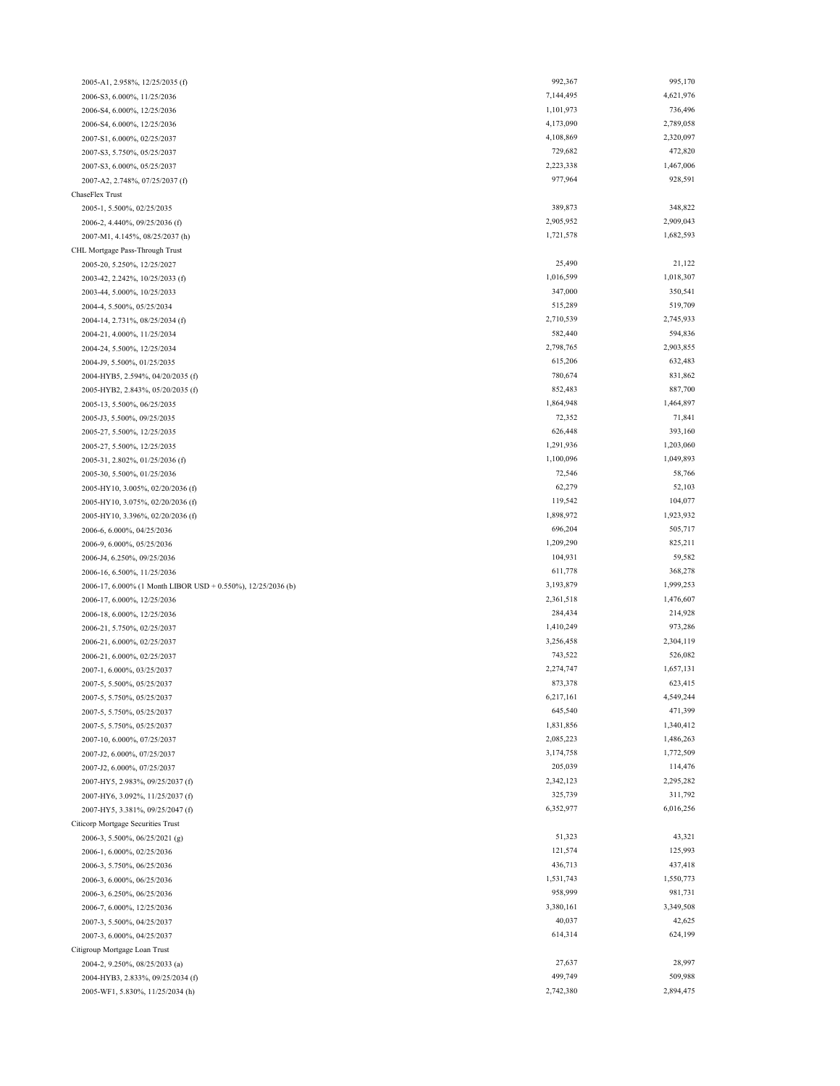| 2005-A1, 2.958%, 12/25/2035 (f)                              | 992,367              | 995,170   |
|--------------------------------------------------------------|----------------------|-----------|
| 2006-S3, 6.000%, 11/25/2036                                  | 7,144,495            | 4,621,976 |
| 2006-S4, 6.000%, 12/25/2036                                  | 1,101,973            | 736,496   |
| 2006-S4, 6.000%, 12/25/2036                                  | 4,173,090            | 2,789,058 |
| 2007-S1, 6.000%, 02/25/2037                                  | 4,108,869            | 2,320,097 |
| 2007-S3, 5.750%, 05/25/2037                                  | 729,682              | 472,820   |
| 2007-S3, 6.000%, 05/25/2037                                  | 2,223,338            | 1,467,006 |
| 2007-A2, 2.748%, 07/25/2037 (f)                              | 977,964              | 928,591   |
| ChaseFlex Trust                                              |                      |           |
| 2005-1, 5.500%, 02/25/2035                                   | 389,873              | 348,822   |
| 2006-2, 4.440%, 09/25/2036 (f)                               | 2,905,952            | 2,909,043 |
| 2007-M1, 4.145%, 08/25/2037 (h)                              | 1,721,578            | 1,682,593 |
| CHL Mortgage Pass-Through Trust                              |                      |           |
| 2005-20, 5.250%, 12/25/2027                                  | 25,490               | 21,122    |
| 2003-42, 2.242%, 10/25/2033 (f)                              | 1,016,599            | 1,018,307 |
| 2003-44, 5.000%, 10/25/2033                                  | 347,000              | 350,541   |
| 2004-4, 5.500%, 05/25/2034                                   | 515,289              | 519,709   |
| 2004-14, 2.731%, 08/25/2034 (f)                              | 2,710,539            | 2,745,933 |
| 2004-21, 4.000%, 11/25/2034                                  | 582,440              | 594,836   |
| 2004-24, 5.500%, 12/25/2034                                  | 2,798,765            | 2,903,855 |
| 2004-J9, 5.500%, 01/25/2035                                  | 615,206              | 632,483   |
| 2004-HYB5, 2.594%, 04/20/2035 (f)                            | 780,674              | 831,862   |
| 2005-HYB2, 2.843%, 05/20/2035 (f)                            | 852,483              | 887,700   |
| 2005-13, 5.500%, 06/25/2035                                  | 1,864,948            | 1,464,897 |
| 2005-J3, 5.500%, 09/25/2035                                  | 72,352               | 71,841    |
|                                                              | 626,448              | 393,160   |
| 2005-27, 5.500%, 12/25/2035                                  | 1,291,936            | 1,203,060 |
| 2005-27, 5.500%, 12/25/2035                                  | 1,100,096            | 1,049,893 |
| 2005-31, 2.802%, 01/25/2036 (f)                              | 72,546               | 58,766    |
| 2005-30, 5.500%, 01/25/2036                                  |                      | 52,103    |
| 2005-HY10, 3.005%, 02/20/2036 (f)                            | 62,279<br>119,542    | 104,077   |
| 2005-HY10, 3.075%, 02/20/2036 (f)                            |                      |           |
| 2005-HY10, 3.396%, 02/20/2036 (f)                            | 1,898,972<br>696,204 | 1,923,932 |
| 2006-6, 6.000%, 04/25/2036                                   |                      | 505,717   |
| 2006-9, 6.000%, 05/25/2036                                   | 1,209,290            | 825,211   |
| 2006-J4, 6.250%, 09/25/2036                                  | 104,931              | 59,582    |
| 2006-16, 6.500%, 11/25/2036                                  | 611,778              | 368,278   |
| 2006-17, 6.000% (1 Month LIBOR USD + 0.550%), 12/25/2036 (b) | 3,193,879            | 1,999,253 |
| 2006-17, 6.000%, 12/25/2036                                  | 2,361,518            | 1,476,607 |
| 2006-18, 6.000%, 12/25/2036                                  | 284,434              | 214,928   |
| 2006-21, 5.750%, 02/25/2037                                  | 1,410,249            | 973,286   |
| 2006-21, 6.000%, 02/25/2037                                  | 3,256,458            | 2,304,119 |
| 2006-21, 6.000%, 02/25/2037                                  | 743,522              | 526,082   |
| 2007-1, 6.000%, 03/25/2037                                   | 2,274,747            | 1,657,131 |
| 2007-5, 5.500%, 05/25/2037                                   | 873,378              | 623,415   |
| 2007-5, 5.750%, 05/25/2037                                   | 6,217,161            | 4,549,244 |
| 2007-5, 5.750%, 05/25/2037                                   | 645,540              | 471,399   |
| 2007-5, 5.750%, 05/25/2037                                   | 1,831,856            | 1,340,412 |
| 2007-10, 6.000%, 07/25/2037                                  | 2,085,223            | 1,486,263 |
| 2007-J2, 6.000%, 07/25/2037                                  | 3,174,758            | 1,772,509 |
| 2007-J2, 6.000%, 07/25/2037                                  | 205,039              | 114,476   |
| 2007-HY5, 2.983%, 09/25/2037 (f)                             | 2,342,123            | 2,295,282 |
| 2007-HY6, 3.092%, 11/25/2037 (f)                             | 325,739              | 311,792   |
| 2007-HY5, 3.381%, 09/25/2047 (f)                             | 6,352,977            | 6,016,256 |
| Citicorp Mortgage Securities Trust                           |                      |           |
| 2006-3, 5.500%, 06/25/2021 (g)                               | 51,323               | 43,321    |
| 2006-1, 6.000%, 02/25/2036                                   | 121,574              | 125,993   |
| 2006-3, 5.750%, 06/25/2036                                   | 436,713              | 437,418   |
| 2006-3, 6.000%, 06/25/2036                                   | 1,531,743            | 1,550,773 |
| 2006-3, 6.250%, 06/25/2036                                   | 958,999              | 981,731   |
| 2006-7, 6.000%, 12/25/2036                                   | 3,380,161            | 3,349,508 |
| 2007-3, 5.500%, 04/25/2037                                   | 40,037               | 42,625    |
| 2007-3, 6.000%, 04/25/2037                                   | 614,314              | 624,199   |
| Citigroup Mortgage Loan Trust                                |                      |           |
| 2004-2, 9.250%, 08/25/2033 (a)                               | 27,637               | 28,997    |
| 2004-HYB3, 2.833%, 09/25/2034 (f)                            | 499,749              | 509,988   |
| 2005-WF1, 5.830%, 11/25/2034 (h)                             | 2,742,380            | 2,894,475 |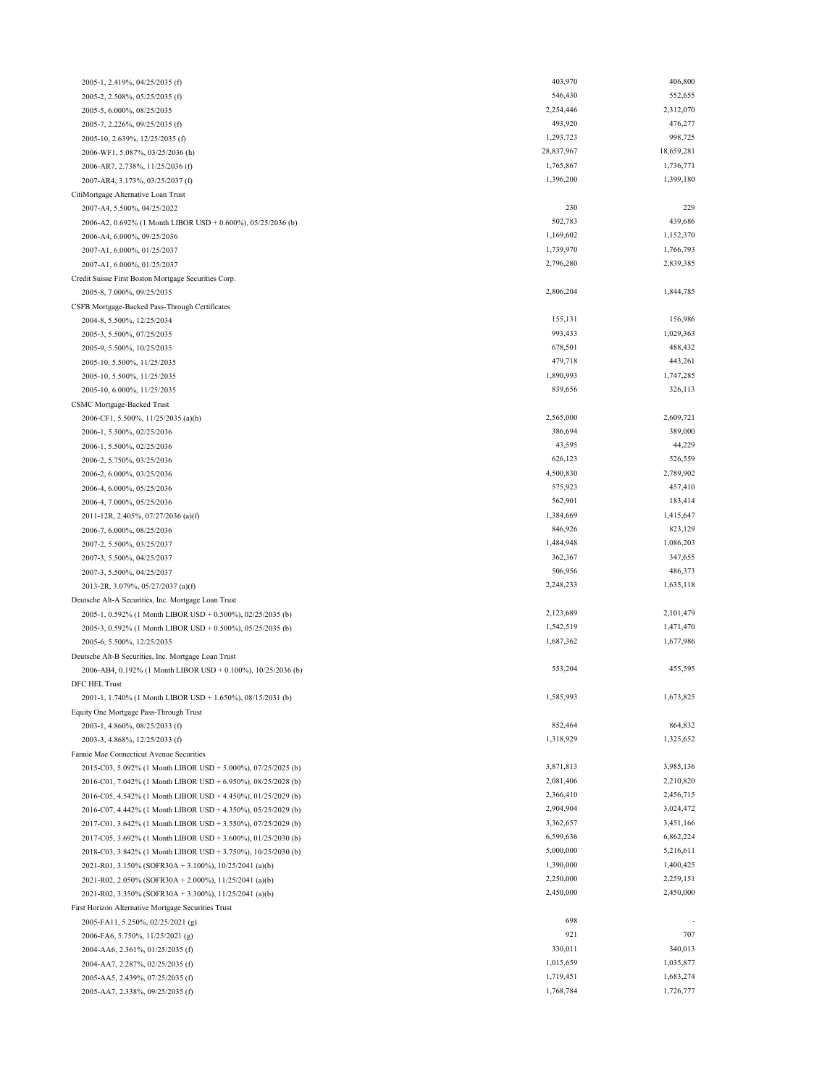| 2005-1, 2.419%, 04/25/2035 (f)                                | 403,970    | 406,800    |
|---------------------------------------------------------------|------------|------------|
| 2005-2, 2.508%, 05/25/2035 (f)                                | 546,430    | 552,655    |
| 2005-5, 6.000%, 08/25/2035                                    | 2,254,446  | 2,312,070  |
| 2005-7, 2.226%, 09/25/2035 (f)                                | 493,920    | 476,277    |
| 2005-10, 2.639%, 12/25/2035 (f)                               | 1,293,723  | 998,725    |
| 2006-WF1, 5.087%, 03/25/2036 (h)                              | 28,837,967 | 18,659,281 |
| 2006-AR7, 2.738%, 11/25/2036 (f)                              | 1,765,867  | 1,736,771  |
| 2007-AR4, 3.173%, 03/25/2037 (f)                              | 1,396,200  | 1,399,180  |
| CitiMortgage Alternative Loan Trust                           |            |            |
| 2007-A4, 5.500%, 04/25/2022                                   | 230        | 229        |
| 2006-A2, 0.692% (1 Month LIBOR USD + 0.600%), 05/25/2036 (b)  | 502,783    | 439,686    |
| 2006-A4, 6.000%, 09/25/2036                                   | 1,169,602  | 1,152,370  |
| 2007-A1, 6.000%, 01/25/2037                                   | 1,739,970  | 1,766,793  |
| 2007-A1, 6.000%, 01/25/2037                                   | 2,796,280  | 2,839,385  |
| Credit Suisse First Boston Mortgage Securities Corp.          |            |            |
| 2005-8, 7.000%, 09/25/2035                                    | 2,806,204  | 1,844,785  |
| CSFB Mortgage-Backed Pass-Through Certificates                |            |            |
| 2004-8, 5.500%, 12/25/2034                                    | 155,131    | 156,986    |
| 2005-3, 5.500%, 07/25/2035                                    | 993,433    | 1,029,363  |
| 2005-9, 5.500%, 10/25/2035                                    | 678,501    | 488,432    |
| 2005-10, 5.500%, 11/25/2035                                   | 479,718    | 443,261    |
| 2005-10, 5.500%, 11/25/2035                                   | 1,890,993  | 1,747,285  |
| 2005-10, 6.000%, 11/25/2035                                   | 839,656    | 326,113    |
| CSMC Mortgage-Backed Trust                                    |            |            |
| 2006-CF1, 5.500%, 11/25/2035 (a)(h)                           | 2,565,000  | 2,609,721  |
| 2006-1, 5.500%, 02/25/2036                                    | 386,694    | 389,000    |
| 2006-1, 5.500%, 02/25/2036                                    | 43,595     | 44,229     |
| 2006-2, 5.750%, 03/25/2036                                    | 626,123    | 526,559    |
| 2006-2, 6.000%, 03/25/2036                                    | 4,500,830  | 2,789,902  |
| 2006-4, 6.000%, 05/25/2036                                    | 575,923    | 457,410    |
| 2006-4, 7.000%, 05/25/2036                                    | 562,901    | 183,414    |
| 2011-12R, 2.405%, 07/27/2036 (a)(f)                           | 1,384,669  | 1,415,647  |
| 2006-7, 6.000%, 08/25/2036                                    | 846,926    | 823,129    |
| 2007-2, 5.500%, 03/25/2037                                    | 1,484,948  | 1,086,203  |
| 2007-3, 5.500%, 04/25/2037                                    | 362,367    | 347,655    |
| 2007-3, 5.500%, 04/25/2037                                    | 506,956    | 486,373    |
| 2013-2R, 3.079%, 05/27/2037 (a)(f)                            | 2,248,233  | 1,635,118  |
| Deutsche Alt-A Securities, Inc. Mortgage Loan Trust           |            |            |
| 2005-1, 0.592% (1 Month LIBOR USD + 0.500%), 02/25/2035 (b)   | 2,123,689  | 2,101,479  |
| 2005-3, 0.592% (1 Month LIBOR USD + 0.500%), 05/25/2035 (b)   | 1,542,519  | 1,471,470  |
| 2005-6, 5.500%, 12/25/2035                                    | 1,687,362  | 1,677,986  |
| Deutsche Alt-B Securities, Inc. Mortgage Loan Trust           |            |            |
| 2006-AB4, 0.192% (1 Month LIBOR USD + 0.100%), 10/25/2036 (b) | 553,204    | 455,595    |
| DFC HEL Trust                                                 |            |            |
| 2001-1, 1.740% (1 Month LIBOR USD + 1.650%), 08/15/2031 (b)   | 1,585,993  | 1,673,825  |
| Equity One Mortgage Pass-Through Trust                        |            |            |
| 2003-1, 4.860%, 08/25/2033 (f)                                | 852,464    | 864,832    |
| 2003-3, 4.868%, 12/25/2033 (f)                                | 1,318,929  | 1,325,652  |
| Fannie Mae Connecticut Avenue Securities                      |            |            |
| 2015-C03, 5.092% (1 Month LIBOR USD + 5.000%), 07/25/2025 (b) | 3,871,813  | 3,985,136  |
| 2016-C01, 7.042% (1 Month LIBOR USD + 6.950%), 08/25/2028 (b) | 2,081,406  | 2,210,820  |
| 2016-C05, 4.542% (1 Month LIBOR USD + 4.450%), 01/25/2029 (b) | 2,366,410  | 2,456,715  |
| 2016-C07, 4.442% (1 Month LIBOR USD + 4.350%), 05/25/2029 (b) | 2,904,904  | 3,024,472  |
| 2017-C01, 3.642% (1 Month LIBOR USD + 3.550%), 07/25/2029 (b) | 3,362,657  | 3,451,166  |
| 2017-C05, 3.692% (1 Month LIBOR USD + 3.600%), 01/25/2030 (b) | 6,599,636  | 6,862,224  |
| 2018-C03, 3.842% (1 Month LIBOR USD + 3.750%), 10/25/2030 (b) | 5,000,000  | 5,216,611  |
| 2021-R01, 3.150% (SOFR30A + 3.100%), 10/25/2041 (a)(b)        | 1,390,000  | 1,400,425  |
| 2021-R02, 2.050% (SOFR30A + 2.000%), 11/25/2041 (a)(b)        | 2,250,000  | 2,259,151  |
| 2021-R02, 3.350% (SOFR30A + 3.300%), 11/25/2041 (a)(b)        | 2,450,000  | 2,450,000  |
| First Horizon Alternative Mortgage Securities Trust           |            |            |
| 2005-FA11, 5.250%, 02/25/2021 (g)                             | 698        |            |
| 2006-FA6, 5.750%, 11/25/2021 (g)                              | 921        | 707        |
| 2004-AA6, 2.361%, 01/25/2035 (f)                              | 330,011    | 340,013    |
| 2004-AA7, 2.287%, 02/25/2035 (f)                              | 1,015,659  | 1,035,877  |
| 2005-AA5, 2.439%, 07/25/2035 (f)                              | 1,719,451  | 1,683,274  |
| 2005-AA7, 2.338%, 09/25/2035 (f)                              | 1,768,784  | 1,726,777  |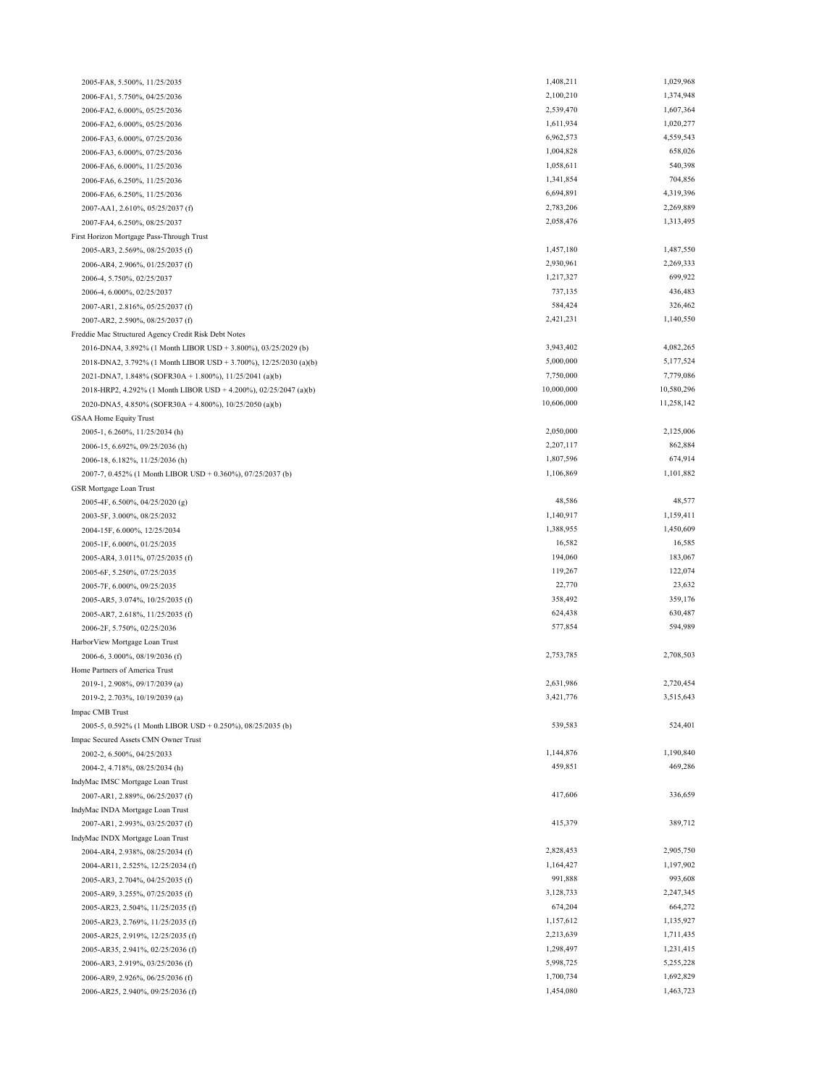| 2005-FA8, 5.500%, 11/25/2035                                      | 1,408,211            | 1,029,968            |
|-------------------------------------------------------------------|----------------------|----------------------|
| 2006-FA1, 5.750%, 04/25/2036                                      | 2,100,210            | 1,374,948            |
| 2006-FA2, 6.000%, 05/25/2036                                      | 2,539,470            | 1,607,364            |
| 2006-FA2, 6.000%, 05/25/2036                                      | 1,611,934            | 1,020,277            |
| 2006-FA3, 6.000%, 07/25/2036                                      | 6,962,573            | 4,559,543            |
| 2006-FA3, 6.000%, 07/25/2036                                      | 1,004,828            | 658,026              |
| 2006-FA6, 6.000%, 11/25/2036                                      | 1,058,611            | 540,398              |
| 2006-FA6, 6.250%, 11/25/2036                                      | 1,341,854            | 704,856              |
|                                                                   | 6,694,891            | 4,319,396            |
| 2006-FA6, 6.250%, 11/25/2036                                      |                      | 2,269,889            |
| 2007-AA1, 2.610%, 05/25/2037 (f)                                  | 2,783,206            | 1,313,495            |
| 2007-FA4, 6.250%, 08/25/2037                                      | 2,058,476            |                      |
| First Horizon Mortgage Pass-Through Trust                         |                      |                      |
| 2005-AR3, 2.569%, 08/25/2035 (f)                                  | 1,457,180            | 1,487,550            |
| 2006-AR4, 2.906%, 01/25/2037 (f)                                  | 2,930,961            | 2,269,333            |
| 2006-4, 5.750%, 02/25/2037                                        | 1,217,327            | 699,922              |
| 2006-4, 6.000%, 02/25/2037                                        | 737,135              | 436,483              |
| 2007-AR1, 2.816%, 05/25/2037 (f)                                  | 584,424              | 326,462              |
| 2007-AR2, 2.590%, 08/25/2037 (f)                                  | 2,421,231            | 1,140,550            |
| Freddie Mac Structured Agency Credit Risk Debt Notes              |                      |                      |
| 2016-DNA4, 3.892% (1 Month LIBOR USD + 3.800%), 03/25/2029 (b)    | 3,943,402            | 4,082,265            |
| 2018-DNA2, 3.792% (1 Month LIBOR USD + 3.700%), 12/25/2030 (a)(b) | 5,000,000            | 5,177,524            |
| 2021-DNA7, 1.848% (SOFR30A + 1.800%), 11/25/2041 (a)(b)           | 7,750,000            | 7,779,086            |
| 2018-HRP2, 4.292% (1 Month LIBOR USD + 4.200%), 02/25/2047 (a)(b) | 10,000,000           | 10,580,296           |
| 2020-DNA5, 4.850% (SOFR30A + 4.800%), 10/25/2050 (a)(b)           | 10,606,000           | 11,258,142           |
| <b>GSAA Home Equity Trust</b>                                     |                      |                      |
| 2005-1, 6.260%, 11/25/2034 (h)                                    | 2,050,000            | 2,125,006            |
| 2006-15, 6.692%, 09/25/2036 (h)                                   | 2,207,117            | 862,884              |
| 2006-18, 6.182%, 11/25/2036 (h)                                   | 1,807,596            | 674,914              |
| 2007-7, 0.452% (1 Month LIBOR USD + 0.360%), 07/25/2037 (b)       | 1,106,869            | 1,101,882            |
|                                                                   |                      |                      |
| GSR Mortgage Loan Trust                                           | 48,586               | 48,577               |
| 2005-4F, 6.500%, 04/25/2020 (g)                                   | 1,140,917            |                      |
| 2003-5F, 3.000%, 08/25/2032                                       |                      | 1,159,411            |
| 2004-15F, 6.000%, 12/25/2034                                      | 1,388,955            | 1,450,609            |
| 2005-1F, 6.000%, 01/25/2035                                       | 16,582               | 16,585               |
| 2005-AR4, 3.011%, 07/25/2035 (f)                                  | 194,060              | 183,067              |
| 2005-6F, 5.250%, 07/25/2035                                       | 119,267              | 122,074              |
| 2005-7F, 6.000%, 09/25/2035                                       | 22,770               | 23,632               |
| 2005-AR5, 3.074%, 10/25/2035 (f)                                  | 358,492              | 359,176              |
| 2005-AR7, 2.618%, 11/25/2035 (f)                                  | 624,438              | 630,487              |
| 2006-2F, 5.750%, 02/25/2036                                       | 577,854              | 594,989              |
| Harbor View Mortgage Loan Trust                                   |                      |                      |
| 2006-6, 3.000%, 08/19/2036 (f)                                    | 2,753,785            | 2,708,503            |
| Home Partners of America Trust                                    |                      |                      |
| 2019-1, 2.908%, 09/17/2039 (a)                                    | 2,631,986            | 2,720,454            |
| 2019-2, 2.703%, 10/19/2039 (a)                                    | 3,421,776            | 3,515,643            |
| Impac CMB Trust                                                   |                      |                      |
| 2005-5, 0.592% (1 Month LIBOR USD + 0.250%), 08/25/2035 (b)       | 539,583              | 524,401              |
| Impac Secured Assets CMN Owner Trust                              |                      |                      |
| 2002-2, 6.500%, 04/25/2033                                        | 1,144,876            | 1,190,840            |
| 2004-2, 4.718%, 08/25/2034 (h)                                    | 459,851              | 469,286              |
| IndyMac IMSC Mortgage Loan Trust                                  |                      |                      |
| 2007-AR1, 2.889%, 06/25/2037 (f)                                  | 417,606              | 336,659              |
| IndyMac INDA Mortgage Loan Trust                                  |                      |                      |
| 2007-AR1, 2.993%, 03/25/2037 (f)                                  | 415,379              | 389,712              |
|                                                                   |                      |                      |
| IndyMac INDX Mortgage Loan Trust                                  | 2,828,453            | 2,905,750            |
| 2004-AR4, 2.938%, 08/25/2034 (f)                                  |                      |                      |
| 2004-AR11, 2.525%, 12/25/2034 (f)                                 | 1,164,427<br>991,888 | 1,197,902<br>993,608 |
| 2005-AR3, 2.704%, 04/25/2035 (f)                                  |                      |                      |
| 2005-AR9, 3.255%, 07/25/2035 (f)                                  | 3,128,733            | 2,247,345            |
| 2005-AR23, 2.504%, 11/25/2035 (f)                                 | 674,204              | 664,272              |
| 2005-AR23, 2.769%, 11/25/2035 (f)                                 | 1,157,612            | 1,135,927            |
| 2005-AR25, 2.919%, 12/25/2035 (f)                                 | 2,213,639            | 1,711,435            |
| 2005-AR35, 2.941%, 02/25/2036 (f)                                 | 1,298,497            | 1,231,415            |
| 2006-AR3, 2.919%, 03/25/2036 (f)                                  | 5,998,725            | 5,255,228            |
| 2006-AR9, 2.926%, 06/25/2036 (f)                                  | 1,700,734            | 1,692,829            |
| 2006-AR25, 2.940%, 09/25/2036 (f)                                 | 1,454,080            | 1,463,723            |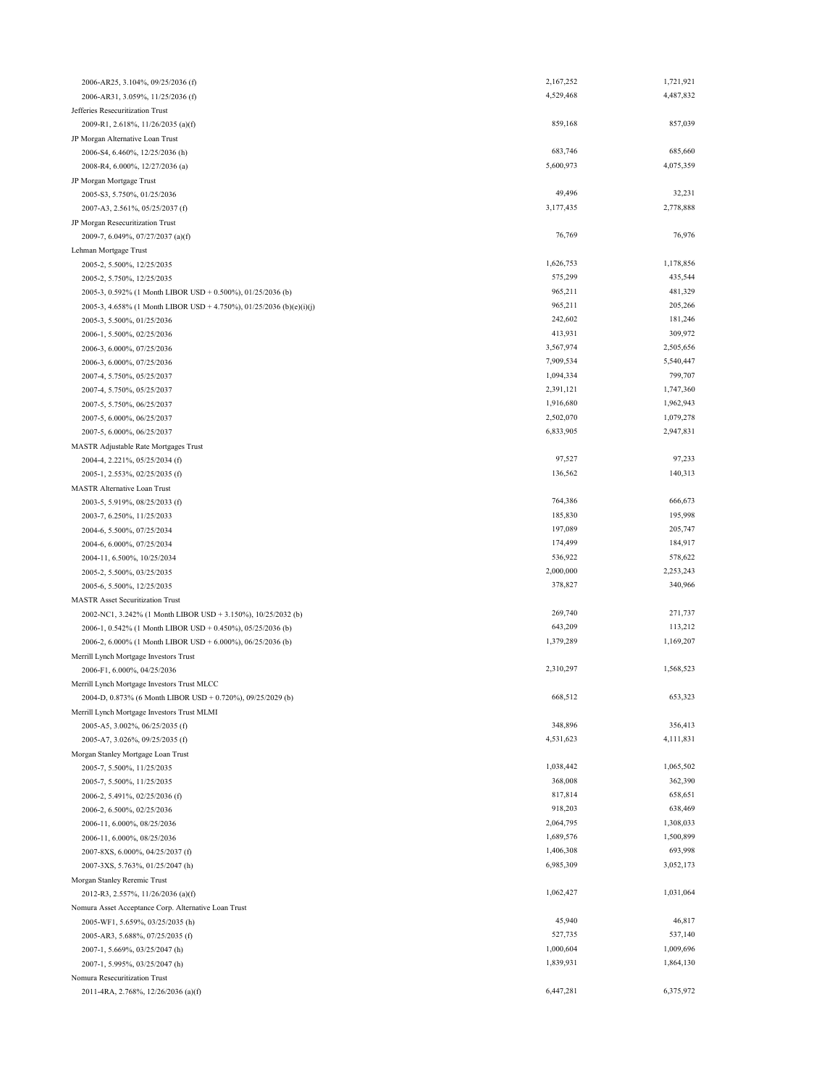| 2006-AR25, 3.104%, 09/25/2036 (f)                                     | 2,167,252              | 1,721,921            |
|-----------------------------------------------------------------------|------------------------|----------------------|
| 2006-AR31, 3.059%, 11/25/2036 (f)                                     | 4,529,468              | 4,487,832            |
| Jefferies Resecuritization Trust                                      |                        |                      |
| 2009-R1, 2.618%, 11/26/2035 (a)(f)                                    | 859,168                | 857,039              |
| JP Morgan Alternative Loan Trust                                      |                        |                      |
| 2006-S4, 6.460%, 12/25/2036 (h)                                       | 683,746                | 685,660              |
| 2008-R4, 6.000%, 12/27/2036 (a)                                       | 5,600,973              | 4,075,359            |
| JP Morgan Mortgage Trust                                              |                        |                      |
| 2005-S3, 5.750%, 01/25/2036                                           | 49,496                 | 32,231               |
| 2007-A3, 2.561%, 05/25/2037 (f)                                       | 3,177,435              | 2,778,888            |
| JP Morgan Resecuritization Trust                                      |                        |                      |
| 2009-7, 6.049%, 07/27/2037 (a)(f)                                     | 76,769                 | 76,976               |
| Lehman Mortgage Trust                                                 |                        |                      |
| 2005-2, 5.500%, 12/25/2035                                            | 1,626,753              | 1,178,856            |
| 2005-2, 5.750%, 12/25/2035                                            | 575,299                | 435,544              |
| 2005-3, 0.592% (1 Month LIBOR USD + 0.500%), 01/25/2036 (b)           | 965,211                | 481,329              |
| 2005-3, 4.658% (1 Month LIBOR USD + 4.750%), 01/25/2036 (b)(e)(i)(j)  | 965,211                | 205,266              |
| 2005-3, 5.500%, 01/25/2036                                            | 242,602                | 181,246              |
| 2006-1, 5.500%, 02/25/2036                                            | 413,931                | 309,972              |
| 2006-3, 6.000%, 07/25/2036                                            | 3,567,974              | 2,505,656            |
| 2006-3, 6.000%, 07/25/2036                                            | 7,909,534<br>1,094,334 | 5,540,447<br>799,707 |
| 2007-4, 5.750%, 05/25/2037                                            | 2,391,121              | 1,747,360            |
| 2007-4, 5.750%, 05/25/2037                                            | 1,916,680              | 1,962,943            |
| 2007-5, 5.750%, 06/25/2037                                            | 2,502,070              | 1,079,278            |
| 2007-5, 6.000%, 06/25/2037                                            | 6,833,905              | 2,947,831            |
| 2007-5, 6.000%, 06/25/2037                                            |                        |                      |
| MASTR Adjustable Rate Mortgages Trust                                 | 97,527                 | 97,233               |
| 2004-4, 2.221%, 05/25/2034 (f)                                        | 136,562                | 140,313              |
| 2005-1, 2.553%, 02/25/2035 (f)<br><b>MASTR Alternative Loan Trust</b> |                        |                      |
| 2003-5, 5.919%, 08/25/2033 (f)                                        | 764,386                | 666,673              |
| 2003-7, 6.250%, 11/25/2033                                            | 185,830                | 195,998              |
| 2004-6, 5.500%, 07/25/2034                                            | 197,089                | 205,747              |
| 2004-6, 6.000%, 07/25/2034                                            | 174,499                | 184,917              |
| 2004-11, 6.500%, 10/25/2034                                           | 536,922                | 578,622              |
| 2005-2, 5.500%, 03/25/2035                                            | 2,000,000              | 2,253,243            |
| 2005-6, 5.500%, 12/25/2035                                            | 378,827                | 340,966              |
| <b>MASTR Asset Securitization Trust</b>                               |                        |                      |
| 2002-NC1, 3.242% (1 Month LIBOR USD + 3.150%), 10/25/2032 (b)         | 269,740                | 271,737              |
| 2006-1, 0.542% (1 Month LIBOR USD + 0.450%), 05/25/2036 (b)           | 643,209                | 113,212              |
| 2006-2, 6.000% (1 Month LIBOR USD + 6.000%), 06/25/2036 (b)           | 1,379,289              | 1,169,207            |
| Merrill Lynch Mortgage Investors Trust                                |                        |                      |
| 2006-F1, 6.000%, 04/25/2036                                           | 2,310,297              | 1,568,523            |
| Merrill Lynch Mortgage Investors Trust MLCC                           |                        |                      |
| 2004-D, 0.873% (6 Month LIBOR USD + 0.720%), 09/25/2029 (b)           | 668,512                | 653,323              |
| Merrill Lynch Mortgage Investors Trust MLMI                           |                        |                      |
| 2005-A5, 3.002%, 06/25/2035 (f)                                       | 348,896                | 356,413              |
| 2005-A7, 3.026%, 09/25/2035 (f)                                       | 4,531,623              | 4,111,831            |
| Morgan Stanley Mortgage Loan Trust                                    |                        |                      |
| 2005-7, 5.500%, 11/25/2035                                            | 1,038,442              | 1,065,502            |
| 2005-7, 5.500%, 11/25/2035                                            | 368,008                | 362,390              |
| 2006-2, 5.491%, 02/25/2036 (f)                                        | 817,814                | 658,651              |
| 2006-2, 6.500%, 02/25/2036                                            | 918,203                | 638,469              |
| 2006-11, 6.000%, 08/25/2036                                           | 2,064,795              | 1,308,033            |
| 2006-11, 6.000%, 08/25/2036                                           | 1,689,576              | 1,500,899            |
| 2007-8XS, 6.000%, 04/25/2037 (f)                                      | 1,406,308              | 693,998              |
| 2007-3XS, 5.763%, 01/25/2047 (h)                                      | 6,985,309              | 3,052,173            |
| Morgan Stanley Reremic Trust                                          |                        |                      |
| 2012-R3, 2.557%, 11/26/2036 (a)(f)                                    | 1,062,427              | 1,031,064            |
| Nomura Asset Acceptance Corp. Alternative Loan Trust                  |                        |                      |
| 2005-WF1, 5.659%, 03/25/2035 (h)                                      | 45,940                 | 46,817               |
| 2005-AR3, 5.688%, 07/25/2035 (f)                                      | 527,735                | 537,140              |
| 2007-1, 5.669%, 03/25/2047 (h)                                        | 1,000,604              | 1,009,696            |
| 2007-1, 5.995%, 03/25/2047 (h)                                        | 1,839,931              | 1,864,130            |
| Nomura Resecuritization Trust                                         |                        |                      |
| 2011-4RA, 2.768%, 12/26/2036 (a)(f)                                   | 6,447,281              | 6,375,972            |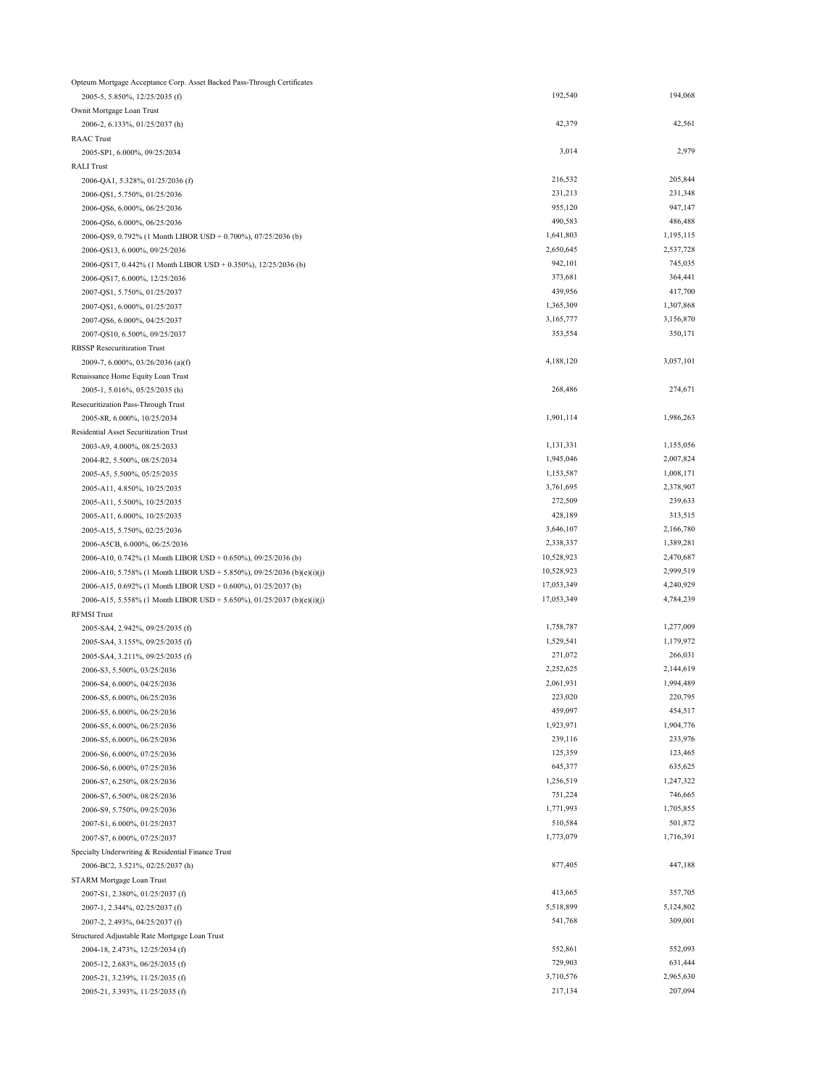| Opteum Mortgage Acceptance Corp. Asset Backed Pass-Through Certificates |            |           |
|-------------------------------------------------------------------------|------------|-----------|
| 2005-5, 5.850%, 12/25/2035 (f)                                          | 192,540    | 194,068   |
| Ownit Mortgage Loan Trust                                               |            |           |
| 2006-2, 6.133%, 01/25/2037 (h)                                          | 42,379     | 42,561    |
| <b>RAAC</b> Trust                                                       |            |           |
| 2005-SP1, 6.000%, 09/25/2034                                            | 3,014      | 2,979     |
| <b>RALI Trust</b>                                                       |            |           |
| 2006-QA1, 5.328%, 01/25/2036 (f)                                        | 216,532    | 205,844   |
| 2006-QS1, 5.750%, 01/25/2036                                            | 231,213    | 231,348   |
| 2006-QS6, 6.000%, 06/25/2036                                            | 955,120    | 947,147   |
| 2006-QS6, 6.000%, 06/25/2036                                            | 490,583    | 486,488   |
| 2006-QS9, 0.792% (1 Month LIBOR USD + 0.700%), 07/25/2036 (b)           | 1,641,803  | 1,195,115 |
| 2006-QS13, 6.000%, 09/25/2036                                           | 2,650,645  | 2,537,728 |
|                                                                         | 942,101    | 745,035   |
| 2006-QS17, 0.442% (1 Month LIBOR USD + 0.350%), 12/25/2036 (b)          | 373,681    | 364,441   |
| 2006-QS17, 6.000%, 12/25/2036                                           | 439,956    | 417,700   |
| 2007-QS1, 5.750%, 01/25/2037                                            |            |           |
| 2007-QS1, 6.000%, 01/25/2037                                            | 1,365,309  | 1,307,868 |
| 2007-QS6, 6.000%, 04/25/2037                                            | 3,165,777  | 3,156,870 |
| 2007-QS10, 6.500%, 09/25/2037                                           | 353,554    | 350,171   |
| <b>RBSSP Resecuritization Trust</b>                                     |            |           |
| 2009-7, 6.000%, 03/26/2036 (a)(f)                                       | 4,188,120  | 3,057,101 |
| Renaissance Home Equity Loan Trust                                      |            |           |
| 2005-1, 5.016%, 05/25/2035 (h)                                          | 268,486    | 274,671   |
| Resecuritization Pass-Through Trust                                     |            |           |
| 2005-8R, 6.000%, 10/25/2034                                             | 1,901,114  | 1,986,263 |
| Residential Asset Securitization Trust                                  |            |           |
| 2003-A9, 4.000%, 08/25/2033                                             | 1,131,331  | 1,155,056 |
| 2004-R2, 5.500%, 08/25/2034                                             | 1,945,046  | 2,007,824 |
| 2005-A5, 5.500%, 05/25/2035                                             | 1,153,587  | 1,008,171 |
| 2005-A11, 4.850%, 10/25/2035                                            | 3,761,695  | 2,378,907 |
| 2005-A11, 5.500%, 10/25/2035                                            | 272,509    | 239,633   |
| 2005-A11, 6.000%, 10/25/2035                                            | 428,189    | 313,515   |
| 2005-A15, 5.750%, 02/25/2036                                            | 3,646,107  | 2,166,780 |
| 2006-A5CB, 6.000%, 06/25/2036                                           | 2,338,337  | 1,389,281 |
| 2006-A10, 0.742% (1 Month LIBOR USD + 0.650%), 09/25/2036 (b)           | 10,528,923 | 2,470,687 |
| 2006-A10, 5.758% (1 Month LIBOR USD + 5.850%), 09/25/2036 (b)(e)(i)(j)  | 10,528,923 | 2,999,519 |
| 2006-A15, 0.692% (1 Month LIBOR USD + 0.600%), 01/25/2037 (b)           | 17,053,349 | 4,240,929 |
| 2006-A15, 5.558% (1 Month LIBOR USD + 5.650%), 01/25/2037 (b)(e)(i)(j)  | 17,053,349 | 4,784,239 |
|                                                                         |            |           |
| <b>RFMSI Trust</b>                                                      |            | 1,277,009 |
| 2005-SA4, 2.942%, 09/25/2035 (f)                                        | 1,758,787  |           |
| 2005-SA4, 3.155%, 09/25/2035 (f)                                        | 1,529,541  | 1,179,972 |
| 2005-SA4, 3.211%, 09/25/2035 (f)                                        | 271,072    | 266,031   |
| 2006-S3, 5.500%, 03/25/2036                                             | 2,252,625  | 2,144,619 |
| 2006-S4, 6.000%, 04/25/2036                                             | 2,061,931  | 1,994,489 |
| 2006-S5, 6.000%, 06/25/2036                                             | 223,020    | 220,795   |
| 2006-S5, 6.000%, 06/25/2036                                             | 459,097    | 454,517   |
| 2006-S5, 6.000%, 06/25/2036                                             | 1,923,971  | 1,904,776 |
| 2006-S5, 6.000%, 06/25/2036                                             | 239,116    | 233,976   |
| 2006-S6, 6.000%, 07/25/2036                                             | 125,359    | 123,465   |
| 2006-S6, 6.000%, 07/25/2036                                             | 645,377    | 635,625   |
| 2006-S7, 6.250%, 08/25/2036                                             | 1,256,519  | 1,247,322 |
| 2006-S7, 6.500%, 08/25/2036                                             | 751,224    | 746,665   |
| 2006-S9, 5.750%, 09/25/2036                                             | 1,771,993  | 1,705,855 |
| 2007-S1, 6.000%, 01/25/2037                                             | 510,584    | 501,872   |
| 2007-S7, 6.000%, 07/25/2037                                             | 1,773,079  | 1,716,391 |
| Specialty Underwriting & Residential Finance Trust                      |            |           |
| 2006-BC2, 3.521%, 02/25/2037 (h)                                        | 877,405    | 447,188   |
| STARM Mortgage Loan Trust                                               |            |           |
| 2007-S1, 2.380%, 01/25/2037 (f)                                         | 413,665    | 357,705   |
| 2007-1, 2.344%, 02/25/2037 (f)                                          | 5,518,899  | 5,124,802 |
| 2007-2, 2.493%, 04/25/2037 (f)                                          | 541,768    | 309,001   |
|                                                                         |            |           |
| Structured Adjustable Rate Mortgage Loan Trust                          | 552,861    | 552,093   |
| 2004-18, 2.473%, 12/25/2034 (f)                                         | 729,903    | 631,444   |
| 2005-12, 2.683%, 06/25/2035 (f)                                         |            |           |
| 2005-21, 3.239%, 11/25/2035 (f)                                         | 3,710,576  | 2,965,630 |
| 2005-21, 3.393%, 11/25/2035 (f)                                         | 217,134    | 207,094   |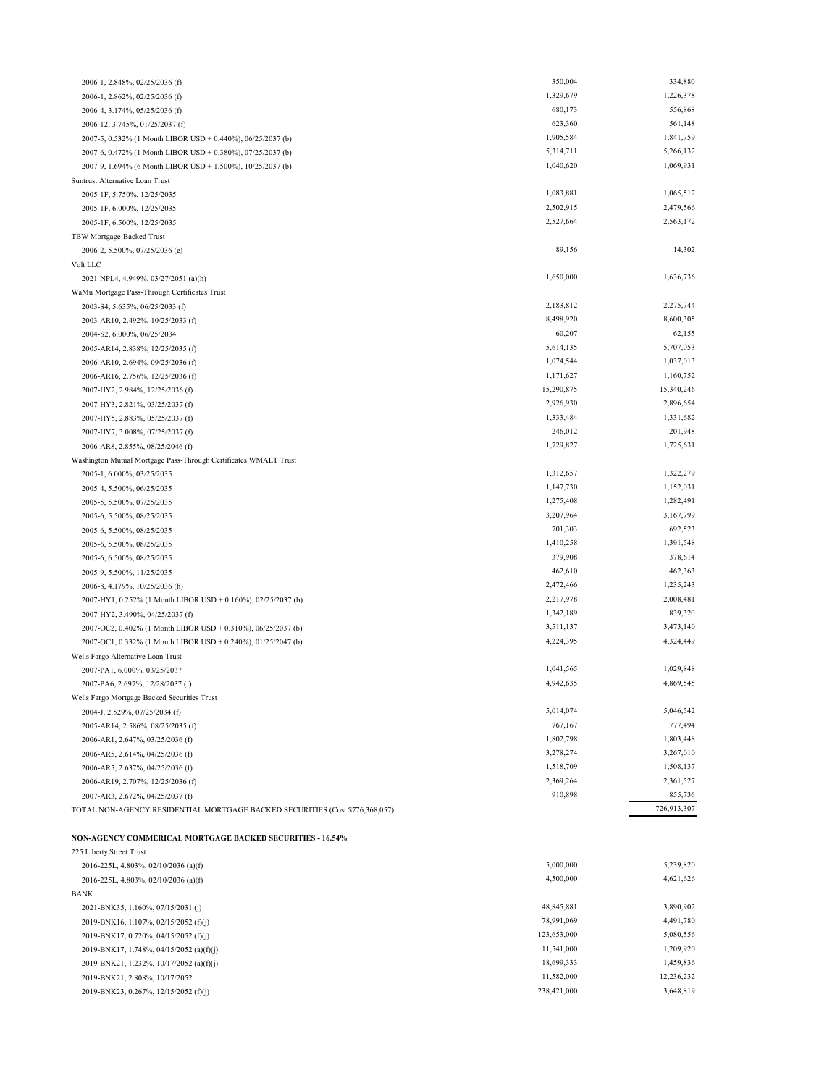| <b>NON-AGENCY COMMERICAL MORTGAGE BACKED SECURITIES - 16.54%</b> |             |            |
|------------------------------------------------------------------|-------------|------------|
| 225 Liberty Street Trust                                         |             |            |
| 2016-225L, 4.803%, 02/10/2036 (a)(f)                             | 5,000,000   | 5,239,820  |
| 2016-225L, 4.803%, 02/10/2036 (a)(f)                             | 4,500,000   | 4,621,626  |
| <b>BANK</b>                                                      |             |            |
| 2021-BNK35, 1.160%, 07/15/2031 (j)                               | 48,845,881  | 3,890,902  |
| 2019-BNK16, 1.107%, 02/15/2052 (f)(j)                            | 78,991,069  | 4,491,780  |
| 2019-BNK17, 0.720%, 04/15/2052 (f)(j)                            | 123,653,000 | 5,080,556  |
| 2019-BNK17, 1.748%, 04/15/2052 (a)(f)(j)                         | 11,541,000  | 1,209,920  |
| 2019-BNK21, 1.232%, 10/17/2052 (a)(f)(j)                         | 18,699,333  | 1,459,836  |
| 2019-BNK21, 2.808%, 10/17/2052                                   | 11,582,000  | 12,236,232 |
| 2019-BNK23, 0.267%, 12/15/2052 (f)(j)                            | 238,421,000 | 3,648,819  |
|                                                                  |             |            |

2006-1, 2.848%, 02/25/2036 (f) 2006-1, 2.862%, 02/25/2036 (f) 2006-4, 3.174%, 05/25/2036 (f)

| 2006-12, 3.745%, 01/25/2037 (f)                                              | 623,360    | 561,148     |
|------------------------------------------------------------------------------|------------|-------------|
| 2007-5, 0.532% (1 Month LIBOR USD + 0.440%), 06/25/2037 (b)                  | 1,905,584  | 1,841,759   |
| 2007-6, 0.472% (1 Month LIBOR USD + 0.380%), 07/25/2037 (b)                  | 5,314,711  | 5,266,132   |
| 2007-9, 1.694% (6 Month LIBOR USD + 1.500%), 10/25/2037 (b)                  | 1,040,620  | 1,069,931   |
| Suntrust Alternative Loan Trust                                              |            |             |
| 2005-1F, 5.750%, 12/25/2035                                                  | 1,083,881  | 1,065,512   |
| 2005-1F, 6.000%, 12/25/2035                                                  | 2,502,915  | 2,479,566   |
| 2005-1F, 6.500%, 12/25/2035                                                  | 2,527,664  | 2,563,172   |
| TBW Mortgage-Backed Trust                                                    |            |             |
| 2006-2, 5.500%, 07/25/2036 (e)                                               | 89,156     | 14,302      |
| Volt LLC                                                                     |            |             |
| 2021-NPL4, 4.949%, 03/27/2051 (a)(h)                                         | 1,650,000  | 1,636,736   |
| WaMu Mortgage Pass-Through Certificates Trust                                |            |             |
| 2003-S4, 5.635%, 06/25/2033 (f)                                              | 2,183,812  | 2,275,744   |
| 2003-AR10, 2.492%, 10/25/2033 (f)                                            | 8,498,920  | 8,600,305   |
| 2004-S2, 6.000%, 06/25/2034                                                  | 60,207     | 62,155      |
| 2005-AR14, 2.838%, 12/25/2035 (f)                                            | 5,614,135  | 5,707,053   |
| 2006-AR10, 2.694%, 09/25/2036 (f)                                            | 1,074,544  | 1,037,013   |
| 2006-AR16, 2.756%, 12/25/2036 (f)                                            | 1,171,627  | 1,160,752   |
| 2007-HY2, 2.984%, 12/25/2036 (f)                                             | 15,290,875 | 15,340,246  |
| 2007-HY3, 2.821%, 03/25/2037 (f)                                             | 2,926,930  | 2,896,654   |
| 2007-HY5, 2.883%, 05/25/2037 (f)                                             | 1,333,484  | 1,331,682   |
| 2007-HY7, 3.008%, 07/25/2037 (f)                                             | 246,012    | 201,948     |
| 2006-AR8, 2.855%, 08/25/2046 (f)                                             | 1,729,827  | 1,725,631   |
| Washington Mutual Mortgage Pass-Through Certificates WMALT Trust             |            |             |
| 2005-1, 6.000%, 03/25/2035                                                   | 1,312,657  | 1,322,279   |
| 2005-4, 5.500%, 06/25/2035                                                   | 1,147,730  | 1,152,031   |
| 2005-5, 5.500%, 07/25/2035                                                   | 1,275,408  | 1,282,491   |
| 2005-6, 5.500%, 08/25/2035                                                   | 3,207,964  | 3,167,799   |
| 2005-6, 5.500%, 08/25/2035                                                   | 701,303    | 692,523     |
| 2005-6, 5.500%, 08/25/2035                                                   | 1,410,258  | 1,391,548   |
| 2005-6, 6.500%, 08/25/2035                                                   | 379,908    | 378,614     |
| 2005-9, 5.500%, 11/25/2035                                                   | 462,610    | 462,363     |
| 2006-8, 4.179%, 10/25/2036 (h)                                               | 2,472,466  | 1,235,243   |
| 2007-HY1, 0.252% (1 Month LIBOR USD + 0.160%), 02/25/2037 (b)                | 2,217,978  | 2,008,481   |
| 2007-HY2, 3.490%, 04/25/2037 (f)                                             | 1,342,189  | 839,320     |
| 2007-OC2, 0.402% (1 Month LIBOR USD + 0.310%), 06/25/2037 (b)                | 3,511,137  | 3,473,140   |
| 2007-OC1, 0.332% (1 Month LIBOR USD + 0.240%), 01/25/2047 (b)                | 4,224,395  | 4,324,449   |
| Wells Fargo Alternative Loan Trust                                           |            |             |
| 2007-PA1, 6.000%, 03/25/2037                                                 | 1,041,565  | 1,029,848   |
| 2007-PA6, 2.697%, 12/28/2037 (f)                                             | 4,942,635  | 4,869,545   |
| Wells Fargo Mortgage Backed Securities Trust                                 |            |             |
| 2004-J, 2.529%, 07/25/2034 (f)                                               | 5,014,074  | 5,046,542   |
| 2005-AR14, 2.586%, 08/25/2035 (f)                                            | 767,167    | 777,494     |
| 2006-AR1, 2.647%, 03/25/2036 (f)                                             | 1,802,798  | 1,803,448   |
| 2006-AR5, 2.614%, 04/25/2036 (f)                                             | 3,278,274  | 3,267,010   |
| 2006-AR5, 2.637%, 04/25/2036 (f)                                             | 1,518,709  | 1,508,137   |
| 2006-AR19, 2.707%, 12/25/2036 (f)                                            | 2,369,264  | 2,361,527   |
| 2007-AR3, 2.672%, 04/25/2037 (f)                                             | 910,898    | 855,736     |
| TOTAL NON-AGENCY RESIDENTIAL MORTGAGE BACKED SECURITIES (Cost \$776,368,057) |            | 726,913,307 |
|                                                                              |            |             |

350,004 334,880 1,329,679 1,226,378 680,173 556,868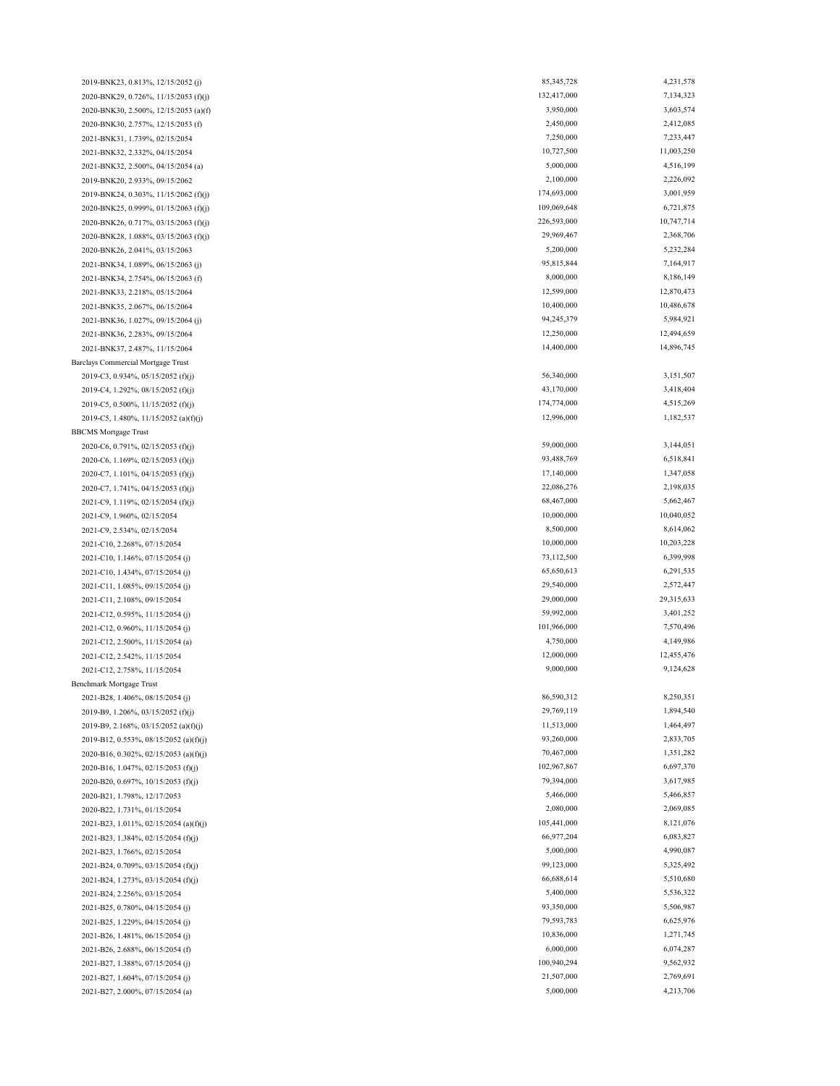2021-B26, 1.481%, 06/15/2054 (j) 2021-B27, 1.604%, 07/15/2054 (j) 2021-B27, 2.000%, 07/15/2054 (a) 2021-C11, 2.108%, 09/15/2054 2019-B9, 2.168%, 03/15/2052 (a)(f)(j) 2019-B12, 0.553%, 08/15/2052 (a)(f)(j) 2020-B16, 0.302%, 02/15/2053 (a)(f)(j) 2020-B16, 1.047%, 02/15/2053 (f)(j) 2021-B24, 2.256%, 03/15/2054 2020-B22, 1.731%, 01/15/2054 2021-B23, 1.011%, 02/15/2054 (a)(f)(j) 2021-B23, 1.384%, 02/15/2054 (f)(j) 2021-B23, 1.766%, 02/15/2054 2021-BNK34, 1.089%, 06/15/2063 (j) 2019-C4, 1.292%, 08/15/2052 (f)(j) 2019-C5, 0.500%, 11/15/2052 (f)(j) 2019-C5, 1.480%, 11/15/2052 (a)(f)(j) BBCMS Mortgage Trust 2021-C10, 1.146%, 07/15/2054 (j) 2020-C6, 0.791%, 02/15/2053 (f)(j) 2020-C6, 1.169%, 02/15/2053 (f)(j) 2021-BNK35, 2.067%, 06/15/2064 2021-BNK36, 1.027%, 09/15/2064 (j) 2019-BNK23, 0.813%, 12/15/2052 (j) 2020-BNK29, 0.726%, 11/15/2053 (f)(j) 2020-BNK26, 0.717%, 03/15/2063 (f)(j) 2021-BNK31, 1.739%, 02/15/2054 2021-BNK32, 2.332%, 04/15/2054 2021-BNK32, 2.500%, 04/15/2054 (a) 2019-BNK20, 2.933%, 09/15/2062 2021-B26, 2.688%, 06/15/2054 (f) 2021-B27, 1.388%, 07/15/2054 (j) 2021-B24, 0.709%, 03/15/2054 (f)(j) 2021-B24, 1.273%, 03/15/2054 (f)(j) 2021-B25, 0.780%, 04/15/2054 (j) 2021-B25, 1.229%, 04/15/2054 (j) 2020-B20, 0.697%, 10/15/2053 (f)(j) 2020-B21, 1.798%, 12/17/2053 2021-C12, 2.500%, 11/15/2054 (a) 2021-C12, 2.542%, 11/15/2054 2021-C12, 2.758%, 11/15/2054 Benchmark Mortgage Trust 2021-B28, 1.406%, 08/15/2054 (j) 2019-B9, 1.206%, 03/15/2052 (f)(j) 2021-C12, 0.595%, 11/15/2054 (j) 2021-C12, 0.960%, 11/15/2054 (j) 2020-C7, 1.101%, 04/15/2053 (f)(j) 2020-C7, 1.741%, 04/15/2053 (f)(j) 2021-C9, 1.119%, 02/15/2054 (f)(j) 2021-C9, 1.960%, 02/15/2054 2021-C9, 2.534%, 02/15/2054 2021-C10, 2.268%, 07/15/2054 2021-C10, 1.434%, 07/15/2054 (j) 2021-C11, 1.085%, 09/15/2054 (j) 2021-BNK36, 2.283%, 09/15/2064 2021-BNK37, 2.487%, 11/15/2064 Barclays Commercial Mortgage Trust 2019-C3, 0.934%, 05/15/2052 (f)(j) 2021-BNK34, 2.754%, 06/15/2063 (f) 2021-BNK33, 2.218%, 05/15/2064 2019-BNK24, 0.303%, 11/15/2062 (f)(j) 2020-BNK25, 0.999%, 01/15/2063 (f)(j) 2020-BNK28, 1.088%, 03/15/2063 (f)(j) 2020-BNK26, 2.041%, 03/15/2063 2020-BNK30, 2.500%, 12/15/2053 (a)(f) 2020-BNK30, 2.757%, 12/15/2053 (f)

85,345,728 4,231,578 132,417,000 7,134,323 3,950,000 3,603,574 2,450,000 2,412,085 7,250,000 7,233,447 10,727,500 11,003,250 5,000,000 4,516,199 2,100,000 2,226,092 174,693,000 3,001,959 109,069,648 6,721,875 226,593,000 10,747,714 29,969,467 2,368,706 5,200,000 5,232,284 95,815,844 7,164,917 8,000,000 8,186,149 12,599,000 12,870,473 10,400,000 10,486,678 94,245,379 5,984,921 12,250,000 12,494,659 14,400,000 14,896,745 56,340,000 3,151,507 43,170,000 3,418,404 174,774,000 4,515,269 12,996,000 1,182,537 59,000,000 3,144,051 93,488,769 6,518,841 17,140,000 1,347,058 22,086,276 2,198,035 68,467,000 5,662,467 10,000,000 10,040,052 8,500,000 8,614,062 10,000,000 10,203,228 73,112,500 6,399,998 65,650,613 6,291,535 29,540,000 2,572,447 29,000,000 29,315,633 59,992,000 3,401,252 101,966,000 7,570,496 4,750,000 4,149,986 12,000,000 12,455,476 9,000,000 9,124,628 86,590,312 8,250,351 29,769,119 1,894,540 11,513,000 1,464,497 93,260,000 2,833,705 70,467,000 1,351,282 102,967,867 6,697,370 79,394,000 3,617,985 5,466,000 5,466,857 2,080,000 2,069,085 105,441,000 8,121,076 66,977,204 6,083,827 5,000,000 4,990,087 99,123,000 5,325,492 66,688,614 5,510,680 5,400,000 5,536,322 93,350,000 5,506,987 79,593,783 6,625,976 10,836,000 1,271,745 6,000,000 6,074,287 100,940,294 9,562,932 21,507,000 2,769,691 5,000,000 4,213,706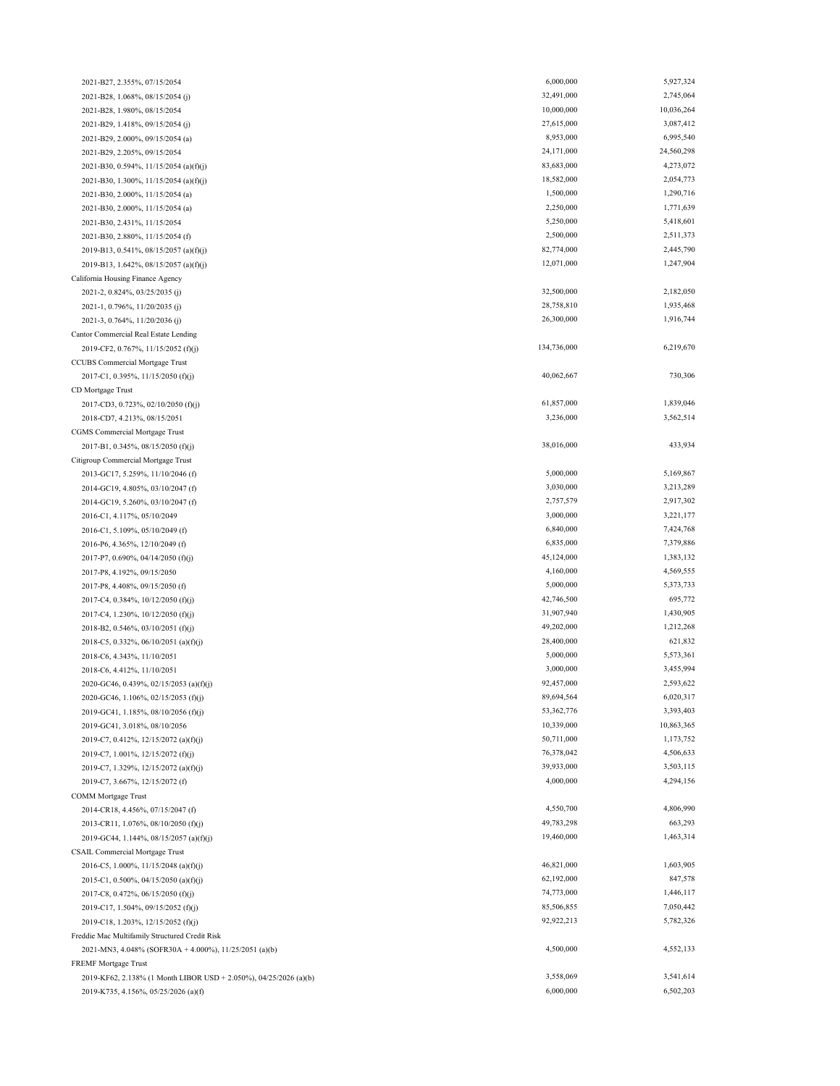| 2021-B27, 2.355%, 07/15/2054                                      | 6,000,000   | 5,927,324  |
|-------------------------------------------------------------------|-------------|------------|
| 2021-B28, 1.068%, 08/15/2054 (j)                                  | 32,491,000  | 2,745,064  |
| 2021-B28, 1.980%, 08/15/2054                                      | 10,000,000  | 10,036,264 |
| 2021-B29, 1.418%, 09/15/2054 (j)                                  | 27,615,000  | 3,087,412  |
| 2021-B29, 2.000%, 09/15/2054 (a)                                  | 8,953,000   | 6,995,540  |
| 2021-B29, 2.205%, 09/15/2054                                      | 24,171,000  | 24,560,298 |
| 2021-B30, 0.594%, 11/15/2054 (a)(f)(j)                            | 83,683,000  | 4,273,072  |
| 2021-B30, 1.300%, 11/15/2054 (a)(f)(j)                            | 18,582,000  | 2,054,773  |
| 2021-B30, 2.000%, 11/15/2054 (a)                                  | 1,500,000   | 1,290,716  |
| 2021-B30, 2.000%, 11/15/2054 (a)                                  | 2,250,000   | 1,771,639  |
| 2021-B30, 2.431%, 11/15/2054                                      | 5,250,000   | 5,418,601  |
| 2021-B30, 2.880%, 11/15/2054 (f)                                  | 2,500,000   | 2,511,373  |
| 2019-B13, 0.541%, 08/15/2057 (a)(f)(j)                            | 82,774,000  | 2,445,790  |
| 2019-B13, 1.642%, 08/15/2057 (a)(f)(j)                            | 12,071,000  | 1,247,904  |
| California Housing Finance Agency                                 |             |            |
| 2021-2, 0.824%, 03/25/2035 (j)                                    | 32,500,000  | 2,182,050  |
| 2021-1, 0.796%, 11/20/2035 (j)                                    | 28,758,810  | 1,935,468  |
| 2021-3, 0.764%, 11/20/2036 (j)                                    | 26,300,000  | 1,916,744  |
| Cantor Commercial Real Estate Lending                             |             |            |
| 2019-CF2, 0.767%, 11/15/2052 (f)(j)                               | 134,736,000 | 6,219,670  |
| CCUBS Commercial Mortgage Trust                                   |             |            |
| 2017-C1, 0.395%, 11/15/2050 (f)(j)                                | 40,062,667  | 730,306    |
| CD Mortgage Trust                                                 |             |            |
| 2017-CD3, 0.723%, 02/10/2050 (f)(j)                               | 61,857,000  | 1,839,046  |
| 2018-CD7, 4.213%, 08/15/2051                                      | 3,236,000   | 3,562,514  |
| CGMS Commercial Mortgage Trust                                    |             |            |
| 2017-B1, 0.345%, 08/15/2050 (f)(j)                                | 38,016,000  | 433,934    |
| Citigroup Commercial Mortgage Trust                               |             |            |
| 2013-GC17, 5.259%, 11/10/2046 (f)                                 | 5,000,000   | 5,169,867  |
| 2014-GC19, 4.805%, 03/10/2047 (f)                                 | 3,030,000   | 3,213,289  |
| 2014-GC19, 5.260%, 03/10/2047 (f)                                 | 2,757,579   | 2,917,302  |
| 2016-C1, 4.117%, 05/10/2049                                       | 3,000,000   | 3,221,177  |
| 2016-C1, 5.109%, 05/10/2049 (f)                                   | 6,840,000   | 7,424,768  |
| 2016-P6, 4.365%, 12/10/2049 (f)                                   | 6,835,000   | 7,379,886  |
| 2017-P7, 0.690%, 04/14/2050 (f)(j)                                | 45,124,000  | 1,383,132  |
| 2017-P8, 4.192%, 09/15/2050                                       | 4,160,000   | 4,569,555  |
| 2017-P8, 4.408%, 09/15/2050 (f)                                   | 5,000,000   | 5,373,733  |
| 2017-C4, 0.384%, 10/12/2050 (f)(j)                                | 42,746,500  | 695,772    |
| 2017-C4, 1.230%, 10/12/2050 (f)(j)                                | 31,907,940  | 1,430,905  |
| 2018-B2, 0.546%, 03/10/2051 (f)(j)                                | 49,202,000  | 1,212,268  |
| 2018-C5, 0.332%, 06/10/2051 (a)(f)(j)                             | 28,400,000  | 621,832    |
| 2018-C6, 4.343%, 11/10/2051                                       | 5,000,000   | 5,573,361  |
| 2018-C6, 4.412%, 11/10/2051                                       | 3,000,000   | 3,455,994  |
| 2020-GC46, 0.439%, 02/15/2053 (a)(f)(j)                           | 92,457,000  | 2,593,622  |
| 2020-GC46, 1.106%, 02/15/2053 (f)(j)                              | 89,694,564  | 6,020,317  |
| 2019-GC41, 1.185%, 08/10/2056 (f)(j)                              | 53,362,776  | 3,393,403  |
| 2019-GC41, 3.018%, 08/10/2056                                     | 10,339,000  | 10,863,365 |
| 2019-C7, 0.412%, 12/15/2072 (a)(f)(j)                             | 50,711,000  | 1,173,752  |
| 2019-C7, 1.001%, 12/15/2072 (f)(j)                                | 76,378,042  | 4,506,633  |
| 2019-C7, 1.329%, 12/15/2072 (a)(f)(j)                             | 39,933,000  | 3,503,115  |
| 2019-C7, 3.667%, 12/15/2072 (f)                                   | 4,000,000   | 4,294,156  |
| <b>COMM</b> Mortgage Trust                                        |             |            |
| 2014-CR18, 4.456%, 07/15/2047 (f)                                 | 4,550,700   | 4,806,990  |
| 2013-CR11, 1.076%, 08/10/2050 (f)(j)                              | 49,783,298  | 663,293    |
| 2019-GC44, 1.144%, 08/15/2057 (a)(f)(j)                           | 19,460,000  | 1,463,314  |
| CSAIL Commercial Mortgage Trust                                   |             |            |
| 2016-C5, 1.000%, 11/15/2048 (a)(f)(j)                             | 46,821,000  | 1,603,905  |
| 2015-C1, 0.500%, 04/15/2050 (a)(f)(j)                             | 62,192,000  | 847,578    |
| 2017-C8, 0.472%, 06/15/2050 (f)(j)                                | 74,773,000  | 1,446,117  |
| 2019-C17, 1.504%, 09/15/2052 (f)(j)                               | 85,506,855  | 7,050,442  |
| 2019-C18, 1.203%, 12/15/2052 (f)(j)                               | 92,922,213  | 5,782,326  |
| Freddie Mac Multifamily Structured Credit Risk                    |             |            |
| 2021-MN3, 4.048% (SOFR30A + 4.000%), 11/25/2051 (a)(b)            | 4,500,000   | 4,552,133  |
| FREMF Mortgage Trust                                              |             |            |
| 2019-KF62, 2.138% (1 Month LIBOR USD + 2.050%), 04/25/2026 (a)(b) | 3,558,069   | 3,541,614  |
| 2019-K735, 4.156%, 05/25/2026 (a)(f)                              | 6,000,000   | 6,502,203  |
|                                                                   |             |            |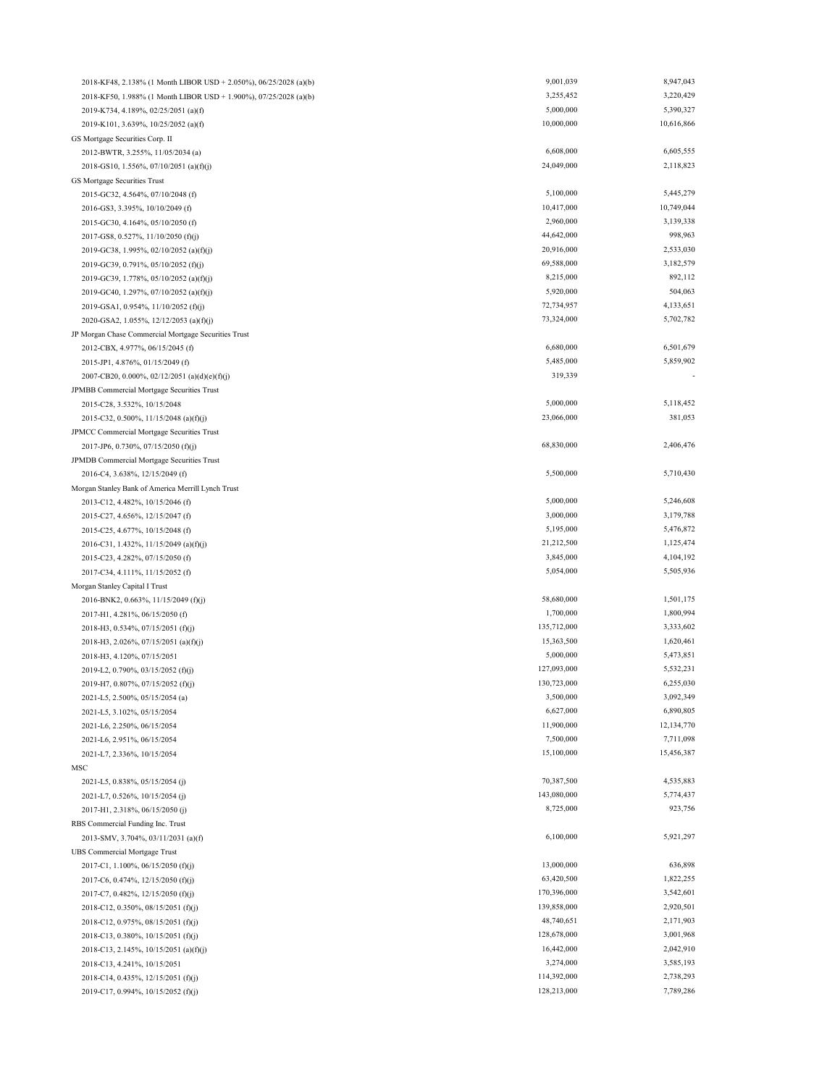| 2018-KF48, 2.138% (1 Month LIBOR USD + 2.050%), 06/25/2028 (a)(b) | 9,001,039   | 8,947,043  |
|-------------------------------------------------------------------|-------------|------------|
| 2018-KF50, 1.988% (1 Month LIBOR USD + 1.900%), 07/25/2028 (a)(b) | 3,255,452   | 3,220,429  |
| 2019-K734, 4.189%, 02/25/2051 (a)(f)                              | 5,000,000   | 5,390,327  |
| 2019-K101, 3.639%, 10/25/2052 (a)(f)                              | 10,000,000  | 10,616,866 |
| GS Mortgage Securities Corp. II                                   |             |            |
| 2012-BWTR, 3.255%, 11/05/2034 (a)                                 | 6,608,000   | 6,605,555  |
| 2018-GS10, 1.556%, 07/10/2051 (a)(f)(j)                           | 24,049,000  | 2,118,823  |
| GS Mortgage Securities Trust                                      |             |            |
| 2015-GC32, 4.564%, 07/10/2048 (f)                                 | 5,100,000   | 5,445,279  |
| 2016-GS3, 3.395%, 10/10/2049 (f)                                  | 10,417,000  | 10,749,044 |
| 2015-GC30, 4.164%, 05/10/2050 (f)                                 | 2,960,000   | 3,139,338  |
| 2017-GS8, 0.527%, 11/10/2050 (f)(j)                               | 44,642,000  | 998,963    |
| 2019-GC38, 1.995%, 02/10/2052 (a)(f)(j)                           | 20,916,000  | 2,533,030  |
| 2019-GC39, 0.791%, 05/10/2052 (f)(j)                              | 69,588,000  | 3,182,579  |
| 2019-GC39, 1.778%, 05/10/2052 (a)(f)(j)                           | 8,215,000   | 892,112    |
| 2019-GC40, 1.297%, 07/10/2052 (a)(f)(j)                           | 5,920,000   | 504,063    |
| 2019-GSA1, 0.954%, 11/10/2052 (f)(j)                              | 72,734,957  | 4,133,651  |
| 2020-GSA2, 1.055%, 12/12/2053 (a)(f)(j)                           | 73,324,000  | 5,702,782  |
| JP Morgan Chase Commercial Mortgage Securities Trust              |             |            |
| 2012-CBX, 4.977%, 06/15/2045 (f)                                  | 6,680,000   | 6,501,679  |
| 2015-JP1, 4.876%, 01/15/2049 (f)                                  | 5,485,000   | 5,859,902  |
| 2007-CB20, 0.000%, 02/12/2051 (a)(d)(e)(f)(j)                     | 319,339     |            |
| JPMBB Commercial Mortgage Securities Trust                        |             |            |
| 2015-C28, 3.532%, 10/15/2048                                      | 5,000,000   | 5,118,452  |
| 2015-C32, 0.500%, 11/15/2048 (a)(f)(j)                            | 23,066,000  | 381,053    |
| JPMCC Commercial Mortgage Securities Trust                        |             |            |
| 2017-JP6, 0.730%, 07/15/2050 (f)(j)                               | 68,830,000  | 2,406,476  |
| JPMDB Commercial Mortgage Securities Trust                        |             |            |
| 2016-C4, 3.638%, 12/15/2049 (f)                                   | 5,500,000   | 5,710,430  |
| Morgan Stanley Bank of America Merrill Lynch Trust                |             |            |
| 2013-C12, 4.482%, 10/15/2046 (f)                                  | 5,000,000   | 5,246,608  |
| 2015-C27, 4.656%, 12/15/2047 (f)                                  | 3,000,000   | 3,179,788  |
| 2015-C25, 4.677%, 10/15/2048 (f)                                  | 5,195,000   | 5,476,872  |
| 2016-C31, 1.432%, 11/15/2049 (a)(f)(j)                            | 21,212,500  | 1,125,474  |
| 2015-C23, 4.282%, 07/15/2050 (f)                                  | 3,845,000   | 4,104,192  |
| 2017-C34, 4.111%, 11/15/2052 (f)                                  | 5,054,000   | 5,505,936  |
| Morgan Stanley Capital I Trust                                    |             |            |
| 2016-BNK2, 0.663%, 11/15/2049 (f)(j)                              | 58,680,000  | 1,501,175  |
| 2017-H1, 4.281%, 06/15/2050 (f)                                   | 1,700,000   | 1,800,994  |
| 2018-H3, 0.534%, 07/15/2051 (f)(j)                                | 135,712,000 | 3,333,602  |
| 2018-H3, 2.026%, 07/15/2051 (a)(f)(j)                             | 15,363,500  | 1,620,461  |
| 2018-H3, 4.120%, 07/15/2051                                       | 5,000,000   | 5,473,851  |
| 2019-L2, 0.790%, 03/15/2052 (f)(j)                                | 127,093,000 | 5,532,231  |
| 2019-H7, 0.807%, 07/15/2052 (f)(j)                                | 130,723,000 | 6,255,030  |
| 2021-L5, 2.500%, 05/15/2054 (a)                                   | 3,500,000   | 3,092,349  |
| 2021-L5, 3.102%, 05/15/2054                                       | 6,627,000   | 6,890,805  |
| 2021-L6, 2.250%, 06/15/2054                                       | 11,900,000  | 12,134,770 |
| 2021-L6, 2.951%, 06/15/2054                                       | 7,500,000   | 7,711,098  |
| 2021-L7, 2.336%, 10/15/2054                                       | 15,100,000  | 15,456,387 |
| MSC                                                               |             |            |
| 2021-L5, 0.838%, 05/15/2054 (j)                                   | 70,387,500  | 4,535,883  |
| 2021-L7, 0.526%, 10/15/2054 (j)                                   | 143,080,000 | 5,774,437  |
| 2017-H1, 2.318%, 06/15/2050 (j)                                   | 8,725,000   | 923,756    |
| RBS Commercial Funding Inc. Trust                                 |             |            |
| 2013-SMV, 3.704%, 03/11/2031 (a)(f)                               | 6,100,000   | 5,921,297  |
| <b>UBS Commercial Mortgage Trust</b>                              |             |            |
| 2017-C1, 1.100%, 06/15/2050 (f)(j)                                | 13,000,000  | 636,898    |
| 2017-C6, 0.474%, 12/15/2050 (f)(j)                                | 63,420,500  | 1,822,255  |
| 2017-C7, 0.482%, 12/15/2050 (f)(j)                                | 170,396,000 | 3,542,601  |
| 2018-C12, 0.350%, 08/15/2051 (f)(j)                               | 139,858,000 | 2,920,501  |
| 2018-C12, 0.975%, 08/15/2051 (f)(j)                               | 48,740,651  | 2,171,903  |
| 2018-C13, 0.380%, 10/15/2051 (f)(j)                               | 128,678,000 | 3,001,968  |
| 2018-C13, 2.145%, 10/15/2051 (a)(f)(j)                            | 16,442,000  | 2,042,910  |
| 2018-C13, 4.241%, 10/15/2051                                      | 3,274,000   | 3,585,193  |
| 2018-C14, 0.435%, 12/15/2051 (f)(j)                               | 114,392,000 | 2,738,293  |
| 2019-C17, 0.994%, 10/15/2052 (f)(j)                               | 128,213,000 | 7,789,286  |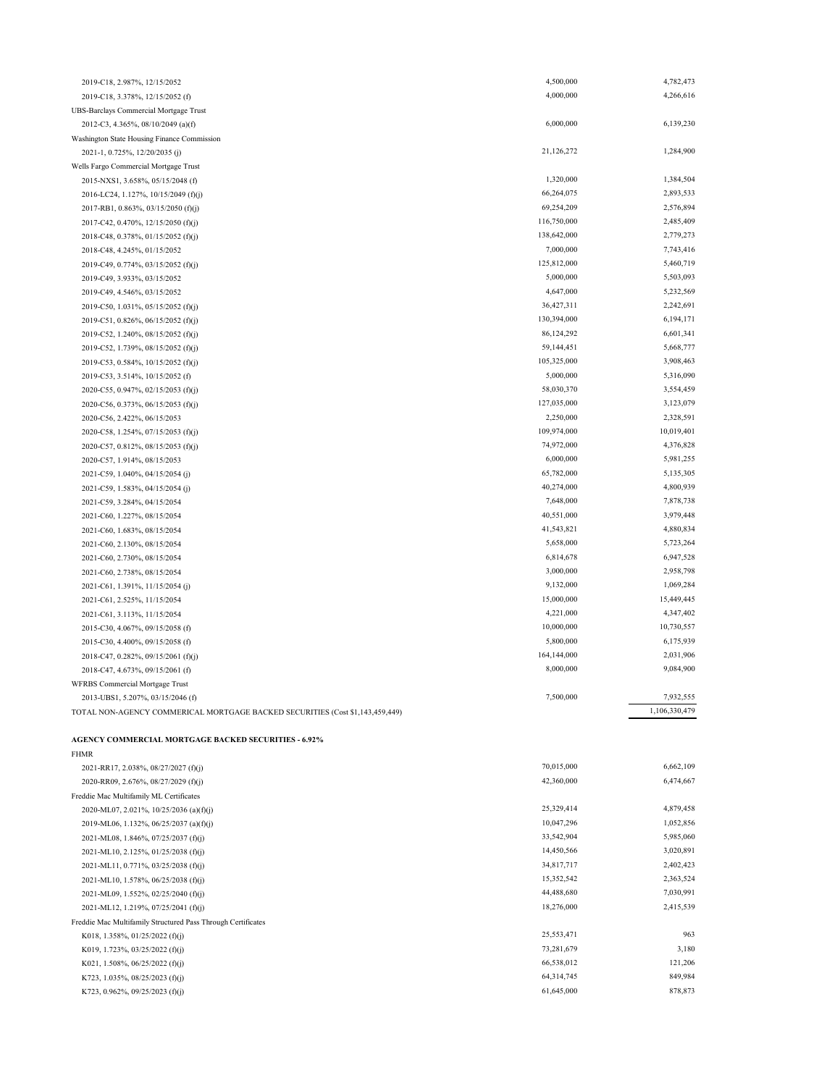| 2019-C18, 2.987%, 12/15/2052                                                  | 4,500,000   | 4,782,473     |
|-------------------------------------------------------------------------------|-------------|---------------|
| 2019-C18, 3.378%, 12/15/2052 (f)                                              | 4,000,000   | 4,266,616     |
| UBS-Barclays Commercial Mortgage Trust                                        |             |               |
| 2012-C3, 4.365%, 08/10/2049 (a)(f)                                            | 6,000,000   | 6,139,230     |
| Washington State Housing Finance Commission                                   |             |               |
| 2021-1, 0.725%, 12/20/2035 (j)                                                | 21,126,272  | 1,284,900     |
| Wells Fargo Commercial Mortgage Trust                                         |             |               |
| 2015-NXS1, 3.658%, 05/15/2048 (f)                                             | 1,320,000   | 1,384,504     |
| 2016-LC24, 1.127%, 10/15/2049 (f)(j)                                          | 66,264,075  | 2,893,533     |
| 2017-RB1, 0.863%, 03/15/2050 (f)(j)                                           | 69,254,209  | 2,576,894     |
| 2017-C42, 0.470%, 12/15/2050 (f)(j)                                           | 116,750,000 | 2,485,409     |
| 2018-C48, 0.378%, 01/15/2052 (f)(j)                                           | 138,642,000 | 2,779,273     |
| 2018-C48, 4.245%, 01/15/2052                                                  | 7,000,000   | 7,743,416     |
| 2019-C49, 0.774%, 03/15/2052 (f)(j)                                           | 125,812,000 | 5,460,719     |
| 2019-C49, 3.933%, 03/15/2052                                                  | 5,000,000   | 5,503,093     |
| 2019-C49, 4.546%, 03/15/2052                                                  | 4,647,000   | 5,232,569     |
| 2019-C50, 1.031%, 05/15/2052 (f)(j)                                           | 36,427,311  | 2,242,691     |
| 2019-C51, 0.826%, 06/15/2052 (f)(j)                                           | 130,394,000 | 6,194,171     |
| 2019-C52, 1.240%, 08/15/2052 (f)(j)                                           | 86,124,292  | 6,601,341     |
| 2019-C52, 1.739%, 08/15/2052 (f)(j)                                           | 59,144,451  | 5,668,777     |
| 2019-C53, 0.584%, 10/15/2052 (f)(j)                                           | 105,325,000 | 3,908,463     |
| 2019-C53, 3.514%, 10/15/2052 (f)                                              | 5,000,000   | 5,316,090     |
| 2020-C55, 0.947%, 02/15/2053 (f)(j)                                           | 58,030,370  | 3,554,459     |
| 2020-C56, 0.373%, 06/15/2053 (f)(j)                                           | 127,035,000 | 3,123,079     |
| 2020-C56, 2.422%, 06/15/2053                                                  | 2,250,000   | 2,328,591     |
| 2020-C58, 1.254%, 07/15/2053 (f)(j)                                           | 109,974,000 | 10,019,401    |
| 2020-C57, 0.812%, 08/15/2053 (f)(j)                                           | 74,972,000  | 4,376,828     |
| 2020-C57, 1.914%, 08/15/2053                                                  | 6,000,000   | 5,981,255     |
| 2021-C59, 1.040%, 04/15/2054 (j)                                              | 65,782,000  | 5,135,305     |
| 2021-C59, 1.583%, 04/15/2054 (j)                                              | 40,274,000  | 4,800,939     |
| 2021-C59, 3.284%, 04/15/2054                                                  | 7,648,000   | 7,878,738     |
| 2021-C60, 1.227%, 08/15/2054                                                  | 40,551,000  | 3,979,448     |
| 2021-C60, 1.683%, 08/15/2054                                                  | 41,543,821  | 4,880,834     |
| 2021-C60, 2.130%, 08/15/2054                                                  | 5,658,000   | 5,723,264     |
| 2021-C60, 2.730%, 08/15/2054                                                  | 6,814,678   | 6,947,528     |
| 2021-C60, 2.738%, 08/15/2054                                                  | 3,000,000   | 2,958,798     |
| 2021-C61, 1.391%, 11/15/2054 (j)                                              | 9,132,000   | 1,069,284     |
| 2021-C61, 2.525%, 11/15/2054                                                  | 15,000,000  | 15,449,445    |
| 2021-C61, 3.113%, 11/15/2054                                                  | 4,221,000   | 4,347,402     |
| 2015-C30, 4.067%, 09/15/2058 (f)                                              | 10,000,000  | 10,730,557    |
| 2015-C30, 4.400%, 09/15/2058 (f)                                              | 5,800,000   | 6,175,939     |
| 2018-C47, 0.282%, 09/15/2061 (f)(j)                                           | 164,144,000 | 2,031,906     |
| 2018-C47, 4.673%, 09/15/2061 (f)                                              | 8,000,000   | 9,084,900     |
| <b>WFRBS</b> Commercial Mortgage Trust                                        |             |               |
| 2013-UBS1, 5.207%, 03/15/2046 (f)                                             | 7,500,000   | 7,932,555     |
| TOTAL NON-AGENCY COMMERICAL MORTGAGE BACKED SECURITIES (Cost \$1,143,459,449) |             | 1,106,330,479 |

## **AGENCY COMMERCIAL MORTGAGE BACKED SECURITIES - 6.92%**

| <b>FHMR</b>                                                  |            |           |
|--------------------------------------------------------------|------------|-----------|
| 2021-RR17, 2.038%, 08/27/2027 (f)(j)                         | 70,015,000 | 6,662,109 |
| 2020-RR09, 2.676%, 08/27/2029 (f)(j)                         | 42,360,000 | 6,474,667 |
| Freddie Mac Multifamily ML Certificates                      |            |           |
| 2020-ML07, 2.021%, 10/25/2036 (a)(f)(j)                      | 25,329,414 | 4,879,458 |
| 2019-ML06, 1.132%, 06/25/2037 (a)(f)(j)                      | 10,047,296 | 1,052,856 |
| 2021-ML08, 1.846%, 07/25/2037 (f)(j)                         | 33,542,904 | 5,985,060 |
| 2021-ML10, 2.125%, 01/25/2038 (f)(j)                         | 14,450,566 | 3,020,891 |
| 2021-ML11, 0.771%, 03/25/2038 (f)(j)                         | 34,817,717 | 2,402,423 |
| 2021-ML10, 1.578%, 06/25/2038 (f)(j)                         | 15,352,542 | 2,363,524 |
| 2021-ML09, 1.552%, 02/25/2040 (f)(j)                         | 44,488,680 | 7,030,991 |
| 2021-ML12, 1.219%, 07/25/2041 (f)(j)                         | 18,276,000 | 2,415,539 |
| Freddie Mac Multifamily Structured Pass Through Certificates |            |           |
| K018, 1.358%, 01/25/2022 (f)(j)                              | 25,553,471 | 963       |
| K019, 1.723%, 03/25/2022 (f)(j)                              | 73,281,679 | 3,180     |
| K021, 1.508%, 06/25/2022 (f)(j)                              | 66,538,012 | 121,206   |
| K723, 1.035%, 08/25/2023 (f)(j)                              | 64,314,745 | 849,984   |
| K723, 0.962%, 09/25/2023 (f)(j)                              | 61,645,000 | 878,873   |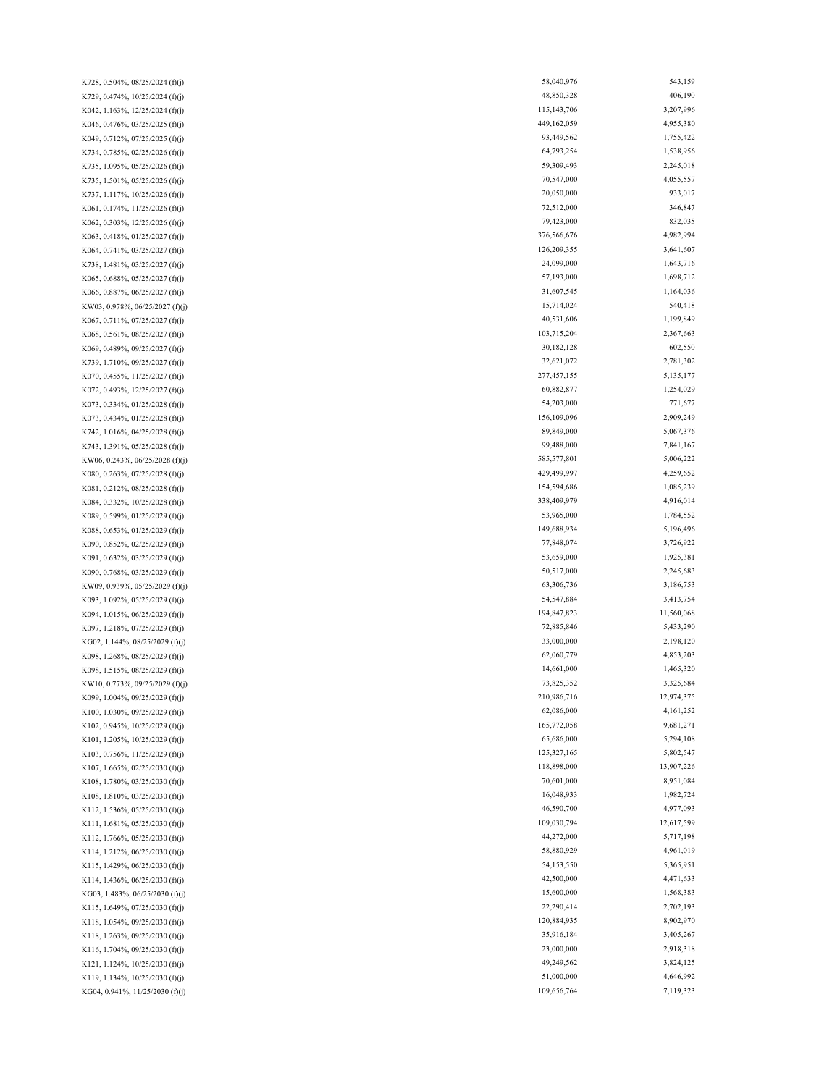K116, 1.704%, 09/25/2030 (f)(j) K094, 1.015%, 06/25/2029 (f)(j) K101, 1.205%, 10/25/2029 (f)(j) K103, 0.756%, 11/25/2029 (f)(j) K107, 1.665%, 02/25/2030 (f)(j) K108, 1.780%, 03/25/2030 (f)(j) K115, 1.649%, 07/25/2030 (f)(j) K108, 1.810%, 03/25/2030 (f)(j) K112, 1.536%, 05/25/2030 (f)(j) K098, 1.268%, 08/25/2029 (f)(j) K098, 1.515%, 08/25/2029 (f)(j) K065, 0.688%, 05/25/2027 (f)(j) K073, 0.334%, 01/25/2028 (f)(j) K073, 0.434%, 01/25/2028 (f)(j) K742, 1.016%, 04/25/2028 (f)(j) K743, 1.391%, 05/25/2028 (f)(j) K090, 0.768%, 03/25/2029 (f)(j) K081, 0.212%, 08/25/2028 (f)(j) K084, 0.332%, 10/25/2028 (f)(j) K089, 0.599%, 01/25/2029 (f)(j) K088, 0.653%, 01/25/2029 (f)(j) K728, 0.504%, 08/25/2024 (f)(j) K729, 0.474%, 10/25/2024 (f)(j) K042, 1.163%, 12/25/2024 (f)(j) K063, 0.418%, 01/25/2027 (f)(j) K046, 0.476%, 03/25/2025 (f)(j) K049, 0.712%, 07/25/2025 (f)(j) KG04, 0.941%, 11/25/2030 (f)(j) K121, 1.124%, 10/25/2030 (f)(j) K119, 1.134%, 10/25/2030 (f)(j) K111, 1.681%, 05/25/2030 (f)(j) K112, 1.766%, 05/25/2030 (f)(j) K114, 1.212%, 06/25/2030 (f)(j) K115, 1.429%, 06/25/2030 (f)(j) K114, 1.436%, 06/25/2030 (f)(j) KG03, 1.483%, 06/25/2030 (f)(j) K118, 1.054%, 09/25/2030 (f)(j) K118, 1.263%, 09/25/2030 (f)(j) KW10, 0.773%, 09/25/2029 (f)(j) K099, 1.004%, 09/25/2029 (f)(j) K100, 1.030%, 09/25/2029 (f)(j) K102, 0.945%, 10/25/2029 (f)(j) K097, 1.218%, 07/25/2029 (f)(j) KG02, 1.144%, 08/25/2029 (f)(j) K090, 0.852%, 02/25/2029 (f)(j) K091, 0.632%, 03/25/2029 (f)(j) KW09, 0.939%, 05/25/2029 (f)(j) K093, 1.092%, 05/25/2029 (f)(j) KW06, 0.243%, 06/25/2028 (f)(j) K080, 0.263%, 07/25/2028 (f)(j) K067, 0.711%, 07/25/2027 (f)(j) K068, 0.561%, 08/25/2027 (f)(j) K069, 0.489%, 09/25/2027 (f)(j) K739, 1.710%, 09/25/2027 (f)(j) K070, 0.455%, 11/25/2027 (f)(j) K072, 0.493%, 12/25/2027 (f)(j) K066, 0.887%, 06/25/2027 (f)(j) KW03, 0.978%, 06/25/2027 (f)(j) K734, 0.785%, 02/25/2026 (f)(j) K735, 1.095%, 05/25/2026 (f)(j) K735, 1.501%, 05/25/2026 (f)(j) K737, 1.117%, 10/25/2026 (f)(j) K061, 0.174%, 11/25/2026 (f)(j) K062, 0.303%, 12/25/2026 (f)(j) K064, 0.741%, 03/25/2027 (f)(j) K738, 1.481%, 03/25/2027 (f)(j)

58,040,976 543,159 48,850,328 406,190 115,143,706 3,207,996 449,162,059 4,955,380 93,449,562 1,755,422 64,793,254 1,538,956 59,309,493 2,245,018 70,547,000 4,055,557 20,050,000 933,017 72,512,000 346,847 79,423,000 832,035 376,566,676 4,982,994 126,209,355 3,641,607 24,099,000 1,643,716 57,193,000 1,698,712 31,607,545 1,164,036 15,714,024 540,418 40,531,606 1,199,849 103,715,204 2,367,663 30,182,128 602,550 32,621,072 2,781,302 277,457,155 5,135,177 60,882,877 1,254,029 54,203,000 771,677 156,109,096 2,909,249 89,849,000 5,067,376 99,488,000 7,841,167 585,577,801 5,006,222 429,499,997 4,259,652 154,594,686 1,085,239 338,409,979 4,916,014 53,965,000 1,784,552 149,688,934 5,196,496 77,848,074 3,726,922 53,659,000 1,925,381 50,517,000 2,245,683 63,306,736 3,186,753 54,547,884 3,413,754 194,847,823 11,560,068 72,885,846 5,433,290 33,000,000 2,198,120 62,060,779 4,853,203 14,661,000 1,465,320 73,825,352 3,325,684 210,986,716 12,974,375 62,086,000 4,161,252 165,772,058 9,681,271 65,686,000 5,294,108 125,327,165 5,802,547 118,898,000 13,907,226 70,601,000 8,951,084 16,048,933 1,982,724 46,590,700 4,977,093 109,030,794 12,617,599 44,272,000 5,717,198 58,880,929 4,961,019 54,153,550 5,365,951 42,500,000 4,471,633 15,600,000 1,568,383 22,290,414 2,702,193 120,884,935 8,902,970 35,916,184 3,405,267 23,000,000 2,918,318 49,249,562 3,824,125 51,000,000 4,646,992 109,656,764 7,119,323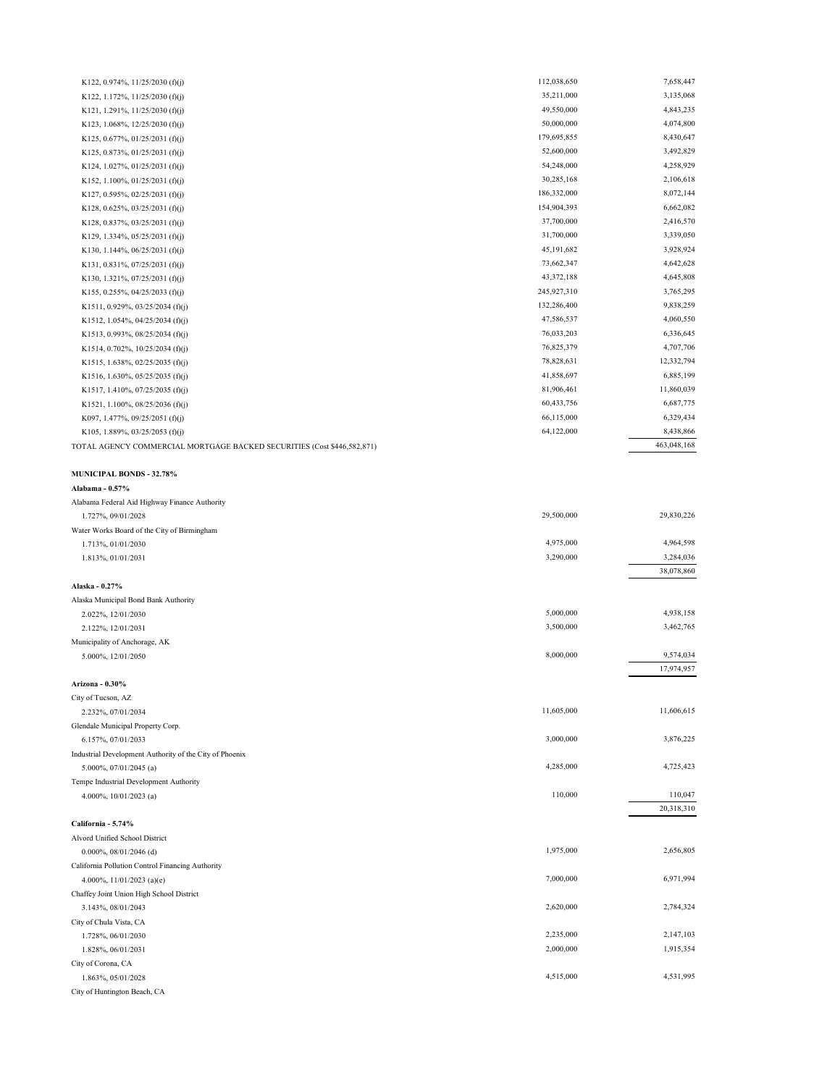| K122, 0.974%, $11/25/2030$ (f)(j)                                       | 112,038,650 | 7,658,447   |
|-------------------------------------------------------------------------|-------------|-------------|
| K122, 1.172%, 11/25/2030 (f)(j)                                         | 35,211,000  | 3,135,068   |
| K121, 1.291%, $11/25/2030$ (f)(j)                                       | 49,550,000  | 4,843,235   |
| K123, 1.068%, 12/25/2030 (f)(j)                                         | 50,000,000  | 4,074,800   |
| K125, 0.677%, 01/25/2031 (f)(j)                                         | 179,695,855 | 8,430,647   |
| K125, 0.873%, 01/25/2031 (f)(j)                                         | 52,600,000  | 3,492,829   |
| K124, 1.027%, 01/25/2031 (f)(j)                                         | 54,248,000  | 4,258,929   |
| K152, 1.100%, 01/25/2031 (f)(j)                                         | 30,285,168  | 2,106,618   |
| K127, 0.595%, 02/25/2031 (f)(j)                                         | 186,332,000 | 8,072,144   |
| K128, 0.625%, 03/25/2031 (f)(j)                                         | 154,904,393 | 6,662,082   |
| K128, 0.837%, 03/25/2031 (f)(j)                                         | 37,700,000  | 2,416,570   |
| K129, 1.334%, 05/25/2031 (f)(j)                                         | 31,700,000  | 3,339,050   |
| K130, 1.144%, $06/25/2031$ (f)(j)                                       | 45,191,682  | 3,928,924   |
| K131, 0.831%, 07/25/2031 (f)(j)                                         | 73,662,347  | 4,642,628   |
|                                                                         | 43,372,188  | 4,645,808   |
| K130, 1.321%, 07/25/2031 (f)(j)                                         | 245,927,310 | 3,765,295   |
| K155, 0.255%, 04/25/2033 (f)(j)                                         | 132,286,400 | 9,838,259   |
| K1511, 0.929%, 03/25/2034 (f)(j)                                        | 47,586,537  | 4,060,550   |
| K1512, 1.054%, 04/25/2034 (f)(j)                                        |             |             |
| K1513, 0.993%, 08/25/2034 (f)(j)                                        | 76,033,203  | 6,336,645   |
| K1514, 0.702%, 10/25/2034 (f)(j)                                        | 76,825,379  | 4,707,706   |
| K1515, 1.638%, 02/25/2035 (f)(j)                                        | 78,828,631  | 12,332,794  |
| K1516, 1.630%, 05/25/2035 (f)(j)                                        | 41,858,697  | 6,885,199   |
| K1517, 1.410%, 07/25/2035 (f)(j)                                        | 81,906,461  | 11,860,039  |
| K1521, 1.100%, 08/25/2036 (f)(j)                                        | 60,433,756  | 6,687,775   |
| K097, 1.477%, 09/25/2051 (f)(j)                                         | 66,115,000  | 6,329,434   |
| K105, 1.889%, 03/25/2053 (f)(j)                                         | 64,122,000  | 8,438,866   |
| TOTAL AGENCY COMMERCIAL MORTGAGE BACKED SECURITIES (Cost \$446,582,871) |             | 463,048,168 |
|                                                                         |             |             |
| <b>MUNICIPAL BONDS - 32.78%</b>                                         |             |             |
| Alabama - 0.57%                                                         |             |             |
| Alabama Federal Aid Highway Finance Authority                           |             |             |
| 1.727%, 09/01/2028                                                      | 29,500,000  | 29,830,226  |
| Water Works Board of the City of Birmingham                             |             |             |
| 1.713%, 01/01/2030                                                      | 4,975,000   | 4,964,598   |
| 1.813%, 01/01/2031                                                      | 3,290,000   | 3,284,036   |
|                                                                         |             | 38,078,860  |
| Alaska - 0.27%                                                          |             |             |
| Alaska Municipal Bond Bank Authority                                    |             |             |
| 2.022%, 12/01/2030                                                      | 5,000,000   | 4,938,158   |
| 2.122%, 12/01/2031                                                      | 3,500,000   | 3,462,765   |
| Municipality of Anchorage, AK                                           |             |             |
| 5.000%, 12/01/2050                                                      | 8,000,000   | 9,574,034   |
|                                                                         |             | 17,974,957  |
| Arizona - 0.30%                                                         |             |             |
| City of Tucson, AZ                                                      |             |             |
| 2.232%, 07/01/2034                                                      | 11,605,000  | 11,606,615  |
| Glendale Municipal Property Corp.                                       |             |             |
| 6.157%, 07/01/2033                                                      | 3,000,000   | 3,876,225   |
| Industrial Development Authority of the City of Phoenix                 |             |             |
| 5.000%, 07/01/2045 (a)                                                  | 4,285,000   | 4,725,423   |
| Tempe Industrial Development Authority                                  |             |             |
| 4.000%, 10/01/2023 (a)                                                  | 110,000     | 110,047     |
|                                                                         |             | 20,318,310  |
| California - 5.74%                                                      |             |             |
| Alvord Unified School District                                          |             |             |
| $0.000\%$ , 08/01/2046 (d)                                              | 1,975,000   | 2,656,805   |
| California Pollution Control Financing Authority                        |             |             |
| 4.000%, $11/01/2023$ (a)(e)                                             | 7,000,000   | 6,971,994   |
| Chaffey Joint Union High School District                                |             |             |
| 3.143%, 08/01/2043                                                      | 2,620,000   | 2,784,324   |
| City of Chula Vista, CA                                                 |             |             |
|                                                                         |             |             |
| 1.728%, 06/01/2030                                                      |             |             |
|                                                                         | 2,235,000   | 2,147,103   |
| 1.828%, 06/01/2031                                                      | 2,000,000   | 1,915,354   |
| City of Corona, CA                                                      |             |             |
| 1.863%, 05/01/2028<br>City of Huntington Beach, CA                      | 4,515,000   | 4,531,995   |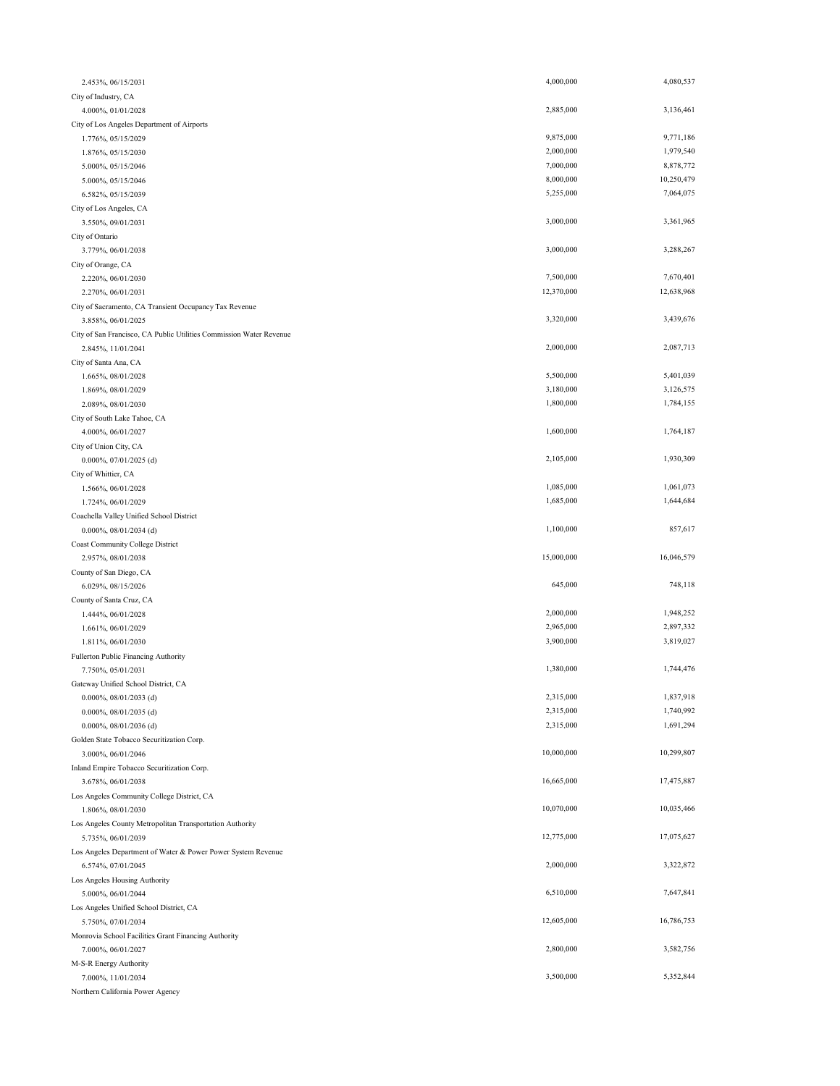| 2.453%, 06/15/2031                                                  | 4,000,000  | 4,080,537  |
|---------------------------------------------------------------------|------------|------------|
| City of Industry, CA                                                |            |            |
| 4.000%, 01/01/2028                                                  | 2,885,000  | 3,136,461  |
| City of Los Angeles Department of Airports                          |            |            |
| 1.776%, 05/15/2029                                                  | 9,875,000  | 9,771,186  |
| 1.876%, 05/15/2030                                                  | 2,000,000  | 1,979,540  |
| 5.000%, 05/15/2046                                                  | 7,000,000  | 8,878,772  |
| 5.000%, 05/15/2046                                                  | 8,000,000  | 10,250,479 |
| 6.582%, 05/15/2039                                                  | 5,255,000  | 7,064,075  |
| City of Los Angeles, CA                                             |            |            |
| 3.550%, 09/01/2031                                                  | 3,000,000  | 3,361,965  |
| City of Ontario                                                     |            |            |
| 3.779%, 06/01/2038                                                  | 3,000,000  | 3,288,267  |
| City of Orange, CA                                                  |            |            |
| 2.220%, 06/01/2030                                                  | 7,500,000  | 7,670,401  |
| 2.270%, 06/01/2031                                                  | 12,370,000 | 12,638,968 |
|                                                                     |            |            |
| City of Sacramento, CA Transient Occupancy Tax Revenue              | 3,320,000  | 3,439,676  |
| 3.858%, 06/01/2025                                                  |            |            |
| City of San Francisco, CA Public Utilities Commission Water Revenue |            |            |
| 2.845%, 11/01/2041                                                  | 2,000,000  | 2,087,713  |
| City of Santa Ana, CA                                               |            |            |
| 1.665%, 08/01/2028                                                  | 5,500,000  | 5,401,039  |
| 1.869%, 08/01/2029                                                  | 3,180,000  | 3,126,575  |
| 2.089%, 08/01/2030                                                  | 1,800,000  | 1,784,155  |
| City of South Lake Tahoe, CA                                        |            |            |
| 4.000%, 06/01/2027                                                  | 1,600,000  | 1,764,187  |
| City of Union City, CA                                              |            |            |
| $0.000\%, 07/01/2025$ (d)                                           | 2,105,000  | 1,930,309  |
| City of Whittier, CA                                                |            |            |
| 1.566%, 06/01/2028                                                  | 1,085,000  | 1,061,073  |
| 1.724%, 06/01/2029                                                  | 1,685,000  | 1,644,684  |
| Coachella Valley Unified School District                            |            |            |
|                                                                     |            |            |
| 0.000%, 08/01/2034 (d)                                              | 1,100,000  | 857,617    |
| Coast Community College District                                    |            |            |
| 2.957%, 08/01/2038                                                  | 15,000,000 | 16,046,579 |
| County of San Diego, CA                                             |            |            |
| 6.029%, 08/15/2026                                                  | 645,000    | 748,118    |
|                                                                     |            |            |
| County of Santa Cruz, CA                                            | 2,000,000  | 1,948,252  |
| 1.444%, 06/01/2028                                                  |            |            |
| 1.661%, 06/01/2029                                                  | 2,965,000  | 2,897,332  |
| 1.811%, 06/01/2030                                                  | 3,900,000  | 3,819,027  |
| Fullerton Public Financing Authority                                |            |            |
| 7.750%, 05/01/2031                                                  | 1,380,000  | 1,744,476  |
| Gateway Unified School District, CA                                 |            |            |
| $0.000\%, 08/01/2033$ (d)                                           | 2,315,000  | 1,837,918  |
| $0.000\%$ , 08/01/2035 (d)                                          | 2,315,000  | 1,740,992  |
| 0.000%, 08/01/2036 (d)                                              | 2,315,000  | 1,691,294  |
| Golden State Tobacco Securitization Corp.                           |            |            |
| 3.000%, 06/01/2046                                                  | 10,000,000 | 10,299,807 |
| Inland Empire Tobacco Securitization Corp.                          |            |            |
| 3.678%, 06/01/2038                                                  | 16,665,000 | 17,475,887 |
| Los Angeles Community College District, CA                          |            |            |
| 1.806%, 08/01/2030                                                  | 10,070,000 | 10,035,466 |
| Los Angeles County Metropolitan Transportation Authority            |            |            |
| 5.735%, 06/01/2039                                                  | 12,775,000 | 17,075,627 |
| Los Angeles Department of Water & Power Power System Revenue        |            |            |
| 6.574%, 07/01/2045                                                  | 2,000,000  | 3,322,872  |
| Los Angeles Housing Authority                                       |            |            |
| 5.000%, 06/01/2044                                                  | 6,510,000  | 7,647,841  |
| Los Angeles Unified School District, CA                             |            |            |
| 5.750%, 07/01/2034                                                  | 12,605,000 | 16,786,753 |
| Monrovia School Facilities Grant Financing Authority                |            |            |
| 7.000%, 06/01/2027                                                  | 2,800,000  | 3,582,756  |
| M-S-R Energy Authority                                              |            |            |
| 7.000%, 11/01/2034                                                  | 3,500,000  | 5,352,844  |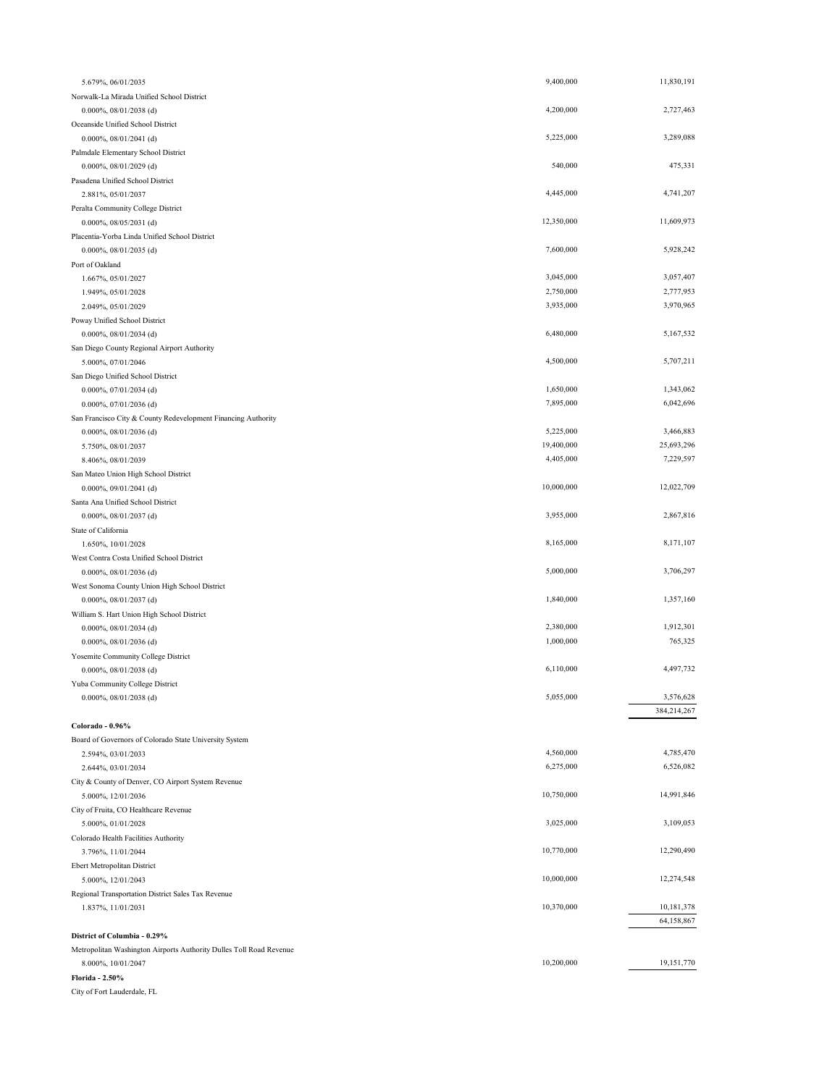| 5.679%, 06/01/2035                                                  | 9,400,000  | 11,830,191  |
|---------------------------------------------------------------------|------------|-------------|
| Norwalk-La Mirada Unified School District                           |            |             |
| 0.000%, 08/01/2038 (d)                                              | 4,200,000  | 2,727,463   |
| Oceanside Unified School District                                   |            |             |
| $0.000\%, 08/01/2041$ (d)                                           | 5,225,000  | 3,289,088   |
| Palmdale Elementary School District                                 |            |             |
| $0.000\%, 08/01/2029$ (d)                                           | 540,000    | 475,331     |
| Pasadena Unified School District                                    |            |             |
| 2.881%, 05/01/2037                                                  | 4,445,000  | 4,741,207   |
| Peralta Community College District                                  |            |             |
| $0.000\%, 08/05/2031$ (d)                                           | 12,350,000 | 11,609,973  |
| Placentia-Yorba Linda Unified School District                       |            |             |
| 0.000%, 08/01/2035 (d)                                              | 7,600,000  | 5,928,242   |
| Port of Oakland                                                     |            |             |
| 1.667%, 05/01/2027                                                  | 3,045,000  | 3,057,407   |
| 1.949%, 05/01/2028                                                  | 2,750,000  | 2,777,953   |
| 2.049%, 05/01/2029                                                  | 3,935,000  | 3,970,965   |
| Poway Unified School District                                       |            |             |
| $0.000\%$ , 08/01/2034 (d)                                          | 6,480,000  | 5,167,532   |
| San Diego County Regional Airport Authority                         |            |             |
| 5.000%, 07/01/2046                                                  | 4,500,000  | 5,707,211   |
| San Diego Unified School District                                   |            |             |
| $0.000\%, 07/01/2034$ (d)                                           | 1,650,000  | 1,343,062   |
| $0.000\%, 07/01/2036$ (d)                                           | 7,895,000  | 6,042,696   |
| San Francisco City & County Redevelopment Financing Authority       |            |             |
| 0.000%, 08/01/2036 (d)                                              | 5,225,000  | 3,466,883   |
| 5.750%, 08/01/2037                                                  | 19,400,000 | 25,693,296  |
| 8.406%, 08/01/2039                                                  | 4,405,000  | 7,229,597   |
| San Mateo Union High School District                                |            |             |
| $0.000\%, 09/01/2041$ (d)                                           | 10,000,000 | 12,022,709  |
| Santa Ana Unified School District                                   |            |             |
| 0.000%, 08/01/2037 (d)                                              | 3,955,000  | 2,867,816   |
| State of California                                                 |            |             |
| 1.650%, 10/01/2028                                                  | 8,165,000  | 8,171,107   |
| West Contra Costa Unified School District                           |            |             |
| 0.000%, 08/01/2036 (d)                                              | 5,000,000  | 3,706,297   |
| West Sonoma County Union High School District                       |            |             |
| 0.000%, 08/01/2037 (d)                                              | 1,840,000  | 1,357,160   |
| William S. Hart Union High School District                          |            |             |
| 0.000%, 08/01/2034 (d)                                              | 2,380,000  | 1,912,301   |
| $0.000\%, 08/01/2036$ (d)                                           | 1,000,000  | 765,325     |
| Yosemite Community College District                                 |            |             |
| $0.000\%, 08/01/2038$ (d)                                           | 6,110,000  | 4,497,732   |
| Yuba Community College District                                     |            |             |
| $0.000\%, 08/01/2038$ (d)                                           | 5,055,000  | 3,576,628   |
|                                                                     |            | 384,214,267 |
| Colorado - 0.96%                                                    |            |             |
| Board of Governors of Colorado State University System              |            |             |
| 2.594%, 03/01/2033                                                  | 4,560,000  | 4,785,470   |
| 2.644%, 03/01/2034                                                  | 6,275,000  | 6,526,082   |
| City & County of Denver, CO Airport System Revenue                  |            |             |
| 5.000%, 12/01/2036                                                  | 10,750,000 | 14,991,846  |
| City of Fruita, CO Healthcare Revenue                               |            |             |
| 5.000%, 01/01/2028                                                  | 3,025,000  | 3,109,053   |
| Colorado Health Facilities Authority                                |            |             |
| 3.796%, 11/01/2044                                                  | 10,770,000 | 12,290,490  |
| Ebert Metropolitan District                                         |            |             |
| 5.000%, 12/01/2043                                                  | 10,000,000 | 12,274,548  |
| Regional Transportation District Sales Tax Revenue                  |            |             |
| 1.837%, 11/01/2031                                                  | 10,370,000 | 10,181,378  |
|                                                                     |            | 64,158,867  |
| District of Columbia - 0.29%                                        |            |             |
| Metropolitan Washington Airports Authority Dulles Toll Road Revenue |            |             |
| 8.000%, 10/01/2047                                                  | 10,200,000 | 19,151,770  |
| Florida - 2.50%                                                     |            |             |

City of Fort Lauderdale, FL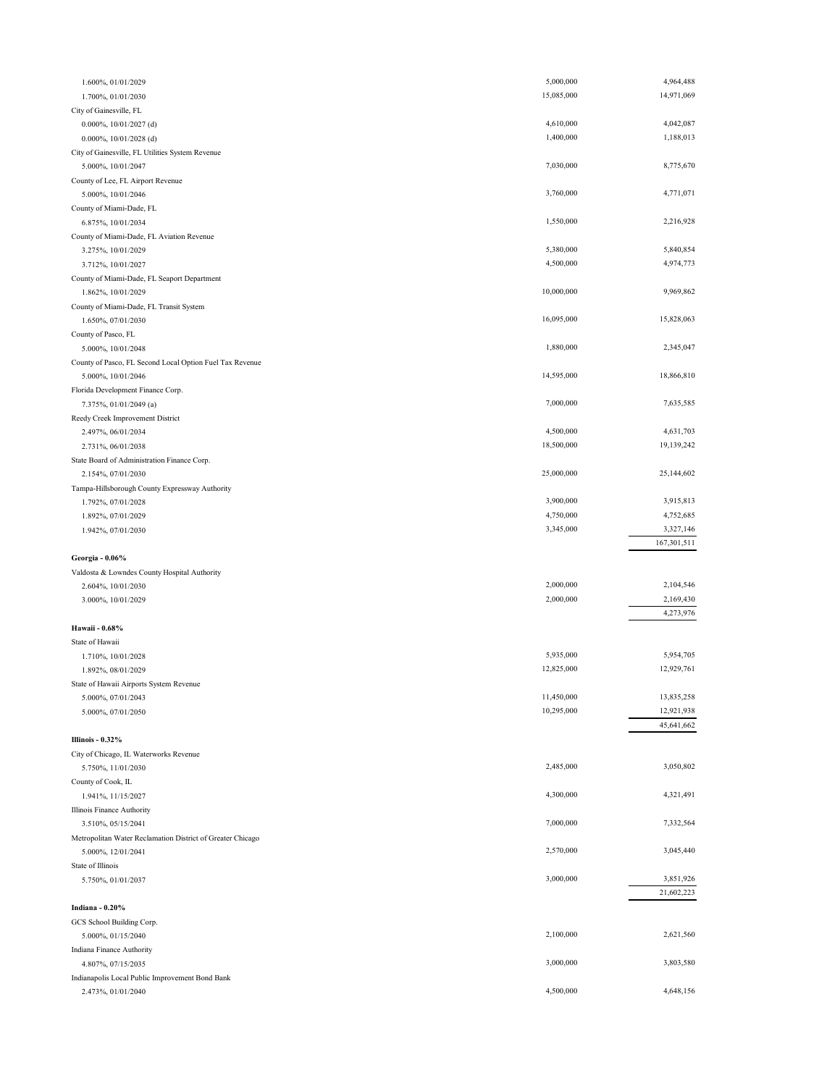| 1.600%, 01/01/2029                                                    | 5,000,000                | 4,964,488                |
|-----------------------------------------------------------------------|--------------------------|--------------------------|
| 1.700%, 01/01/2030                                                    | 15,085,000               | 14,971,069               |
| City of Gainesville, FL                                               |                          |                          |
| 0.000%, 10/01/2027 (d)                                                | 4,610,000                | 4,042,087                |
| 0.000%, 10/01/2028 (d)                                                | 1,400,000                | 1,188,013                |
| City of Gainesville, FL Utilities System Revenue                      |                          |                          |
| 5.000%, 10/01/2047                                                    | 7,030,000                | 8,775,670                |
| County of Lee, FL Airport Revenue                                     |                          |                          |
| 5.000%, 10/01/2046                                                    | 3,760,000                | 4,771,071                |
| County of Miami-Dade, FL                                              | 1,550,000                | 2,216,928                |
| 6.875%, 10/01/2034<br>County of Miami-Dade, FL Aviation Revenue       |                          |                          |
| 3.275%, 10/01/2029                                                    | 5,380,000                | 5,840,854                |
| 3.712%, 10/01/2027                                                    | 4,500,000                | 4,974,773                |
| County of Miami-Dade, FL Seaport Department                           |                          |                          |
| 1.862%, 10/01/2029                                                    | 10,000,000               | 9,969,862                |
| County of Miami-Dade, FL Transit System                               |                          |                          |
| 1.650%, 07/01/2030                                                    | 16,095,000               | 15,828,063               |
| County of Pasco, FL                                                   |                          |                          |
| 5.000%, 10/01/2048                                                    | 1,880,000                | 2,345,047                |
| County of Pasco, FL Second Local Option Fuel Tax Revenue              |                          |                          |
| 5.000%, 10/01/2046                                                    | 14,595,000               | 18,866,810               |
| Florida Development Finance Corp.                                     |                          |                          |
| 7.375%, 01/01/2049 (a)                                                | 7,000,000                | 7,635,585                |
| Reedy Creek Improvement District                                      |                          |                          |
| 2.497%, 06/01/2034                                                    | 4,500,000                | 4,631,703                |
| 2.731%, 06/01/2038                                                    | 18,500,000               | 19,139,242               |
| State Board of Administration Finance Corp.                           |                          |                          |
| 2.154%, 07/01/2030                                                    | 25,000,000               | 25,144,602               |
| Tampa-Hillsborough County Expressway Authority                        |                          |                          |
| 1.792%, 07/01/2028                                                    | 3,900,000                | 3,915,813                |
| 1.892%, 07/01/2029                                                    | 4,750,000                | 4,752,685                |
| 1.942%, 07/01/2030                                                    | 3,345,000                | 3,327,146                |
|                                                                       |                          |                          |
|                                                                       |                          | 167,301,511              |
| Georgia - 0.06%                                                       |                          |                          |
| Valdosta & Lowndes County Hospital Authority                          |                          |                          |
| 2.604%, 10/01/2030                                                    | 2,000,000                | 2,104,546                |
| 3.000%, 10/01/2029                                                    | 2,000,000                | 2,169,430                |
|                                                                       |                          | 4,273,976                |
| Hawaii - 0.68%                                                        |                          |                          |
| State of Hawaii                                                       |                          |                          |
| 1.710%, 10/01/2028                                                    | 5,935,000                | 5,954,705                |
| 1.892%, 08/01/2029                                                    | 12,825,000               | 12,929,761               |
| State of Hawaii Airports System Revenue                               |                          |                          |
| 5.000%, 07/01/2043                                                    | 11,450,000<br>10,295,000 | 13,835,258<br>12,921,938 |
| 5.000%, 07/01/2050                                                    |                          | 45,641,662               |
| Illinois - 0.32%                                                      |                          |                          |
| City of Chicago, IL Waterworks Revenue                                |                          |                          |
| 5.750%, 11/01/2030                                                    | 2,485,000                | 3,050,802                |
| County of Cook, IL                                                    |                          |                          |
| 1.941%, 11/15/2027                                                    | 4,300,000                | 4,321,491                |
| <b>Illinois Finance Authority</b>                                     |                          |                          |
| 3.510%, 05/15/2041                                                    | 7,000,000                | 7,332,564                |
| Metropolitan Water Reclamation District of Greater Chicago            |                          |                          |
| 5.000%, 12/01/2041                                                    | 2,570,000                | 3,045,440                |
| State of Illinois                                                     |                          |                          |
| 5.750%, 01/01/2037                                                    | 3,000,000                | 3,851,926                |
|                                                                       |                          | 21,602,223               |
| Indiana - 0.20%                                                       |                          |                          |
| GCS School Building Corp.                                             |                          |                          |
| 5.000%, 01/15/2040                                                    | 2,100,000                | 2,621,560                |
| Indiana Finance Authority                                             |                          |                          |
| 4.807%, 07/15/2035                                                    | 3,000,000                | 3,803,580                |
| Indianapolis Local Public Improvement Bond Bank<br>2.473%, 01/01/2040 | 4,500,000                | 4,648,156                |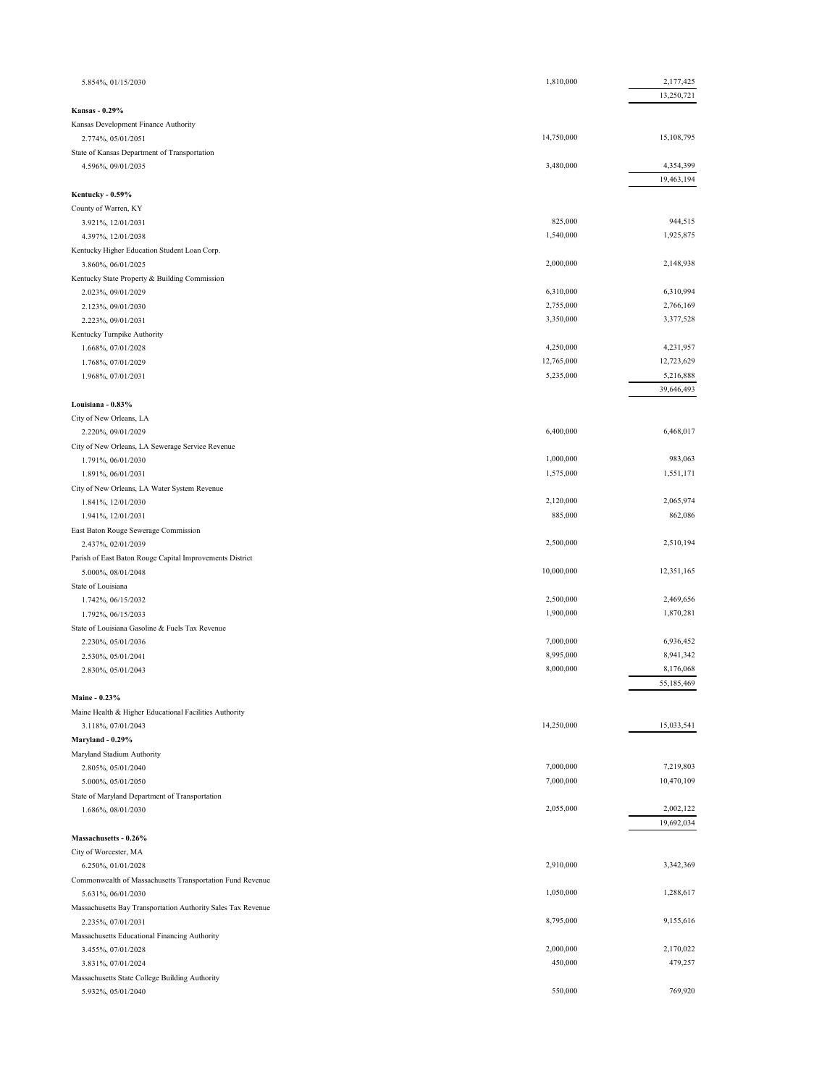| 5.854%, 01/15/2030                                                              | 1,810,000  | 2,177,425  |
|---------------------------------------------------------------------------------|------------|------------|
| <b>Kansas - 0.29%</b>                                                           |            | 13,250,721 |
| Kansas Development Finance Authority                                            |            |            |
| 2.774%, 05/01/2051                                                              | 14,750,000 | 15,108,795 |
| State of Kansas Department of Transportation                                    |            |            |
| 4.596%, 09/01/2035                                                              | 3,480,000  | 4,354,399  |
|                                                                                 |            | 19,463,194 |
| Kentucky - 0.59%                                                                |            |            |
| County of Warren, KY                                                            |            |            |
| 3.921%, 12/01/2031                                                              | 825,000    | 944,515    |
| 4.397%, 12/01/2038                                                              | 1,540,000  | 1,925,875  |
| Kentucky Higher Education Student Loan Corp.                                    |            |            |
| 3.860%, 06/01/2025                                                              | 2,000,000  | 2,148,938  |
| Kentucky State Property & Building Commission                                   |            |            |
| 2.023%, 09/01/2029                                                              | 6,310,000  | 6,310,994  |
| 2.123%, 09/01/2030                                                              | 2,755,000  | 2,766,169  |
| 2.223%, 09/01/2031                                                              | 3,350,000  | 3,377,528  |
| Kentucky Turnpike Authority                                                     |            |            |
| 1.668%, 07/01/2028                                                              | 4,250,000  | 4,231,957  |
| 1.768%, 07/01/2029                                                              | 12,765,000 | 12,723,629 |
| 1.968%, 07/01/2031                                                              | 5,235,000  | 5,216,888  |
|                                                                                 |            | 39,646,493 |
| Louisiana - 0.83%                                                               |            |            |
| City of New Orleans, LA                                                         | 6,400,000  | 6,468,017  |
| 2.220%, 09/01/2029                                                              |            |            |
| City of New Orleans, LA Sewerage Service Revenue<br>1.791%, 06/01/2030          | 1,000,000  | 983,063    |
| 1.891%, 06/01/2031                                                              | 1,575,000  | 1,551,171  |
| City of New Orleans, LA Water System Revenue                                    |            |            |
| 1.841%, 12/01/2030                                                              | 2,120,000  | 2,065,974  |
| 1.941%, 12/01/2031                                                              | 885,000    | 862,086    |
| East Baton Rouge Sewerage Commission                                            |            |            |
| 2.437%, 02/01/2039                                                              | 2,500,000  | 2,510,194  |
| Parish of East Baton Rouge Capital Improvements District                        |            |            |
| 5.000%, 08/01/2048                                                              | 10,000,000 | 12,351,165 |
| State of Louisiana                                                              |            |            |
| 1.742%, 06/15/2032                                                              | 2,500,000  | 2,469,656  |
| 1.792%, 06/15/2033                                                              | 1,900,000  | 1,870,281  |
| State of Louisiana Gasoline & Fuels Tax Revenue                                 |            |            |
| 2.230%, 05/01/2036                                                              | 7,000,000  | 6,936,452  |
| 2.530%, 05/01/2041                                                              | 8,995,000  | 8,941,342  |
| 2.830%, 05/01/2043                                                              | 8,000,000  | 8,176,068  |
|                                                                                 |            | 55,185,469 |
| Maine - 0.23%                                                                   |            |            |
| Maine Health & Higher Educational Facilities Authority                          |            |            |
| 3.118%, 07/01/2043                                                              | 14,250,000 | 15,033,541 |
| Maryland - 0.29%                                                                |            |            |
| Maryland Stadium Authority                                                      |            |            |
| 2.805%, 05/01/2040                                                              | 7,000,000  | 7,219,803  |
| 5.000%, 05/01/2050                                                              | 7,000,000  | 10,470,109 |
| State of Maryland Department of Transportation                                  |            |            |
| 1.686%, 08/01/2030                                                              | 2,055,000  | 2,002,122  |
|                                                                                 |            | 19,692,034 |
| Massachusetts - 0.26%                                                           |            |            |
| City of Worcester, MA                                                           | 2,910,000  | 3,342,369  |
| 6.250%, 01/01/2028                                                              |            |            |
| Commonwealth of Massachusetts Transportation Fund Revenue<br>5.631%, 06/01/2030 | 1,050,000  | 1,288,617  |
| Massachusetts Bay Transportation Authority Sales Tax Revenue                    |            |            |
| 2.235%, 07/01/2031                                                              | 8,795,000  | 9,155,616  |
| Massachusetts Educational Financing Authority                                   |            |            |
| 3.455%, 07/01/2028                                                              | 2,000,000  | 2,170,022  |
| 3.831%, 07/01/2024                                                              | 450,000    | 479,257    |
| Massachusetts State College Building Authority                                  |            |            |
| 5.932%, 05/01/2040                                                              | 550,000    | 769,920    |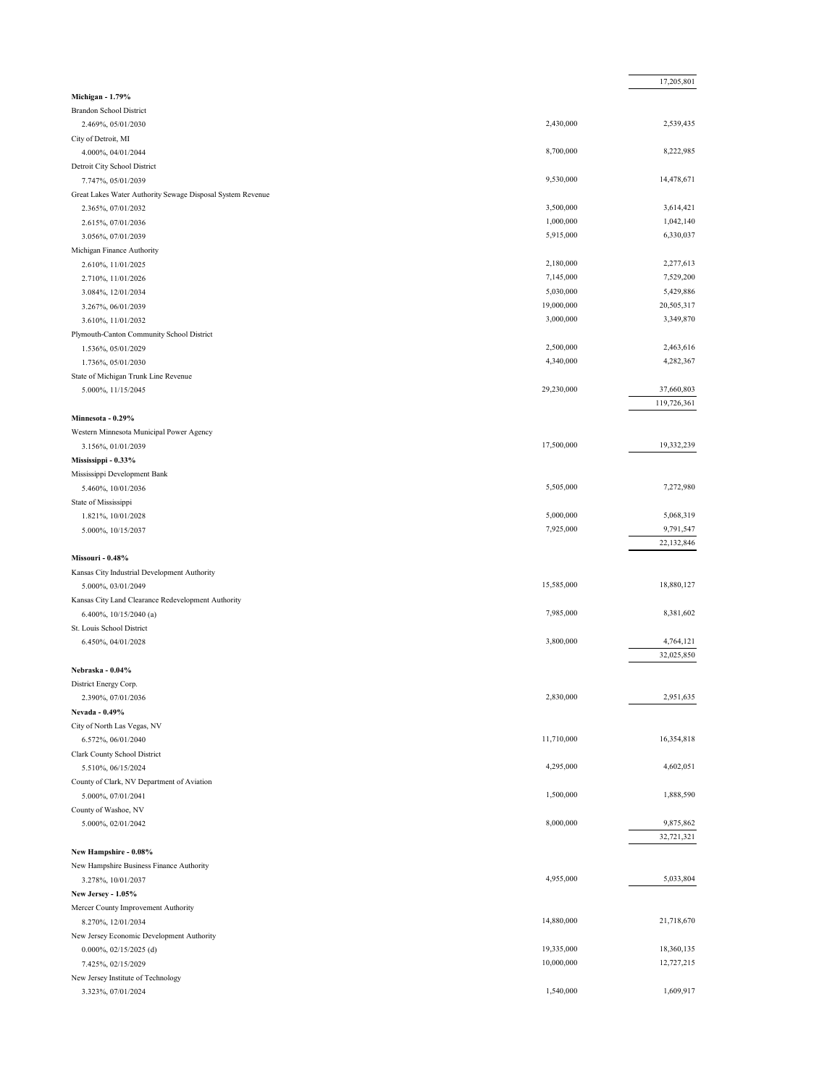|                                                                |            | 17,205,801              |
|----------------------------------------------------------------|------------|-------------------------|
| Michigan - 1.79%                                               |            |                         |
| <b>Brandon School District</b>                                 |            |                         |
| 2.469%, 05/01/2030                                             | 2,430,000  | 2,539,435               |
| City of Detroit, MI                                            |            |                         |
| 4.000%, 04/01/2044                                             | 8,700,000  | 8,222,985               |
| Detroit City School District                                   |            |                         |
| 7.747%, 05/01/2039                                             | 9,530,000  | 14,478,671              |
| Great Lakes Water Authority Sewage Disposal System Revenue     |            |                         |
| 2.365%, 07/01/2032                                             | 3,500,000  | 3,614,421               |
| 2.615%, 07/01/2036                                             | 1,000,000  | 1,042,140               |
| 3.056%, 07/01/2039                                             | 5,915,000  | 6,330,037               |
| Michigan Finance Authority                                     |            |                         |
| 2.610%, 11/01/2025                                             | 2,180,000  | 2,277,613               |
| 2.710%, 11/01/2026                                             | 7,145,000  | 7,529,200               |
| 3.084%, 12/01/2034                                             | 5,030,000  | 5,429,886               |
| 3.267%, 06/01/2039                                             | 19,000,000 | 20,505,317              |
| 3.610%, 11/01/2032                                             | 3,000,000  | 3,349,870               |
| Plymouth-Canton Community School District                      |            |                         |
| 1.536%, 05/01/2029                                             | 2,500,000  | 2,463,616               |
| 1.736%, 05/01/2030                                             | 4,340,000  | 4,282,367               |
| State of Michigan Trunk Line Revenue                           |            |                         |
| 5.000%, 11/15/2045                                             | 29,230,000 | 37,660,803              |
|                                                                |            | 119,726,361             |
| Minnesota - 0.29%                                              |            |                         |
|                                                                |            |                         |
| Western Minnesota Municipal Power Agency<br>3.156%, 01/01/2039 | 17,500,000 | 19,332,239              |
| Mississippi - 0.33%                                            |            |                         |
|                                                                |            |                         |
| Mississippi Development Bank                                   | 5,505,000  | 7,272,980               |
| 5.460%, 10/01/2036                                             |            |                         |
| State of Mississippi                                           | 5,000,000  | 5,068,319               |
| 1.821%, 10/01/2028<br>5.000%, 10/15/2037                       | 7,925,000  | 9,791,547               |
|                                                                |            | 22,132,846              |
|                                                                |            |                         |
| Missouri - 0.48%                                               |            |                         |
| Kansas City Industrial Development Authority                   | 15,585,000 | 18,880,127              |
| 5.000%, 03/01/2049                                             |            |                         |
| Kansas City Land Clearance Redevelopment Authority             | 7,985,000  | 8,381,602               |
| 6.400%, 10/15/2040 (a)                                         |            |                         |
| St. Louis School District                                      | 3,800,000  |                         |
| 6.450%, 04/01/2028                                             |            | 4,764,121<br>32,025,850 |
|                                                                |            |                         |
| Nebraska - 0.04%                                               |            |                         |
| District Energy Corp.                                          |            |                         |
| 2.390%, 07/01/2036                                             | 2,830,000  | 2,951,635               |
| Nevada - 0.49%                                                 |            |                         |
| City of North Las Vegas, NV                                    |            |                         |
| 6.572%, 06/01/2040                                             | 11,710,000 | 16,354,818              |
| Clark County School District                                   |            |                         |
| 5.510%, 06/15/2024                                             | 4,295,000  | 4,602,051               |
| County of Clark, NV Department of Aviation                     |            |                         |
| 5.000%, 07/01/2041                                             | 1,500,000  | 1,888,590               |
| County of Washoe, NV                                           |            |                         |
| 5.000%, 02/01/2042                                             | 8,000,000  | 9,875,862               |
|                                                                |            | 32,721,321              |
| New Hampshire - 0.08%                                          |            |                         |
| New Hampshire Business Finance Authority                       |            |                         |
| 3.278%, 10/01/2037                                             | 4,955,000  | 5,033,804               |
| New Jersey - 1.05%                                             |            |                         |
| Mercer County Improvement Authority                            |            |                         |
| 8.270%, 12/01/2034                                             | 14,880,000 | 21,718,670              |
| New Jersey Economic Development Authority                      |            |                         |
| $0.000\%, 02/15/2025$ (d)                                      | 19,335,000 | 18,360,135              |
| 7.425%, 02/15/2029                                             | 10,000,000 | 12,727,215              |
| New Jersey Institute of Technology                             |            |                         |
| 3.323%, 07/01/2024                                             | 1,540,000  | 1,609,917               |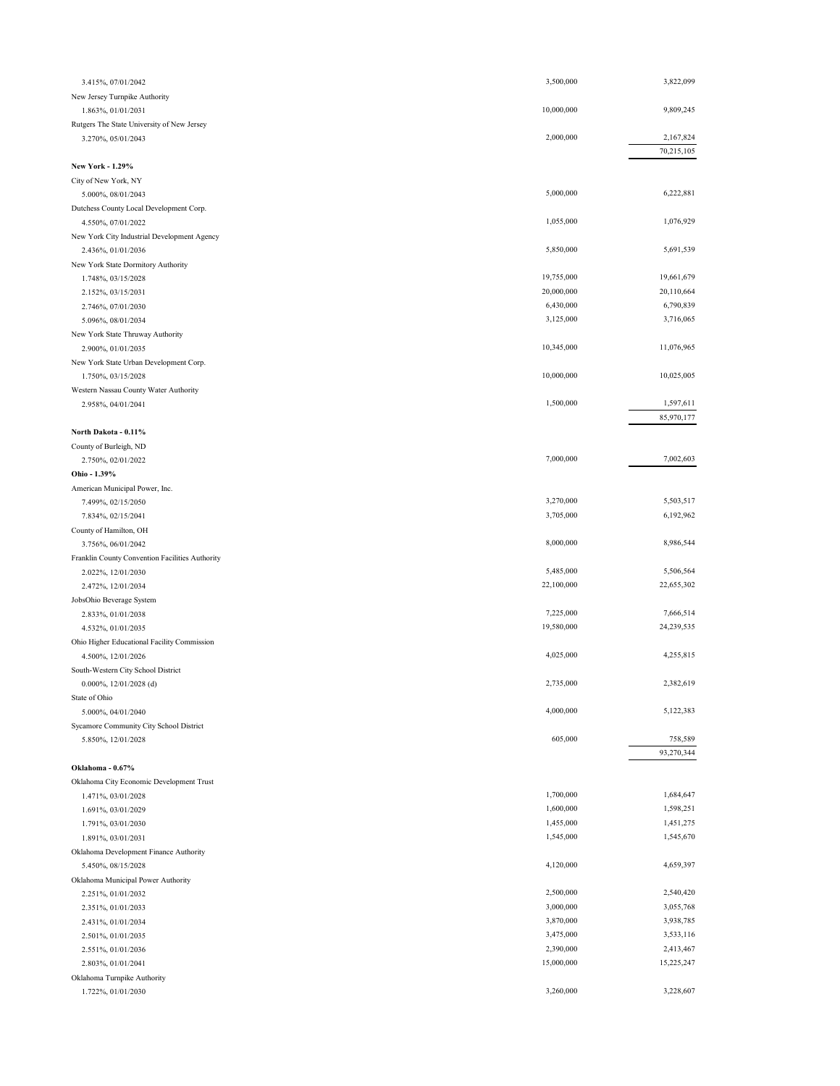| 3.415%, 07/01/2042                                                | 3,500,000  | 3,822,099  |
|-------------------------------------------------------------------|------------|------------|
| New Jersey Turnpike Authority                                     |            |            |
| 1.863%, 01/01/2031                                                | 10,000,000 | 9,809,245  |
| Rutgers The State University of New Jersey                        |            |            |
| 3.270%, 05/01/2043                                                | 2,000,000  | 2,167,824  |
|                                                                   |            | 70,215,105 |
| New York - 1.29%                                                  |            |            |
| City of New York, NY                                              |            |            |
| 5.000%, 08/01/2043                                                | 5,000,000  | 6,222,881  |
| Dutchess County Local Development Corp.                           |            | 1,076,929  |
| 4.550%, 07/01/2022                                                | 1,055,000  |            |
| New York City Industrial Development Agency<br>2.436%, 01/01/2036 | 5,850,000  | 5,691,539  |
| New York State Dormitory Authority                                |            |            |
| 1.748%, 03/15/2028                                                | 19,755,000 | 19,661,679 |
| 2.152%, 03/15/2031                                                | 20,000,000 | 20,110,664 |
| 2.746%, 07/01/2030                                                | 6,430,000  | 6,790,839  |
| 5.096%, 08/01/2034                                                | 3,125,000  | 3,716,065  |
| New York State Thruway Authority                                  |            |            |
| 2.900%, 01/01/2035                                                | 10,345,000 | 11,076,965 |
| New York State Urban Development Corp.                            |            |            |
| 1.750%, 03/15/2028                                                | 10,000,000 | 10,025,005 |
| Western Nassau County Water Authority                             |            |            |
| 2.958%, 04/01/2041                                                | 1,500,000  | 1,597,611  |
|                                                                   |            | 85,970,177 |
| North Dakota - 0.11%                                              |            |            |
| County of Burleigh, ND                                            |            |            |
| 2.750%, 02/01/2022                                                | 7,000,000  | 7,002,603  |
| Ohio - 1.39%                                                      |            |            |
| American Municipal Power, Inc.                                    |            |            |
| 7.499%, 02/15/2050                                                | 3,270,000  | 5,503,517  |
| 7.834%, 02/15/2041                                                | 3,705,000  | 6,192,962  |
| County of Hamilton, OH                                            |            |            |
| 3.756%, 06/01/2042                                                | 8,000,000  | 8,986,544  |
| Franklin County Convention Facilities Authority                   |            |            |
| 2.022%, 12/01/2030                                                | 5,485,000  | 5,506,564  |
| 2.472%, 12/01/2034                                                | 22,100,000 | 22,655,302 |
| JobsOhio Beverage System                                          |            |            |
| 2.833%, 01/01/2038                                                | 7,225,000  | 7,666,514  |
| 4.532%, 01/01/2035                                                | 19,580,000 | 24,239,535 |
| Ohio Higher Educational Facility Commission                       |            |            |
| 4.500%, 12/01/2026                                                | 4,025,000  | 4,255,815  |
| South-Western City School District                                | 2,735,000  | 2,382,619  |
| 0.000%, $12/01/2028$ (d)                                          |            |            |
| State of Ohio                                                     | 4,000,000  | 5,122,383  |
| 5.000%, 04/01/2040                                                |            |            |
| Sycamore Community City School District<br>5.850%, 12/01/2028     | 605,000    | 758,589    |
|                                                                   |            | 93,270,344 |
| Oklahoma - 0.67%                                                  |            |            |
| Oklahoma City Economic Development Trust                          |            |            |
| 1.471%, 03/01/2028                                                | 1,700,000  | 1,684,647  |
| 1.691%, 03/01/2029                                                | 1,600,000  | 1,598,251  |
| 1.791%, 03/01/2030                                                | 1,455,000  | 1,451,275  |
| 1.891%, 03/01/2031                                                | 1,545,000  | 1,545,670  |
| Oklahoma Development Finance Authority                            |            |            |
| 5.450%, 08/15/2028                                                | 4,120,000  | 4,659,397  |
| Oklahoma Municipal Power Authority                                |            |            |
| 2.251%, 01/01/2032                                                | 2,500,000  | 2,540,420  |
| 2.351%, 01/01/2033                                                | 3,000,000  | 3,055,768  |
| 2.431%, 01/01/2034                                                | 3,870,000  | 3,938,785  |
| 2.501%, 01/01/2035                                                | 3,475,000  | 3,533,116  |
| 2.551%, 01/01/2036                                                | 2,390,000  | 2,413,467  |
| 2.803%, 01/01/2041                                                | 15,000,000 | 15,225,247 |
| Oklahoma Turnpike Authority                                       |            |            |
| 1.722%, 01/01/2030                                                | 3,260,000  | 3,228,607  |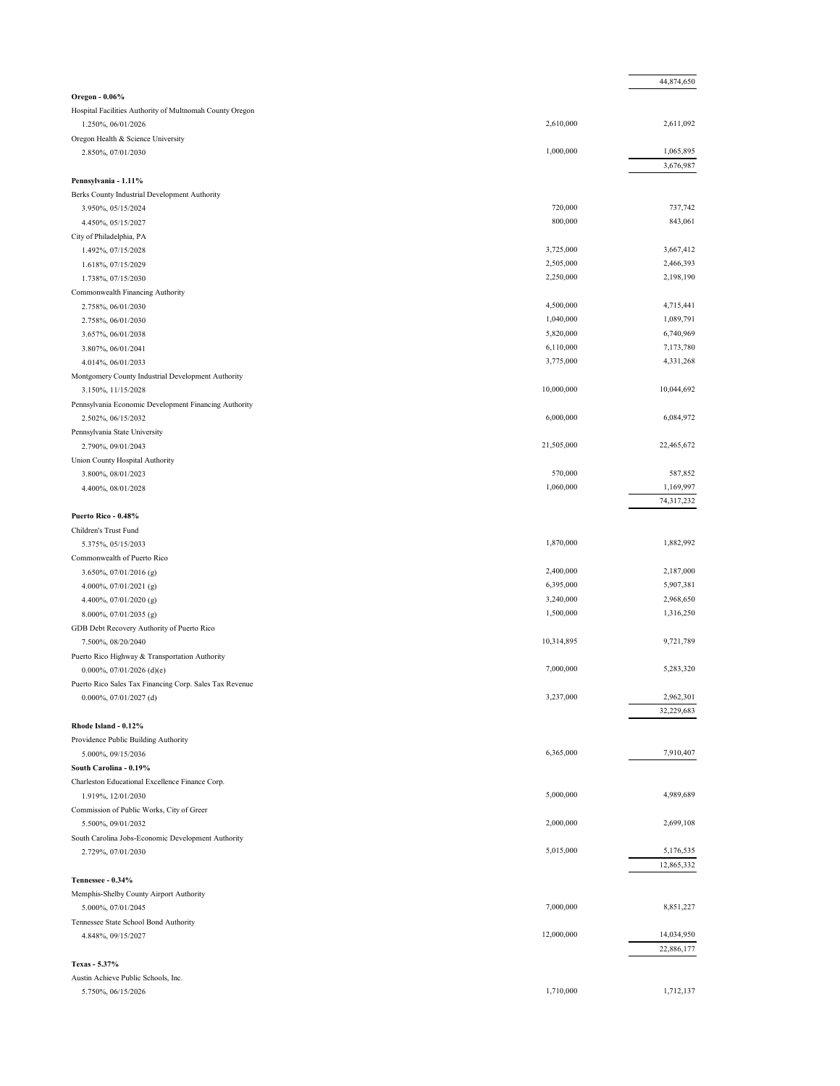|                                                          |                      | 44,874,650           |
|----------------------------------------------------------|----------------------|----------------------|
| Oregon - 0.06%                                           |                      |                      |
| Hospital Facilities Authority of Multnomah County Oregon |                      |                      |
| 1.250%, 06/01/2026                                       | 2,610,000            | 2,611,092            |
| Oregon Health & Science University                       |                      |                      |
| 2.850%, 07/01/2030                                       | 1,000,000            | 1,065,895            |
|                                                          |                      | 3,676,987            |
| Pennsylvania - 1.11%                                     |                      |                      |
| Berks County Industrial Development Authority            | 720,000              | 737,742              |
| 3.950%, 05/15/2024<br>4.450%, 05/15/2027                 | 800,000              | 843,061              |
| City of Philadelphia, PA                                 |                      |                      |
| 1.492%, 07/15/2028                                       | 3,725,000            | 3,667,412            |
| 1.618%, 07/15/2029                                       | 2,505,000            | 2,466,393            |
| 1.738%, 07/15/2030                                       | 2,250,000            | 2,198,190            |
| Commonwealth Financing Authority                         |                      |                      |
| 2.758%, 06/01/2030                                       | 4,500,000            | 4,715,441            |
| 2.758%, 06/01/2030                                       | 1,040,000            | 1,089,791            |
| 3.657%, 06/01/2038                                       | 5,820,000            | 6,740,969            |
| 3.807%, 06/01/2041                                       | 6,110,000            | 7,173,780            |
| 4.014%, 06/01/2033                                       | 3,775,000            | 4,331,268            |
| Montgomery County Industrial Development Authority       |                      |                      |
| 3.150%, 11/15/2028                                       | 10,000,000           | 10,044,692           |
| Pennsylvania Economic Development Financing Authority    |                      |                      |
| 2.502%, 06/15/2032                                       | 6,000,000            | 6,084,972            |
| Pennsylvania State University                            |                      |                      |
| 2.790%, 09/01/2043                                       | 21,505,000           | 22,465,672           |
| Union County Hospital Authority                          |                      |                      |
| 3.800%, 08/01/2023                                       | 570,000<br>1,060,000 | 587,852<br>1,169,997 |
| 4.400%, 08/01/2028                                       |                      | 74,317,232           |
| Puerto Rico - 0.48%                                      |                      |                      |
| Children's Trust Fund                                    |                      |                      |
| 5.375%, 05/15/2033                                       | 1,870,000            | 1,882,992            |
| Commonwealth of Puerto Rico                              |                      |                      |
| 3.650%, 07/01/2016 (g)                                   | 2,400,000            | 2,187,000            |
| 4.000%, $07/01/2021$ (g)                                 | 6,395,000            | 5,907,381            |
| 4.400%, 07/01/2020 (g)                                   | 3,240,000            | 2,968,650            |
| 8.000%, 07/01/2035 (g)                                   | 1,500,000            | 1,316,250            |
| GDB Debt Recovery Authority of Puerto Rico               |                      |                      |
| 7.500%, 08/20/2040                                       | 10,314,895           | 9,721,789            |
| Puerto Rico Highway & Transportation Authority           |                      |                      |
| 0.000%, 07/01/2026 (d)(e)                                | 7,000,000            | 5,283,320            |
| Puerto Rico Sales Tax Financing Corp. Sales Tax Revenue  |                      |                      |
| 0.000%, 07/01/2027 (d)                                   | 3,237,000            | 2,962,301            |
|                                                          |                      | 32,229,683           |
| Rhode Island - 0.12%                                     |                      |                      |
| Providence Public Building Authority                     | 6,365,000            | 7,910,407            |
| 5.000%, 09/15/2036<br>South Carolina - 0.19%             |                      |                      |
| Charleston Educational Excellence Finance Corp.          |                      |                      |
| 1.919%, 12/01/2030                                       | 5,000,000            | 4,989,689            |
| Commission of Public Works, City of Greer                |                      |                      |
| 5.500%, 09/01/2032                                       | 2,000,000            | 2,699,108            |
| South Carolina Jobs-Economic Development Authority       |                      |                      |
| 2.729%, 07/01/2030                                       | 5,015,000            | 5,176,535            |
|                                                          |                      | 12,865,332           |
| Tennessee - 0.34%                                        |                      |                      |
| Memphis-Shelby County Airport Authority                  |                      |                      |
| 5.000%, 07/01/2045                                       | 7,000,000            | 8,851,227            |
| Tennessee State School Bond Authority                    |                      |                      |
| 4.848%, 09/15/2027                                       | 12,000,000           | 14,034,950           |
|                                                          |                      | 22,886,177           |
| Texas - 5.37%                                            |                      |                      |
| Austin Achieve Public Schools, Inc.                      | 1,710,000            |                      |
| 5.750%, 06/15/2026                                       |                      | 1,712,137            |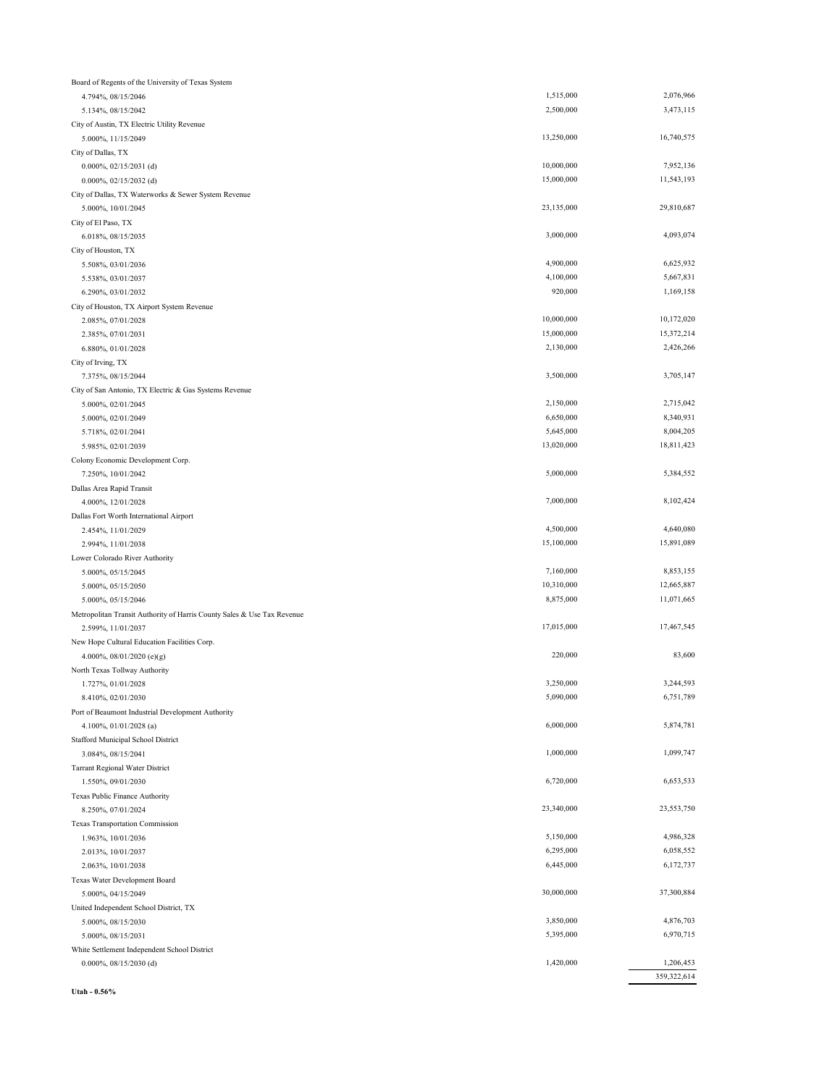|                                                                         |            | 359,322,614              |
|-------------------------------------------------------------------------|------------|--------------------------|
| 0.000%, 08/15/2030 (d)                                                  | 1,420,000  | 1,206,453                |
| White Settlement Independent School District                            |            |                          |
| 5.000%, 08/15/2031                                                      | 5,395,000  | 6,970,715                |
| 5.000%, 08/15/2030                                                      | 3,850,000  | 4,876,703                |
| United Independent School District, TX                                  |            |                          |
| 5.000%, 04/15/2049                                                      | 30,000,000 | 37,300,884               |
| Texas Water Development Board                                           |            |                          |
| 2.063%, 10/01/2038                                                      | 6,445,000  | 6,172,737                |
| 2.013%, 10/01/2037                                                      | 6,295,000  | 6,058,552                |
| 1.963%, 10/01/2036                                                      | 5,150,000  | 4,986,328                |
| Texas Transportation Commission                                         |            |                          |
| 8.250%, 07/01/2024                                                      | 23,340,000 | 23,553,750               |
| Texas Public Finance Authority                                          |            |                          |
| <b>Tarrant Regional Water District</b><br>1.550%, 09/01/2030            | 6,720,000  | 6,653,533                |
| 3.084%, 08/15/2041                                                      |            |                          |
| Stafford Municipal School District                                      | 1,000,000  | 1,099,747                |
| 4.100%, 01/01/2028 (a)                                                  |            |                          |
| Port of Beaumont Industrial Development Authority                       | 6,000,000  | 5,874,781                |
| 8.410%, 02/01/2030                                                      |            | 6,751,789                |
| 1.727%, 01/01/2028                                                      | 5,090,000  |                          |
| North Texas Tollway Authority                                           | 3,250,000  | 3,244,593                |
| 4.000%, $08/01/2020$ (e)(g)                                             |            |                          |
| New Hope Cultural Education Facilities Corp.                            | 220,000    | 83,600                   |
| 2.599%, 11/01/2037                                                      |            | 17,467,545               |
| Metropolitan Transit Authority of Harris County Sales & Use Tax Revenue | 17,015,000 |                          |
| 5.000%, 05/15/2046                                                      |            |                          |
| 5.000%, 05/15/2050                                                      | 8,875,000  | 12,665,887<br>11,071,665 |
| 5.000%, 05/15/2045                                                      | 10,310,000 |                          |
| Lower Colorado River Authority                                          | 7,160,000  | 8,853,155                |
| 2.994%, 11/01/2038                                                      | 15,100,000 | 15,891,089               |
| 2.454%, 11/01/2029                                                      | 4,500,000  | 4,640,080                |
| Dallas Fort Worth International Airport                                 |            |                          |
| 4.000%, 12/01/2028                                                      | 7,000,000  | 8,102,424                |
| Dallas Area Rapid Transit                                               |            |                          |
| 7.250%, 10/01/2042                                                      | 5,000,000  | 5,384,552                |
| Colony Economic Development Corp.                                       |            |                          |
| 5.985%, 02/01/2039                                                      | 13,020,000 | 18,811,423               |
| 5.718%, 02/01/2041                                                      | 5,645,000  | 8,004,205                |
| 5.000%, 02/01/2049                                                      | 6,650,000  | 8,340,931                |
| 5.000%, 02/01/2045                                                      | 2,150,000  | 2,715,042                |
| City of San Antonio, TX Electric & Gas Systems Revenue                  |            |                          |
| 7.375%, 08/15/2044                                                      | 3,500,000  | 3,705,147                |
| City of Irving, TX                                                      |            |                          |
| 6.880%, 01/01/2028                                                      | 2,130,000  | 2,426,266                |
| 2.385%, 07/01/2031                                                      | 15,000,000 | 15,372,214               |
| 2.085%, 07/01/2028                                                      | 10,000,000 | 10,172,020               |
| City of Houston, TX Airport System Revenue                              |            |                          |
| 6.290%, 03/01/2032                                                      | 920,000    | 1,169,158                |
| 5.538%, 03/01/2037                                                      | 4,100,000  | 5,667,831                |
| 5.508%, 03/01/2036                                                      | 4,900,000  | 6,625,932                |
| City of Houston, TX                                                     |            |                          |
| 6.018%, 08/15/2035                                                      | 3,000,000  | 4,093,074                |
| City of El Paso, TX                                                     |            |                          |
| 5.000%, 10/01/2045                                                      | 23,135,000 | 29,810,687               |
| City of Dallas, TX Waterworks & Sewer System Revenue                    |            |                          |
| $0.000\%, 02/15/2032$ (d)                                               | 15,000,000 | 11,543,193               |
| $0.000\%, 02/15/2031$ (d)                                               | 10,000,000 | 7,952,136                |
| City of Dallas, TX                                                      |            |                          |
| 5.000%, 11/15/2049                                                      | 13,250,000 | 16,740,575               |
| City of Austin, TX Electric Utility Revenue                             |            |                          |
| 5.134%, 08/15/2042                                                      | 2,500,000  | 3,473,115                |
| 4.794%, 08/15/2046                                                      | 1,515,000  | 2,076,966                |
| Board of Regents of the University of Texas System                      |            |                          |

**Utah - 0.56%**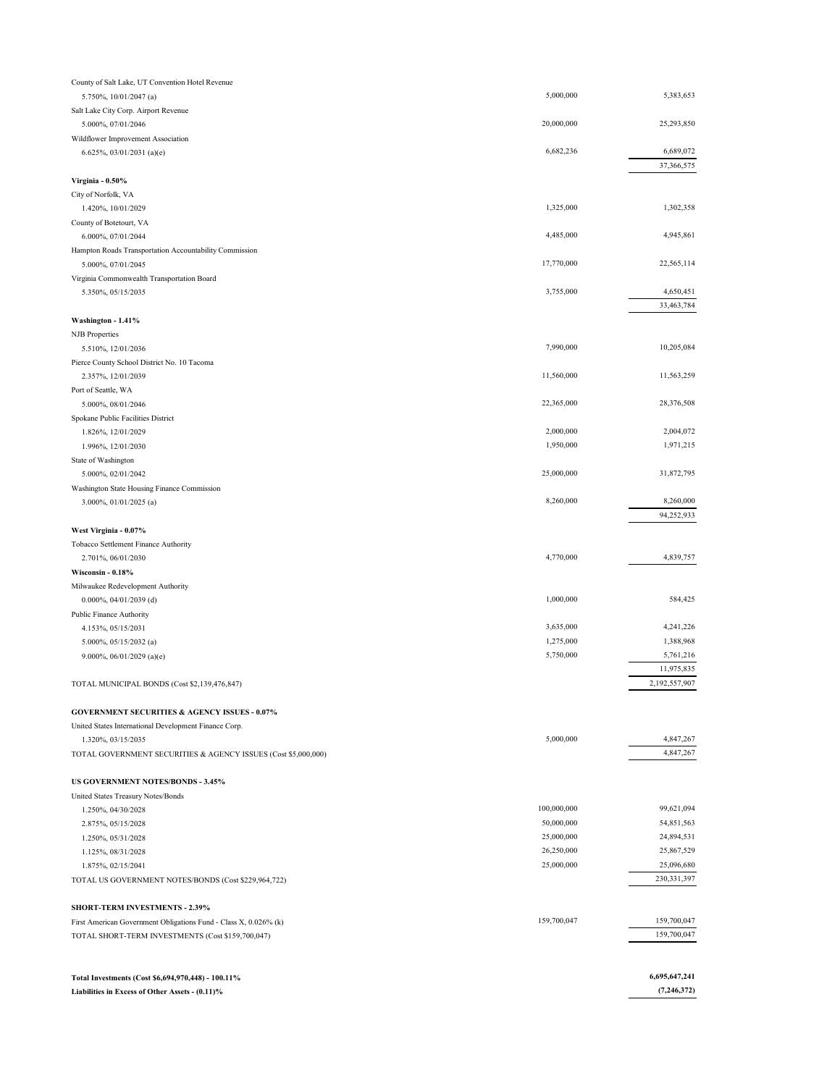| County of Salt Lake, UT Convention Hotel Revenue                                                   |             |               |
|----------------------------------------------------------------------------------------------------|-------------|---------------|
| 5.750%, 10/01/2047 (a)                                                                             | 5,000,000   | 5,383,653     |
| Salt Lake City Corp. Airport Revenue                                                               |             |               |
| 5.000%, 07/01/2046                                                                                 | 20,000,000  | 25,293,850    |
| Wildflower Improvement Association                                                                 |             |               |
| 6.625%, 03/01/2031 (a)(e)                                                                          | 6,682,236   | 6,689,072     |
|                                                                                                    |             | 37,366,575    |
| Virginia - 0.50%                                                                                   |             |               |
| City of Norfolk, VA                                                                                |             |               |
| 1.420%, 10/01/2029                                                                                 | 1,325,000   | 1,302,358     |
| County of Botetourt, VA                                                                            |             |               |
| 6.000%, 07/01/2044                                                                                 | 4,485,000   | 4,945,861     |
| Hampton Roads Transportation Accountability Commission                                             | 17,770,000  | 22,565,114    |
| 5.000%, 07/01/2045                                                                                 |             |               |
| Virginia Commonwealth Transportation Board<br>5.350%, 05/15/2035                                   | 3,755,000   | 4,650,451     |
|                                                                                                    |             | 33,463,784    |
| Washington - 1.41%                                                                                 |             |               |
| <b>NJB</b> Properties                                                                              |             |               |
| 5.510%, 12/01/2036                                                                                 | 7,990,000   | 10,205,084    |
| Pierce County School District No. 10 Tacoma                                                        |             |               |
| 2.357%, 12/01/2039                                                                                 | 11,560,000  | 11,563,259    |
| Port of Seattle, WA                                                                                |             |               |
| 5.000%, 08/01/2046                                                                                 | 22,365,000  | 28,376,508    |
| Spokane Public Facilities District                                                                 |             |               |
| 1.826%, 12/01/2029                                                                                 | 2,000,000   | 2,004,072     |
| 1.996%, 12/01/2030                                                                                 | 1,950,000   | 1,971,215     |
| State of Washington                                                                                |             |               |
| 5.000%, 02/01/2042                                                                                 | 25,000,000  | 31,872,795    |
| Washington State Housing Finance Commission                                                        |             |               |
| 3.000%, 01/01/2025 (a)                                                                             | 8,260,000   | 8,260,000     |
|                                                                                                    |             | 94,252,933    |
| West Virginia - 0.07%                                                                              |             |               |
| Tobacco Settlement Finance Authority                                                               |             |               |
| 2.701%, 06/01/2030                                                                                 | 4,770,000   | 4,839,757     |
| Wisconsin - 0.18%                                                                                  |             |               |
| Milwaukee Redevelopment Authority                                                                  | 1,000,000   | 584,425       |
| 0.000%, 04/01/2039 (d)<br>Public Finance Authority                                                 |             |               |
| 4.153%, 05/15/2031                                                                                 | 3,635,000   | 4,241,226     |
| 5.000%, 05/15/2032 (a)                                                                             | 1,275,000   | 1,388,968     |
| 9.000%, 06/01/2029 (a)(e)                                                                          | 5,750,000   | 5,761,216     |
|                                                                                                    |             | 11,975,835    |
| TOTAL MUNICIPAL BONDS (Cost \$2,139,476,847)                                                       |             | 2,192,557,907 |
|                                                                                                    |             |               |
| <b>GOVERNMENT SECURITIES &amp; AGENCY ISSUES - 0.07%</b>                                           |             |               |
| United States International Development Finance Corp.                                              |             |               |
| 1.320%, 03/15/2035                                                                                 | 5,000,000   | 4,847,267     |
| TOTAL GOVERNMENT SECURITIES & AGENCY ISSUES (Cost \$5,000,000)                                     |             | 4,847,267     |
|                                                                                                    |             |               |
| US GOVERNMENT NOTES/BONDS - 3.45%                                                                  |             |               |
| United States Treasury Notes/Bonds                                                                 |             |               |
| 1.250%, 04/30/2028                                                                                 | 100,000,000 | 99,621,094    |
| 2.875%, 05/15/2028                                                                                 | 50,000,000  | 54,851,563    |
| 1.250%, 05/31/2028                                                                                 | 25,000,000  | 24,894,531    |
| 1.125%, 08/31/2028                                                                                 | 26,250,000  | 25,867,529    |
| 1.875%, 02/15/2041                                                                                 | 25,000,000  | 25,096,680    |
| TOTAL US GOVERNMENT NOTES/BONDS (Cost \$229,964,722)                                               |             | 230, 331, 397 |
|                                                                                                    |             |               |
| SHORT-TERM INVESTMENTS - 2.39%<br>First American Government Obligations Fund - Class X, 0.026% (k) | 159,700,047 | 159,700,047   |
| TOTAL SHORT-TERM INVESTMENTS (Cost \$159,700,047)                                                  |             | 159,700,047   |
|                                                                                                    |             |               |
|                                                                                                    |             |               |
| Total Investments (Cost \$6,694,970,448) - 100.11%                                                 |             | 6,695,647,241 |

**Liabilities in Excess of Other Assets - (0.11)%**

 **(7,246,372)**